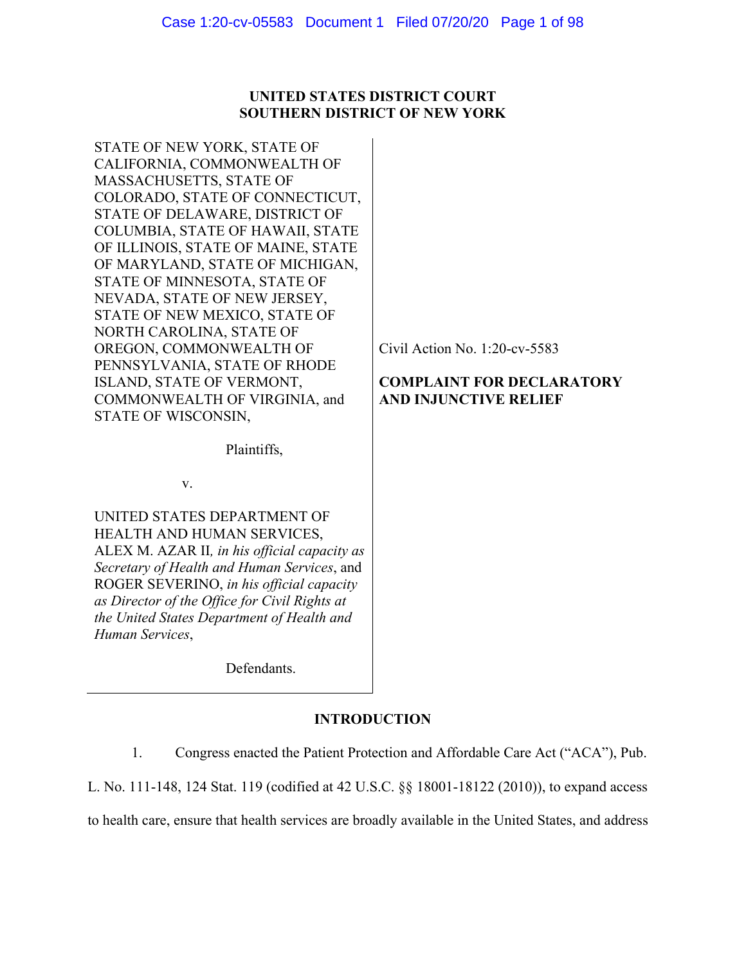# **UNITED STATES DISTRICT COURT SOUTHERN DISTRICT OF NEW YORK**

STATE OF NEW YORK, STATE OF CALIFORNIA, COMMONWEALTH OF MASSACHUSETTS, STATE OF COLORADO, STATE OF CONNECTICUT, STATE OF DELAWARE, DISTRICT OF COLUMBIA, STATE OF HAWAII, STATE OF ILLINOIS, STATE OF MAINE, STATE OF MARYLAND, STATE OF MICHIGAN, STATE OF MINNESOTA, STATE OF NEVADA, STATE OF NEW JERSEY, STATE OF NEW MEXICO, STATE OF NORTH CAROLINA, STATE OF OREGON, COMMONWEALTH OF PENNSYLVANIA, STATE OF RHODE ISLAND, STATE OF VERMONT, COMMONWEALTH OF VIRGINIA, and STATE OF WISCONSIN,

Plaintiffs,

v.

UNITED STATES DEPARTMENT OF HEALTH AND HUMAN SERVICES, ALEX M. AZAR II*, in his official capacity as Secretary of Health and Human Services*, and ROGER SEVERINO, *in his official capacity as Director of the Office for Civil Rights at the United States Department of Health and Human Services*,

Defendants.

# **INTRODUCTION**

1. Congress enacted the Patient Protection and Affordable Care Act ("ACA"), Pub.

L. No. 111-148, 124 Stat. 119 (codified at 42 U.S.C. §§ 18001-18122 (2010)), to expand access

to health care, ensure that health services are broadly available in the United States, and address

Civil Action No. 1:20-cv-5583

# **COMPLAINT FOR DECLARATORY AND INJUNCTIVE RELIEF**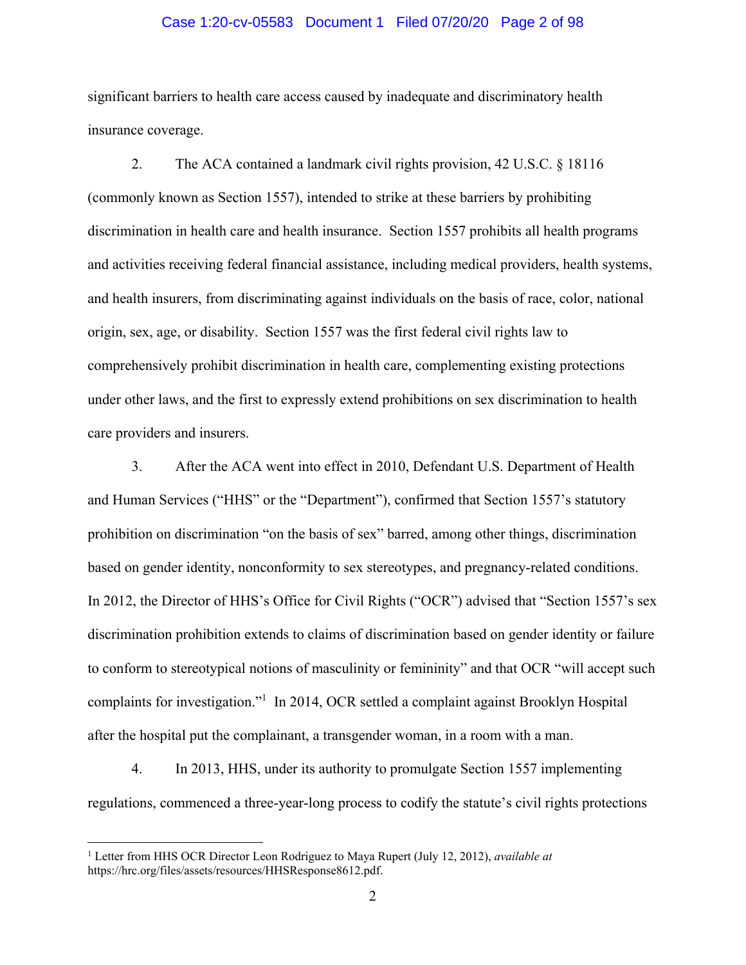### Case 1:20-cv-05583 Document 1 Filed 07/20/20 Page 2 of 98

significant barriers to health care access caused by inadequate and discriminatory health insurance coverage.

2. The ACA contained a landmark civil rights provision, 42 U.S.C. § 18116 (commonly known as Section 1557), intended to strike at these barriers by prohibiting discrimination in health care and health insurance. Section 1557 prohibits all health programs and activities receiving federal financial assistance, including medical providers, health systems, and health insurers, from discriminating against individuals on the basis of race, color, national origin, sex, age, or disability. Section 1557 was the first federal civil rights law to comprehensively prohibit discrimination in health care, complementing existing protections under other laws, and the first to expressly extend prohibitions on sex discrimination to health care providers and insurers.

3. After the ACA went into effect in 2010, Defendant U.S. Department of Health and Human Services ("HHS" or the "Department"), confirmed that Section 1557's statutory prohibition on discrimination "on the basis of sex" barred, among other things, discrimination based on gender identity, nonconformity to sex stereotypes, and pregnancy-related conditions. In 2012, the Director of HHS's Office for Civil Rights ("OCR") advised that "Section 1557's sex discrimination prohibition extends to claims of discrimination based on gender identity or failure to conform to stereotypical notions of masculinity or femininity" and that OCR "will accept such complaints for investigation."<sup>1</sup> In 2014, OCR settled a complaint against Brooklyn Hospital after the hospital put the complainant, a transgender woman, in a room with a man.

4. In 2013, HHS, under its authority to promulgate Section 1557 implementing regulations, commenced a three-year-long process to codify the statute's civil rights protections

 $\overline{a}$ 

<sup>&</sup>lt;sup>1</sup> Letter from HHS OCR Director Leon Rodriguez to Maya Rupert (July 12, 2012), *available at* https://hrc.org/files/assets/resources/HHSResponse8612.pdf.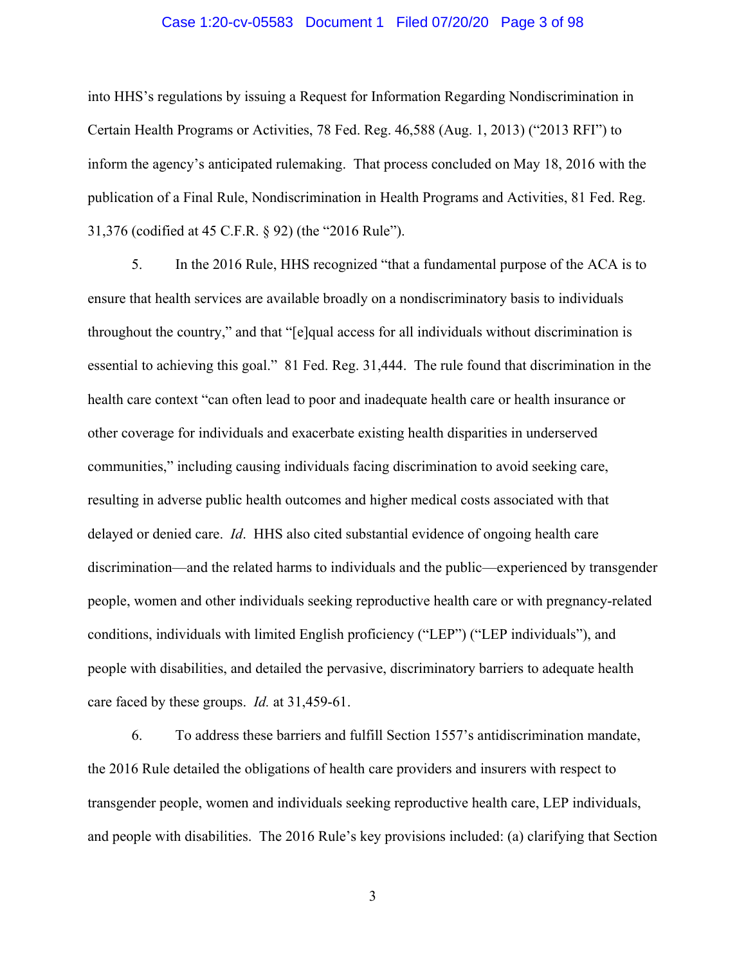#### Case 1:20-cv-05583 Document 1 Filed 07/20/20 Page 3 of 98

into HHS's regulations by issuing a Request for Information Regarding Nondiscrimination in Certain Health Programs or Activities, 78 Fed. Reg. 46,588 (Aug. 1, 2013) ("2013 RFI") to inform the agency's anticipated rulemaking. That process concluded on May 18, 2016 with the publication of a Final Rule, Nondiscrimination in Health Programs and Activities, 81 Fed. Reg. 31,376 (codified at 45 C.F.R. § 92) (the "2016 Rule").

5. In the 2016 Rule, HHS recognized "that a fundamental purpose of the ACA is to ensure that health services are available broadly on a nondiscriminatory basis to individuals throughout the country," and that "[e]qual access for all individuals without discrimination is essential to achieving this goal." 81 Fed. Reg. 31,444. The rule found that discrimination in the health care context "can often lead to poor and inadequate health care or health insurance or other coverage for individuals and exacerbate existing health disparities in underserved communities," including causing individuals facing discrimination to avoid seeking care, resulting in adverse public health outcomes and higher medical costs associated with that delayed or denied care. *Id*. HHS also cited substantial evidence of ongoing health care discrimination—and the related harms to individuals and the public—experienced by transgender people, women and other individuals seeking reproductive health care or with pregnancy-related conditions, individuals with limited English proficiency ("LEP") ("LEP individuals"), and people with disabilities, and detailed the pervasive, discriminatory barriers to adequate health care faced by these groups. *Id.* at 31,459-61.

6. To address these barriers and fulfill Section 1557's antidiscrimination mandate, the 2016 Rule detailed the obligations of health care providers and insurers with respect to transgender people, women and individuals seeking reproductive health care, LEP individuals, and people with disabilities. The 2016 Rule's key provisions included: (a) clarifying that Section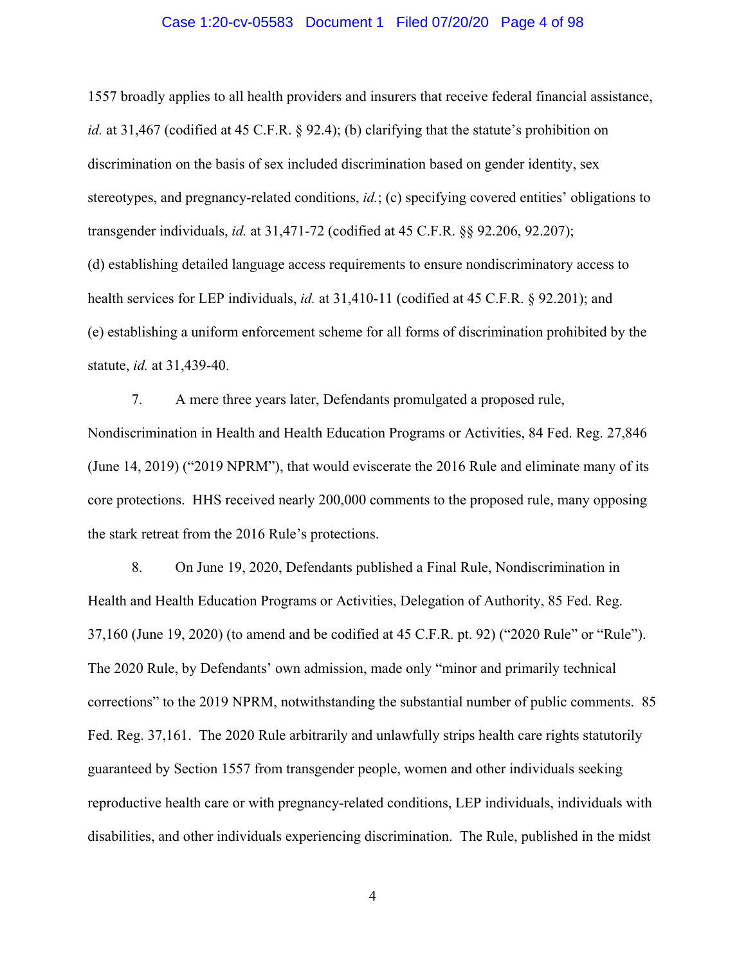#### Case 1:20-cv-05583 Document 1 Filed 07/20/20 Page 4 of 98

1557 broadly applies to all health providers and insurers that receive federal financial assistance, *id.* at 31,467 (codified at 45 C.F.R. § 92.4); (b) clarifying that the statute's prohibition on discrimination on the basis of sex included discrimination based on gender identity, sex stereotypes, and pregnancy-related conditions, *id.*; (c) specifying covered entities' obligations to transgender individuals, *id.* at 31,471-72 (codified at 45 C.F.R. §§ 92.206, 92.207); (d) establishing detailed language access requirements to ensure nondiscriminatory access to health services for LEP individuals, *id.* at 31,410-11 (codified at 45 C.F.R. § 92.201); and (e) establishing a uniform enforcement scheme for all forms of discrimination prohibited by the statute, *id.* at 31,439-40.

7. A mere three years later, Defendants promulgated a proposed rule, Nondiscrimination in Health and Health Education Programs or Activities, 84 Fed. Reg. 27,846 (June 14, 2019) ("2019 NPRM"), that would eviscerate the 2016 Rule and eliminate many of its core protections. HHS received nearly 200,000 comments to the proposed rule, many opposing the stark retreat from the 2016 Rule's protections.

8. On June 19, 2020, Defendants published a Final Rule, Nondiscrimination in Health and Health Education Programs or Activities, Delegation of Authority, 85 Fed. Reg. 37,160 (June 19, 2020) (to amend and be codified at 45 C.F.R. pt. 92) ("2020 Rule" or "Rule"). The 2020 Rule, by Defendants' own admission, made only "minor and primarily technical corrections" to the 2019 NPRM, notwithstanding the substantial number of public comments. 85 Fed. Reg. 37,161. The 2020 Rule arbitrarily and unlawfully strips health care rights statutorily guaranteed by Section 1557 from transgender people, women and other individuals seeking reproductive health care or with pregnancy-related conditions, LEP individuals, individuals with disabilities, and other individuals experiencing discrimination. The Rule, published in the midst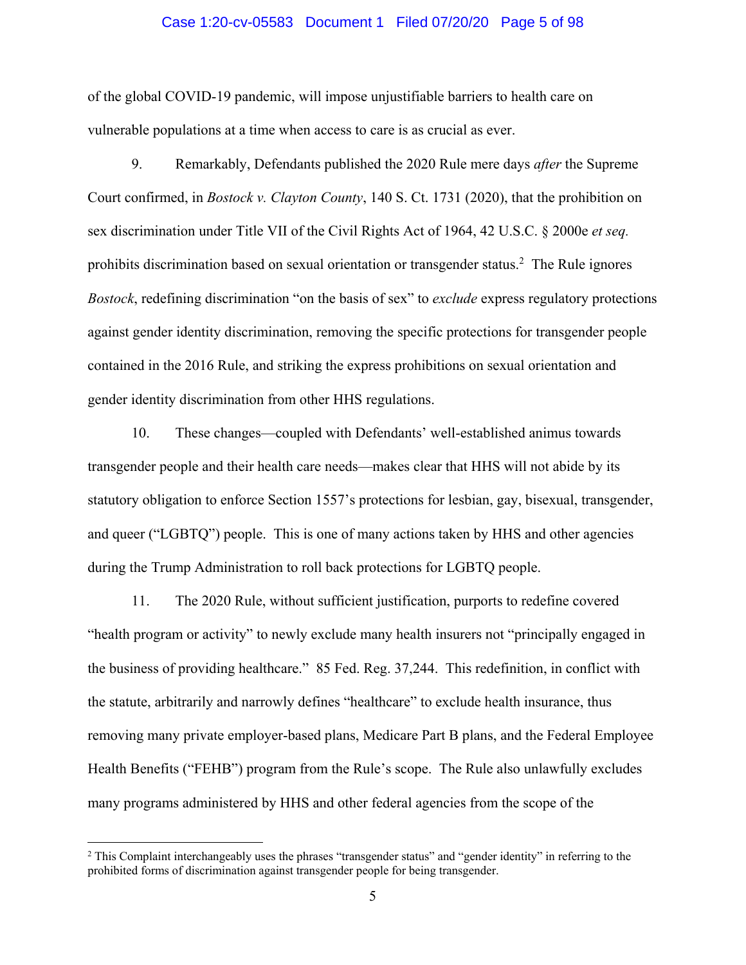#### Case 1:20-cv-05583 Document 1 Filed 07/20/20 Page 5 of 98

of the global COVID-19 pandemic, will impose unjustifiable barriers to health care on vulnerable populations at a time when access to care is as crucial as ever.

9. Remarkably, Defendants published the 2020 Rule mere days *after* the Supreme Court confirmed, in *Bostock v. Clayton County*, 140 S. Ct. 1731 (2020), that the prohibition on sex discrimination under Title VII of the Civil Rights Act of 1964, 42 U.S.C. § 2000e *et seq.* prohibits discrimination based on sexual orientation or transgender status.<sup>2</sup> The Rule ignores *Bostock*, redefining discrimination "on the basis of sex" to *exclude* express regulatory protections against gender identity discrimination, removing the specific protections for transgender people contained in the 2016 Rule, and striking the express prohibitions on sexual orientation and gender identity discrimination from other HHS regulations.

10. These changes—coupled with Defendants' well-established animus towards transgender people and their health care needs—makes clear that HHS will not abide by its statutory obligation to enforce Section 1557's protections for lesbian, gay, bisexual, transgender, and queer ("LGBTQ") people. This is one of many actions taken by HHS and other agencies during the Trump Administration to roll back protections for LGBTQ people.

11. The 2020 Rule, without sufficient justification, purports to redefine covered "health program or activity" to newly exclude many health insurers not "principally engaged in the business of providing healthcare." 85 Fed. Reg. 37,244. This redefinition, in conflict with the statute, arbitrarily and narrowly defines "healthcare" to exclude health insurance, thus removing many private employer-based plans, Medicare Part B plans, and the Federal Employee Health Benefits ("FEHB") program from the Rule's scope. The Rule also unlawfully excludes many programs administered by HHS and other federal agencies from the scope of the

 $\overline{a}$ 

<sup>&</sup>lt;sup>2</sup> This Complaint interchangeably uses the phrases "transgender status" and "gender identity" in referring to the prohibited forms of discrimination against transgender people for being transgender.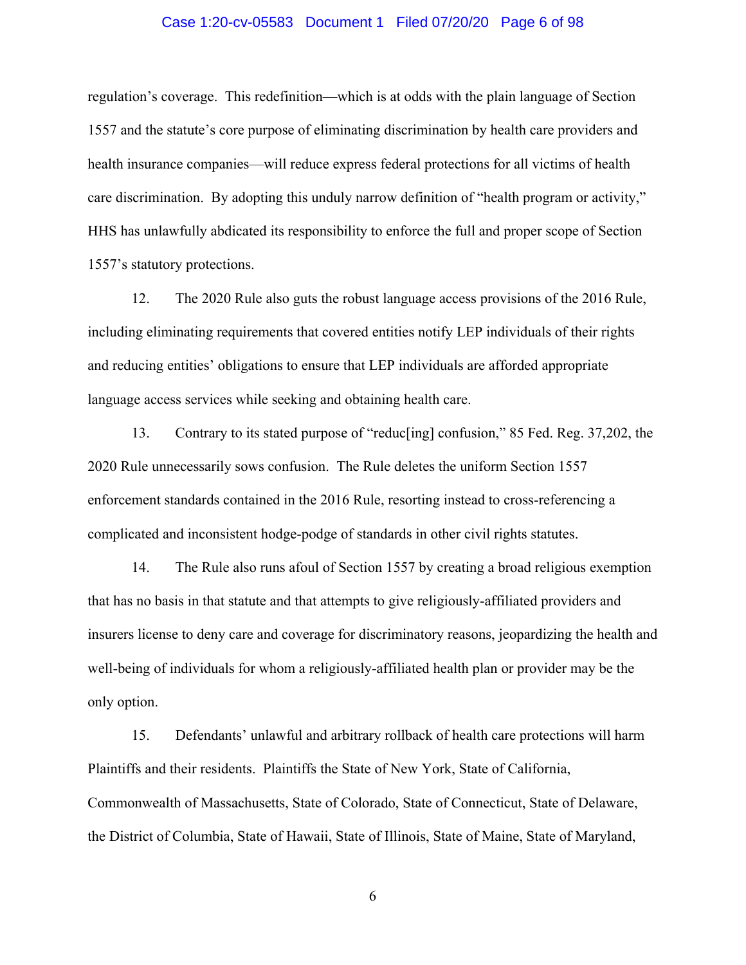#### Case 1:20-cv-05583 Document 1 Filed 07/20/20 Page 6 of 98

regulation's coverage. This redefinition—which is at odds with the plain language of Section 1557 and the statute's core purpose of eliminating discrimination by health care providers and health insurance companies—will reduce express federal protections for all victims of health care discrimination. By adopting this unduly narrow definition of "health program or activity," HHS has unlawfully abdicated its responsibility to enforce the full and proper scope of Section 1557's statutory protections.

12. The 2020 Rule also guts the robust language access provisions of the 2016 Rule, including eliminating requirements that covered entities notify LEP individuals of their rights and reducing entities' obligations to ensure that LEP individuals are afforded appropriate language access services while seeking and obtaining health care.

13. Contrary to its stated purpose of "reduc[ing] confusion," 85 Fed. Reg. 37,202, the 2020 Rule unnecessarily sows confusion. The Rule deletes the uniform Section 1557 enforcement standards contained in the 2016 Rule, resorting instead to cross-referencing a complicated and inconsistent hodge-podge of standards in other civil rights statutes.

14. The Rule also runs afoul of Section 1557 by creating a broad religious exemption that has no basis in that statute and that attempts to give religiously-affiliated providers and insurers license to deny care and coverage for discriminatory reasons, jeopardizing the health and well-being of individuals for whom a religiously-affiliated health plan or provider may be the only option.

15. Defendants' unlawful and arbitrary rollback of health care protections will harm Plaintiffs and their residents. Plaintiffs the State of New York, State of California, Commonwealth of Massachusetts, State of Colorado, State of Connecticut, State of Delaware, the District of Columbia, State of Hawaii, State of Illinois, State of Maine, State of Maryland,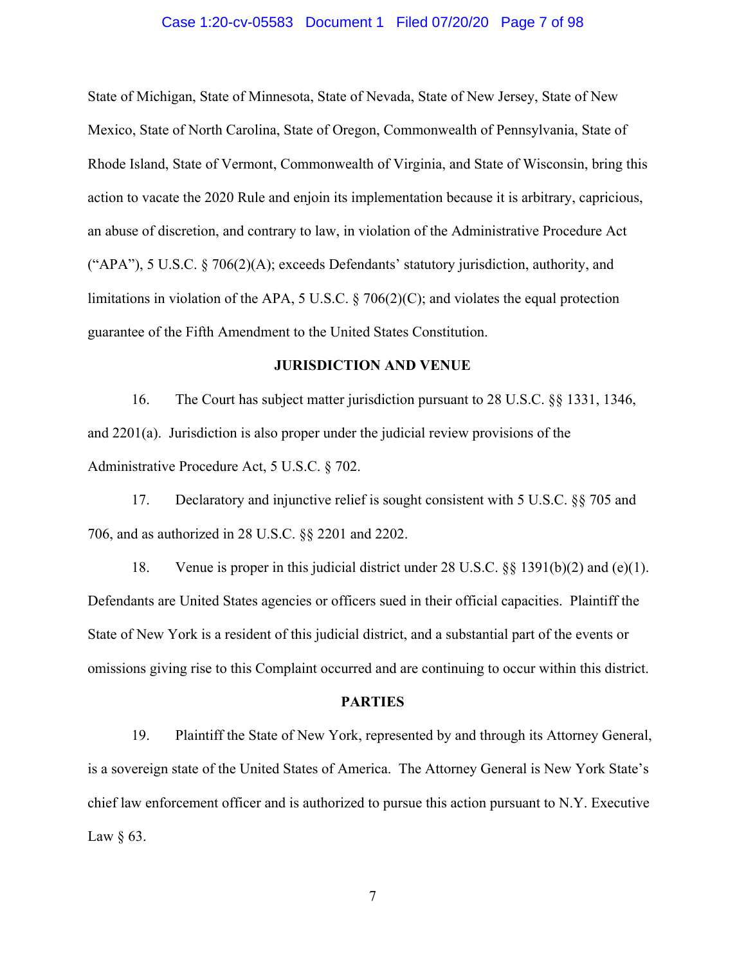#### Case 1:20-cv-05583 Document 1 Filed 07/20/20 Page 7 of 98

State of Michigan, State of Minnesota, State of Nevada, State of New Jersey, State of New Mexico, State of North Carolina, State of Oregon, Commonwealth of Pennsylvania, State of Rhode Island, State of Vermont, Commonwealth of Virginia, and State of Wisconsin, bring this action to vacate the 2020 Rule and enjoin its implementation because it is arbitrary, capricious, an abuse of discretion, and contrary to law, in violation of the Administrative Procedure Act ("APA"), 5 U.S.C. § 706(2)(A); exceeds Defendants' statutory jurisdiction, authority, and limitations in violation of the APA, 5 U.S.C.  $\S$  706(2)(C); and violates the equal protection guarantee of the Fifth Amendment to the United States Constitution.

### **JURISDICTION AND VENUE**

16. The Court has subject matter jurisdiction pursuant to 28 U.S.C. §§ 1331, 1346, and 2201(a). Jurisdiction is also proper under the judicial review provisions of the Administrative Procedure Act, 5 U.S.C. § 702.

17. Declaratory and injunctive relief is sought consistent with 5 U.S.C. §§ 705 and 706, and as authorized in 28 U.S.C. §§ 2201 and 2202.

18. Venue is proper in this judicial district under 28 U.S.C. §§ 1391(b)(2) and (e)(1). Defendants are United States agencies or officers sued in their official capacities. Plaintiff the State of New York is a resident of this judicial district, and a substantial part of the events or omissions giving rise to this Complaint occurred and are continuing to occur within this district.

#### **PARTIES**

19. Plaintiff the State of New York, represented by and through its Attorney General, is a sovereign state of the United States of America. The Attorney General is New York State's chief law enforcement officer and is authorized to pursue this action pursuant to N.Y. Executive Law  $\S$  63.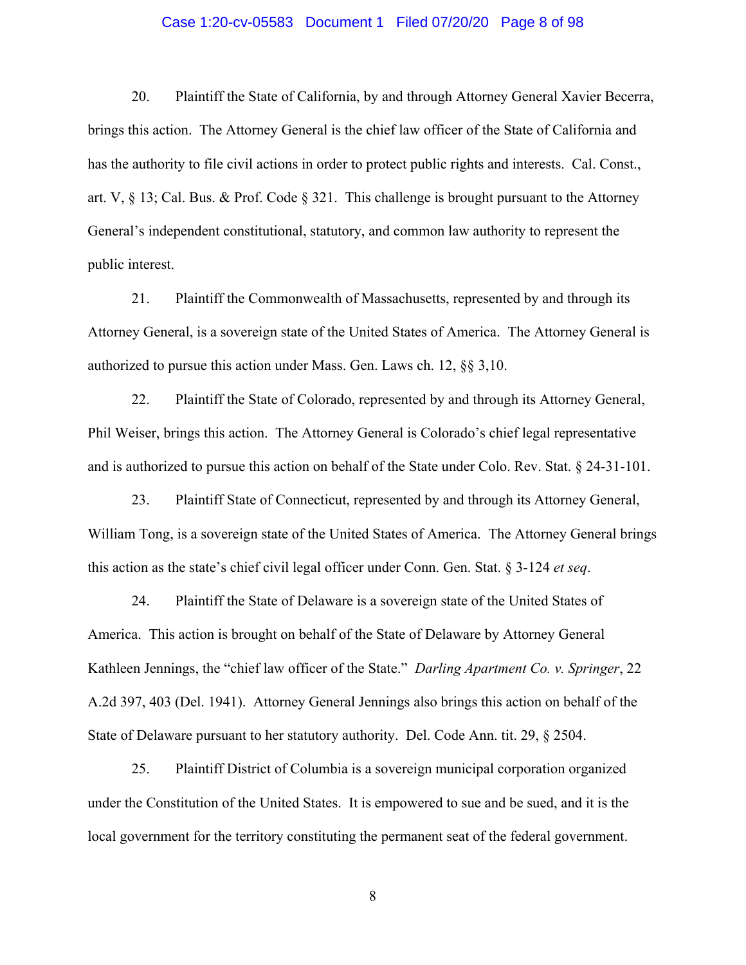#### Case 1:20-cv-05583 Document 1 Filed 07/20/20 Page 8 of 98

20. Plaintiff the State of California, by and through Attorney General Xavier Becerra, brings this action. The Attorney General is the chief law officer of the State of California and has the authority to file civil actions in order to protect public rights and interests. Cal. Const., art. V, § 13; Cal. Bus. & Prof. Code § 321. This challenge is brought pursuant to the Attorney General's independent constitutional, statutory, and common law authority to represent the public interest.

21. Plaintiff the Commonwealth of Massachusetts, represented by and through its Attorney General, is a sovereign state of the United States of America. The Attorney General is authorized to pursue this action under Mass. Gen. Laws ch. 12, §§ 3,10.

22. Plaintiff the State of Colorado, represented by and through its Attorney General, Phil Weiser, brings this action. The Attorney General is Colorado's chief legal representative and is authorized to pursue this action on behalf of the State under Colo. Rev. Stat. § 24-31-101.

23. Plaintiff State of Connecticut, represented by and through its Attorney General, William Tong, is a sovereign state of the United States of America. The Attorney General brings this action as the state's chief civil legal officer under Conn. Gen. Stat. § 3-124 *et seq*.

24. Plaintiff the State of Delaware is a sovereign state of the United States of America. This action is brought on behalf of the State of Delaware by Attorney General Kathleen Jennings, the "chief law officer of the State." *Darling Apartment Co. v. Springer*, 22 A.2d 397, 403 (Del. 1941). Attorney General Jennings also brings this action on behalf of the State of Delaware pursuant to her statutory authority. Del. Code Ann. tit. 29, § 2504.

25. Plaintiff District of Columbia is a sovereign municipal corporation organized under the Constitution of the United States. It is empowered to sue and be sued, and it is the local government for the territory constituting the permanent seat of the federal government.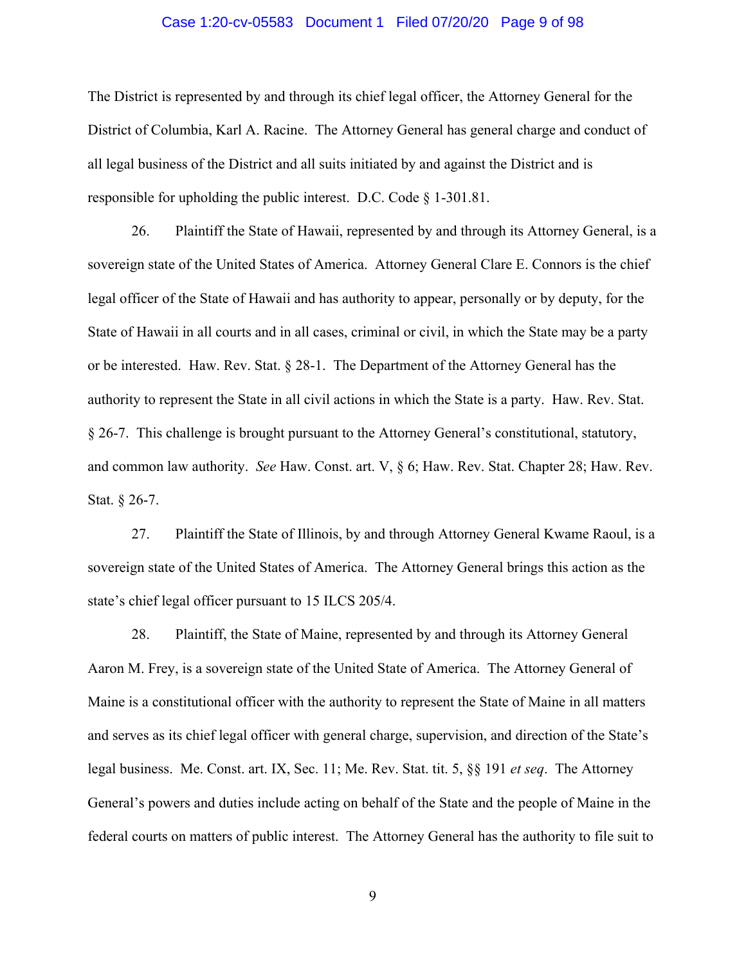#### Case 1:20-cv-05583 Document 1 Filed 07/20/20 Page 9 of 98

The District is represented by and through its chief legal officer, the Attorney General for the District of Columbia, Karl A. Racine. The Attorney General has general charge and conduct of all legal business of the District and all suits initiated by and against the District and is responsible for upholding the public interest. D.C. Code § 1-301.81.

26. Plaintiff the State of Hawaii, represented by and through its Attorney General, is a sovereign state of the United States of America. Attorney General Clare E. Connors is the chief legal officer of the State of Hawaii and has authority to appear, personally or by deputy, for the State of Hawaii in all courts and in all cases, criminal or civil, in which the State may be a party or be interested. Haw. Rev. Stat. § 28-1. The Department of the Attorney General has the authority to represent the State in all civil actions in which the State is a party. Haw. Rev. Stat. § 26-7. This challenge is brought pursuant to the Attorney General's constitutional, statutory, and common law authority. *See* Haw. Const. art. V, § 6; Haw. Rev. Stat. Chapter 28; Haw. Rev. Stat. § 26-7.

27. Plaintiff the State of Illinois, by and through Attorney General Kwame Raoul, is a sovereign state of the United States of America. The Attorney General brings this action as the state's chief legal officer pursuant to 15 ILCS 205/4.

28. Plaintiff, the State of Maine, represented by and through its Attorney General Aaron M. Frey, is a sovereign state of the United State of America. The Attorney General of Maine is a constitutional officer with the authority to represent the State of Maine in all matters and serves as its chief legal officer with general charge, supervision, and direction of the State's legal business. Me. Const. art. IX, Sec. 11; Me. Rev. Stat. tit. 5, §§ 191 *et seq*. The Attorney General's powers and duties include acting on behalf of the State and the people of Maine in the federal courts on matters of public interest. The Attorney General has the authority to file suit to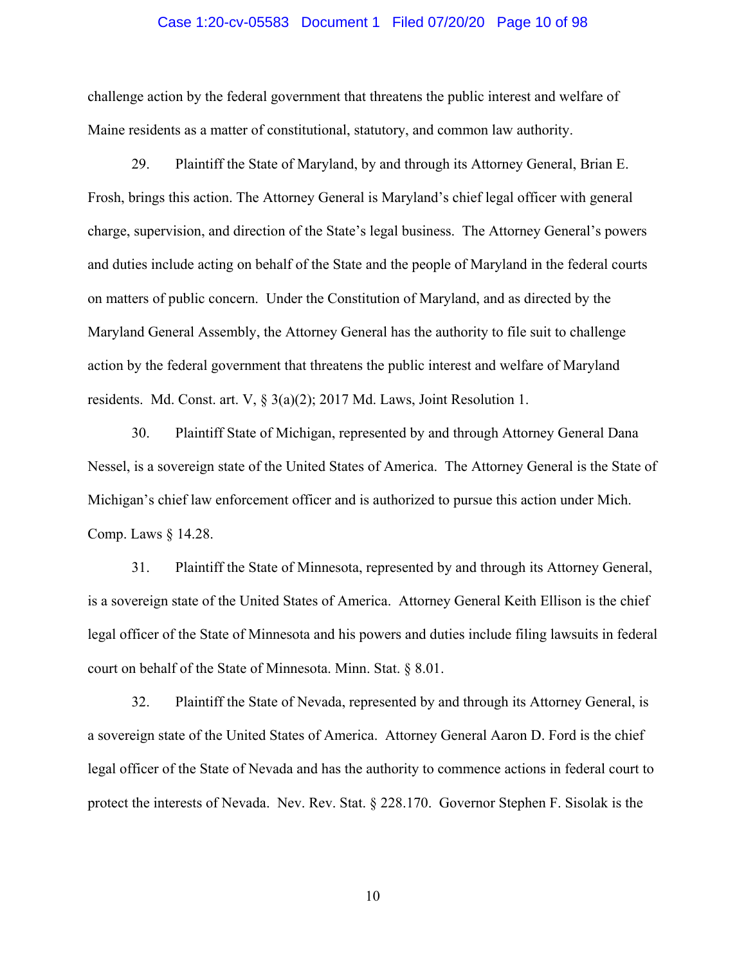#### Case 1:20-cv-05583 Document 1 Filed 07/20/20 Page 10 of 98

challenge action by the federal government that threatens the public interest and welfare of Maine residents as a matter of constitutional, statutory, and common law authority.

29. Plaintiff the State of Maryland, by and through its Attorney General, Brian E. Frosh, brings this action. The Attorney General is Maryland's chief legal officer with general charge, supervision, and direction of the State's legal business. The Attorney General's powers and duties include acting on behalf of the State and the people of Maryland in the federal courts on matters of public concern. Under the Constitution of Maryland, and as directed by the Maryland General Assembly, the Attorney General has the authority to file suit to challenge action by the federal government that threatens the public interest and welfare of Maryland residents. Md. Const. art. V,  $\S 3(a)(2)$ ; 2017 Md. Laws, Joint Resolution 1.

30. Plaintiff State of Michigan, represented by and through Attorney General Dana Nessel, is a sovereign state of the United States of America. The Attorney General is the State of Michigan's chief law enforcement officer and is authorized to pursue this action under Mich. Comp. Laws § 14.28.

31. Plaintiff the State of Minnesota, represented by and through its Attorney General, is a sovereign state of the United States of America. Attorney General Keith Ellison is the chief legal officer of the State of Minnesota and his powers and duties include filing lawsuits in federal court on behalf of the State of Minnesota. Minn. Stat. § 8.01.

32. Plaintiff the State of Nevada, represented by and through its Attorney General, is a sovereign state of the United States of America. Attorney General Aaron D. Ford is the chief legal officer of the State of Nevada and has the authority to commence actions in federal court to protect the interests of Nevada. Nev. Rev. Stat. § 228.170. Governor Stephen F. Sisolak is the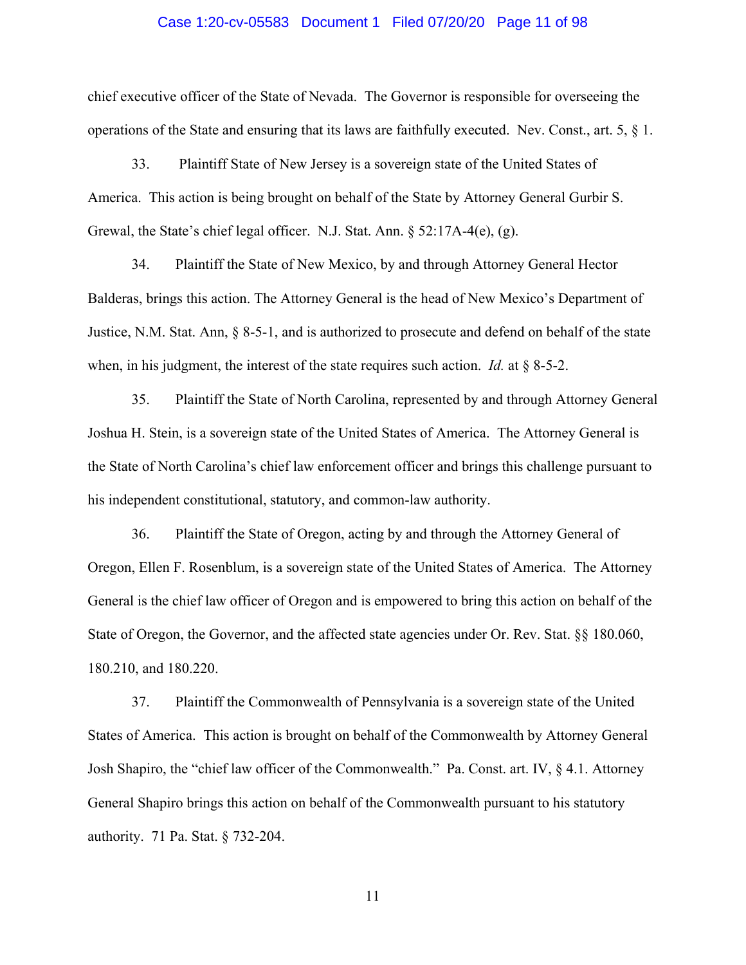#### Case 1:20-cv-05583 Document 1 Filed 07/20/20 Page 11 of 98

chief executive officer of the State of Nevada. The Governor is responsible for overseeing the operations of the State and ensuring that its laws are faithfully executed. Nev. Const., art. 5, § 1.

33. Plaintiff State of New Jersey is a sovereign state of the United States of America. This action is being brought on behalf of the State by Attorney General Gurbir S. Grewal, the State's chief legal officer. N.J. Stat. Ann. § 52:17A-4(e), (g).

34. Plaintiff the State of New Mexico, by and through Attorney General Hector Balderas, brings this action. The Attorney General is the head of New Mexico's Department of Justice, N.M. Stat. Ann, § 8-5-1, and is authorized to prosecute and defend on behalf of the state when, in his judgment, the interest of the state requires such action. *Id.* at § 8-5-2.

35. Plaintiff the State of North Carolina, represented by and through Attorney General Joshua H. Stein, is a sovereign state of the United States of America. The Attorney General is the State of North Carolina's chief law enforcement officer and brings this challenge pursuant to his independent constitutional, statutory, and common-law authority.

36. Plaintiff the State of Oregon, acting by and through the Attorney General of Oregon, Ellen F. Rosenblum, is a sovereign state of the United States of America. The Attorney General is the chief law officer of Oregon and is empowered to bring this action on behalf of the State of Oregon, the Governor, and the affected state agencies under Or. Rev. Stat. §§ 180.060, 180.210, and 180.220.

37. Plaintiff the Commonwealth of Pennsylvania is a sovereign state of the United States of America. This action is brought on behalf of the Commonwealth by Attorney General Josh Shapiro, the "chief law officer of the Commonwealth." Pa. Const. art. IV, § 4.1. Attorney General Shapiro brings this action on behalf of the Commonwealth pursuant to his statutory authority. 71 Pa. Stat. § 732-204.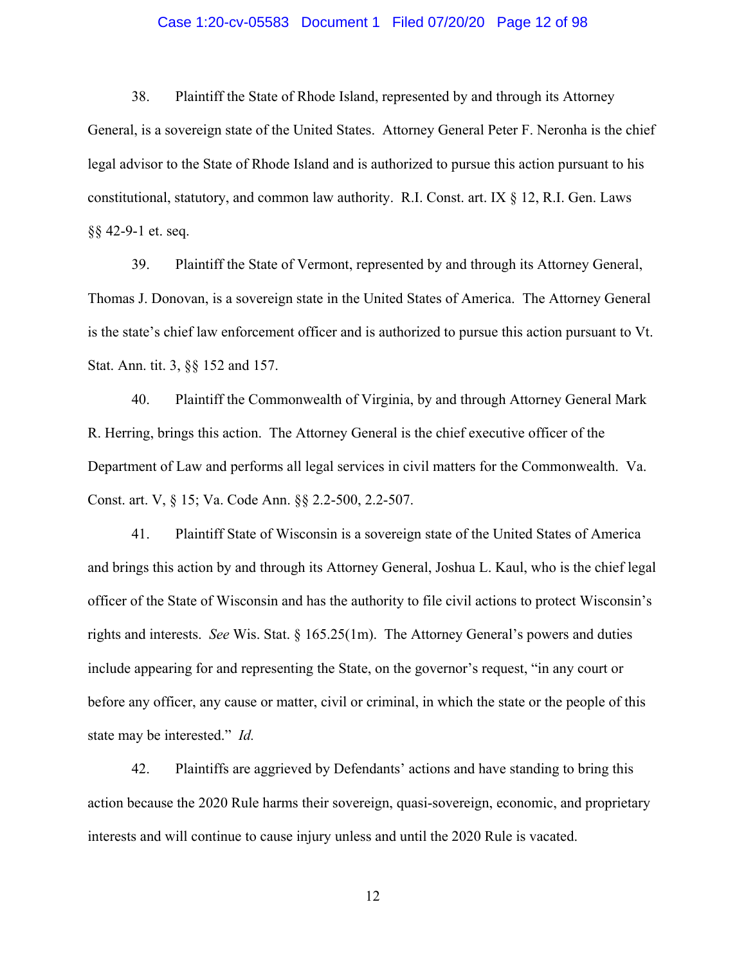### Case 1:20-cv-05583 Document 1 Filed 07/20/20 Page 12 of 98

38. Plaintiff the State of Rhode Island, represented by and through its Attorney General, is a sovereign state of the United States. Attorney General Peter F. Neronha is the chief legal advisor to the State of Rhode Island and is authorized to pursue this action pursuant to his constitutional, statutory, and common law authority. R.I. Const. art. IX § 12, R.I. Gen. Laws §§ 42-9-1 et. seq.

39. Plaintiff the State of Vermont, represented by and through its Attorney General, Thomas J. Donovan, is a sovereign state in the United States of America. The Attorney General is the state's chief law enforcement officer and is authorized to pursue this action pursuant to Vt. Stat. Ann. tit. 3, §§ 152 and 157.

40. Plaintiff the Commonwealth of Virginia, by and through Attorney General Mark R. Herring, brings this action. The Attorney General is the chief executive officer of the Department of Law and performs all legal services in civil matters for the Commonwealth. Va. Const. art. V, § 15; Va. Code Ann. §§ 2.2-500, 2.2-507.

41. Plaintiff State of Wisconsin is a sovereign state of the United States of America and brings this action by and through its Attorney General, Joshua L. Kaul, who is the chief legal officer of the State of Wisconsin and has the authority to file civil actions to protect Wisconsin's rights and interests. *See* Wis. Stat. § 165.25(1m). The Attorney General's powers and duties include appearing for and representing the State, on the governor's request, "in any court or before any officer, any cause or matter, civil or criminal, in which the state or the people of this state may be interested." *Id.* 

42. Plaintiffs are aggrieved by Defendants' actions and have standing to bring this action because the 2020 Rule harms their sovereign, quasi-sovereign, economic, and proprietary interests and will continue to cause injury unless and until the 2020 Rule is vacated.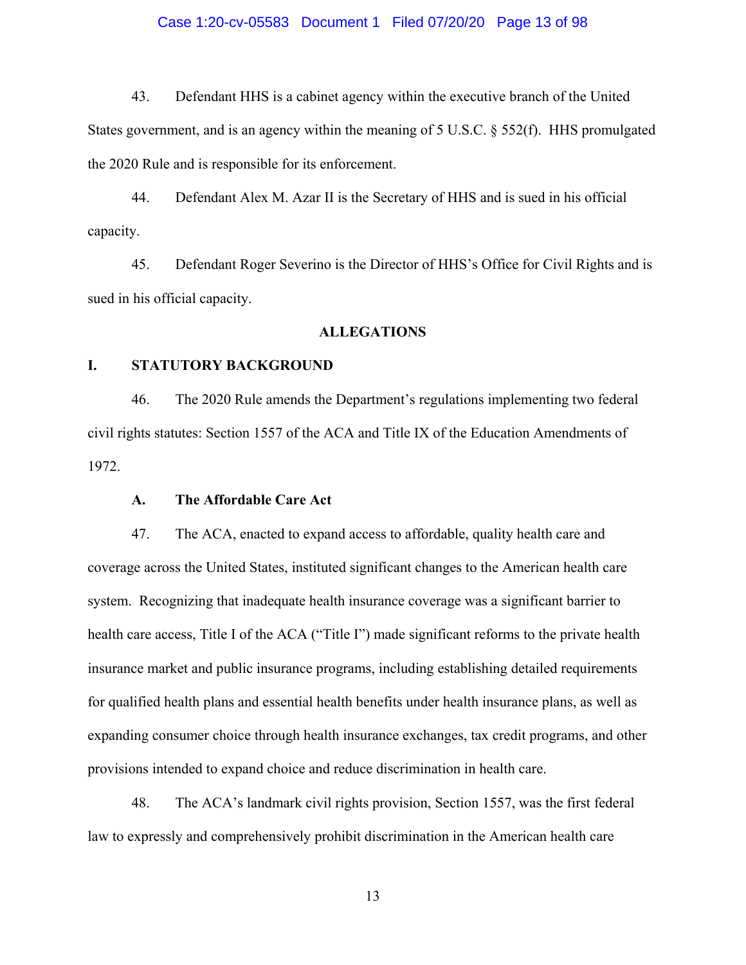### Case 1:20-cv-05583 Document 1 Filed 07/20/20 Page 13 of 98

43. Defendant HHS is a cabinet agency within the executive branch of the United States government, and is an agency within the meaning of 5 U.S.C. § 552(f). HHS promulgated the 2020 Rule and is responsible for its enforcement.

44. Defendant Alex M. Azar II is the Secretary of HHS and is sued in his official capacity.

45. Defendant Roger Severino is the Director of HHS's Office for Civil Rights and is sued in his official capacity.

### **ALLEGATIONS**

### **I. STATUTORY BACKGROUND**

46. The 2020 Rule amends the Department's regulations implementing two federal civil rights statutes: Section 1557 of the ACA and Title IX of the Education Amendments of 1972.

### **A. The Affordable Care Act**

47. The ACA, enacted to expand access to affordable, quality health care and coverage across the United States, instituted significant changes to the American health care system. Recognizing that inadequate health insurance coverage was a significant barrier to health care access, Title I of the ACA ("Title I") made significant reforms to the private health insurance market and public insurance programs, including establishing detailed requirements for qualified health plans and essential health benefits under health insurance plans, as well as expanding consumer choice through health insurance exchanges, tax credit programs, and other provisions intended to expand choice and reduce discrimination in health care.

48. The ACA's landmark civil rights provision, Section 1557, was the first federal law to expressly and comprehensively prohibit discrimination in the American health care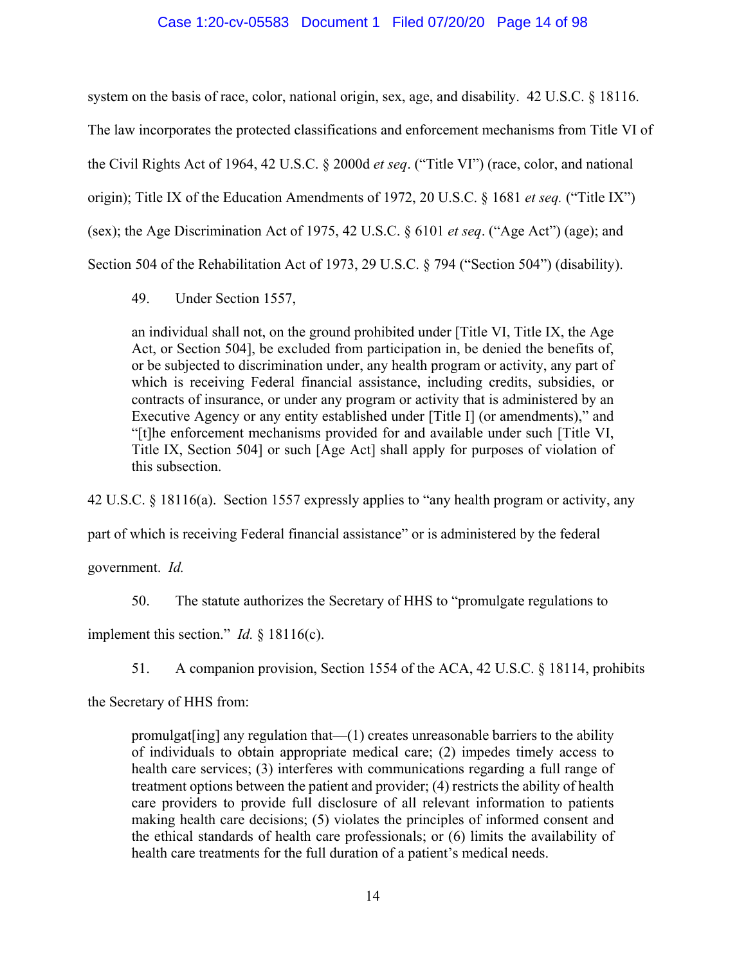### Case 1:20-cv-05583 Document 1 Filed 07/20/20 Page 14 of 98

system on the basis of race, color, national origin, sex, age, and disability. 42 U.S.C. § 18116.

The law incorporates the protected classifications and enforcement mechanisms from Title VI of the Civil Rights Act of 1964, 42 U.S.C. § 2000d *et seq*. ("Title VI") (race, color, and national origin); Title IX of the Education Amendments of 1972, 20 U.S.C. § 1681 *et seq.* ("Title IX") (sex); the Age Discrimination Act of 1975, 42 U.S.C. § 6101 *et seq*. ("Age Act") (age); and Section 504 of the Rehabilitation Act of 1973, 29 U.S.C. § 794 ("Section 504") (disability).

49. Under Section 1557,

an individual shall not, on the ground prohibited under [Title VI, Title IX, the Age Act, or Section 504], be excluded from participation in, be denied the benefits of, or be subjected to discrimination under, any health program or activity, any part of which is receiving Federal financial assistance, including credits, subsidies, or contracts of insurance, or under any program or activity that is administered by an Executive Agency or any entity established under [Title I] (or amendments)," and "[t]he enforcement mechanisms provided for and available under such [Title VI, Title IX, Section 504] or such [Age Act] shall apply for purposes of violation of this subsection.

42 U.S.C. § 18116(a). Section 1557 expressly applies to "any health program or activity, any

part of which is receiving Federal financial assistance" or is administered by the federal

government. *Id.*

50. The statute authorizes the Secretary of HHS to "promulgate regulations to

implement this section." *Id.* § 18116(c).

51. A companion provision, Section 1554 of the ACA, 42 U.S.C. § 18114, prohibits

the Secretary of HHS from:

promulgat $\left[\text{ing}\right]$  any regulation that  $\left(-\left(1\right)\right)$  creates unreasonable barriers to the ability of individuals to obtain appropriate medical care; (2) impedes timely access to health care services; (3) interferes with communications regarding a full range of treatment options between the patient and provider; (4) restricts the ability of health care providers to provide full disclosure of all relevant information to patients making health care decisions; (5) violates the principles of informed consent and the ethical standards of health care professionals; or (6) limits the availability of health care treatments for the full duration of a patient's medical needs.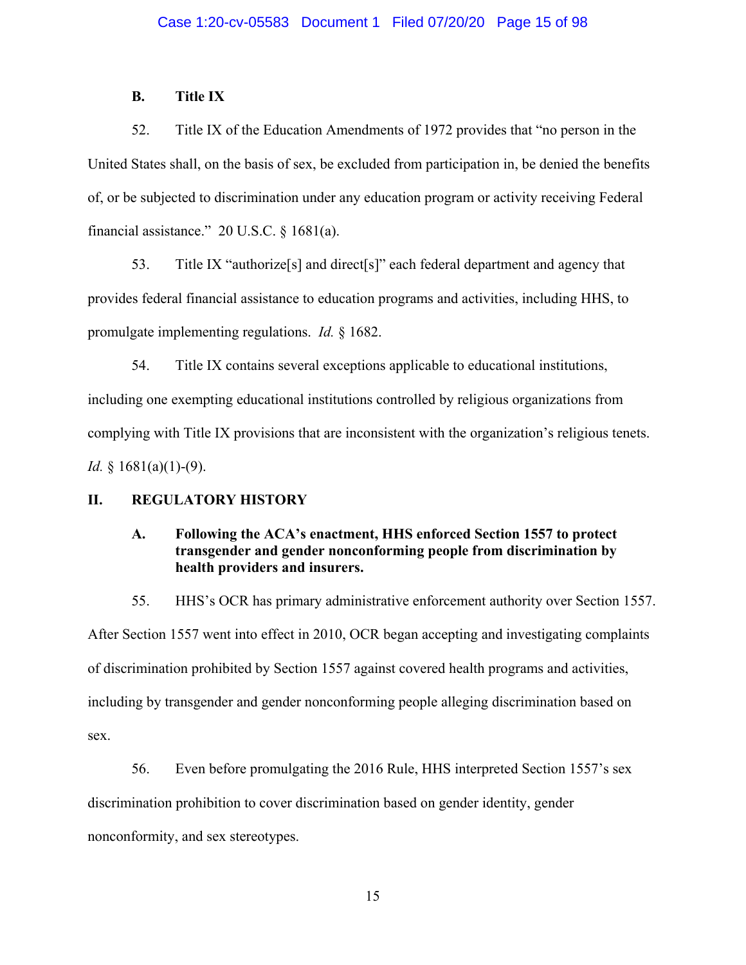## **B. Title IX**

52. Title IX of the Education Amendments of 1972 provides that "no person in the United States shall, on the basis of sex, be excluded from participation in, be denied the benefits of, or be subjected to discrimination under any education program or activity receiving Federal financial assistance."  $20$  U.S.C.  $\S$  1681(a).

53. Title IX "authorize[s] and direct[s]" each federal department and agency that provides federal financial assistance to education programs and activities, including HHS, to promulgate implementing regulations. *Id.* § 1682.

54. Title IX contains several exceptions applicable to educational institutions, including one exempting educational institutions controlled by religious organizations from complying with Title IX provisions that are inconsistent with the organization's religious tenets. *Id.* § 1681(a)(1)-(9).

### **II. REGULATORY HISTORY**

# **A. Following the ACA's enactment, HHS enforced Section 1557 to protect transgender and gender nonconforming people from discrimination by health providers and insurers.**

55. HHS's OCR has primary administrative enforcement authority over Section 1557. After Section 1557 went into effect in 2010, OCR began accepting and investigating complaints of discrimination prohibited by Section 1557 against covered health programs and activities, including by transgender and gender nonconforming people alleging discrimination based on sex.

56. Even before promulgating the 2016 Rule, HHS interpreted Section 1557's sex discrimination prohibition to cover discrimination based on gender identity, gender nonconformity, and sex stereotypes.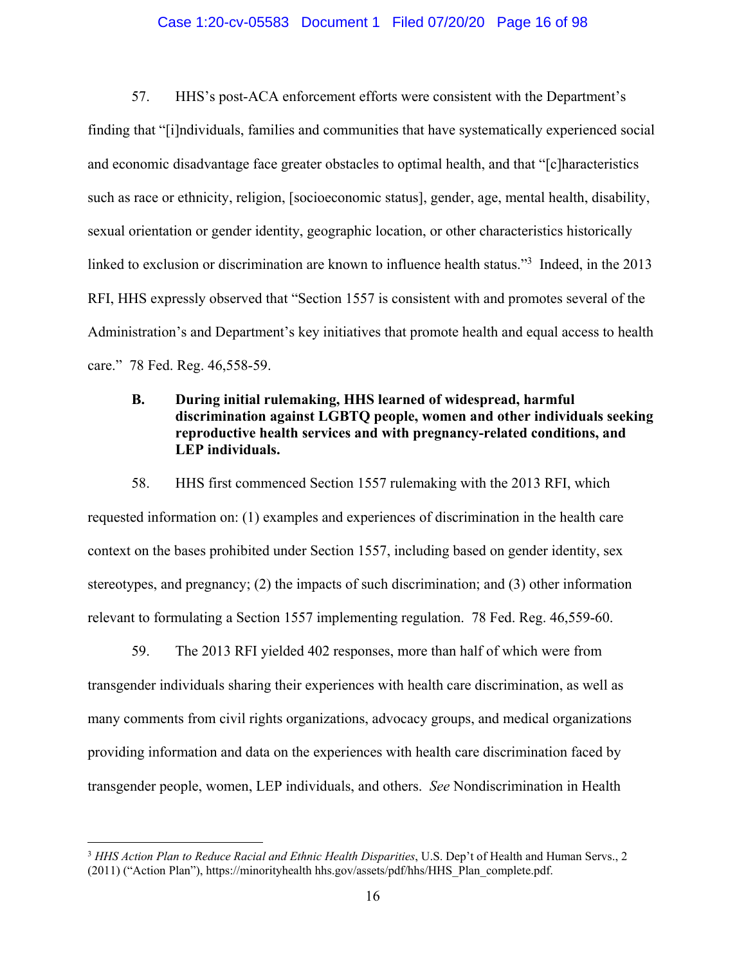#### Case 1:20-cv-05583 Document 1 Filed 07/20/20 Page 16 of 98

57. HHS's post-ACA enforcement efforts were consistent with the Department's finding that "[i]ndividuals, families and communities that have systematically experienced social and economic disadvantage face greater obstacles to optimal health, and that "[c]haracteristics such as race or ethnicity, religion, [socioeconomic status], gender, age, mental health, disability, sexual orientation or gender identity, geographic location, or other characteristics historically linked to exclusion or discrimination are known to influence health status."<sup>3</sup> Indeed, in the 2013 RFI, HHS expressly observed that "Section 1557 is consistent with and promotes several of the Administration's and Department's key initiatives that promote health and equal access to health care." 78 Fed. Reg. 46,558-59.

# **B. During initial rulemaking, HHS learned of widespread, harmful discrimination against LGBTQ people, women and other individuals seeking reproductive health services and with pregnancy-related conditions, and LEP individuals.**

58. HHS first commenced Section 1557 rulemaking with the 2013 RFI, which requested information on: (1) examples and experiences of discrimination in the health care context on the bases prohibited under Section 1557, including based on gender identity, sex stereotypes, and pregnancy; (2) the impacts of such discrimination; and (3) other information relevant to formulating a Section 1557 implementing regulation. 78 Fed. Reg. 46,559-60.

59. The 2013 RFI yielded 402 responses, more than half of which were from transgender individuals sharing their experiences with health care discrimination, as well as many comments from civil rights organizations, advocacy groups, and medical organizations providing information and data on the experiences with health care discrimination faced by transgender people, women, LEP individuals, and others. *See* Nondiscrimination in Health

 $\overline{a}$ 

<sup>3</sup> *HHS Action Plan to Reduce Racial and Ethnic Health Disparities*, U.S. Dep't of Health and Human Servs., 2 (2011) ("Action Plan"), https://minorityhealth hhs.gov/assets/pdf/hhs/HHS\_Plan\_complete.pdf.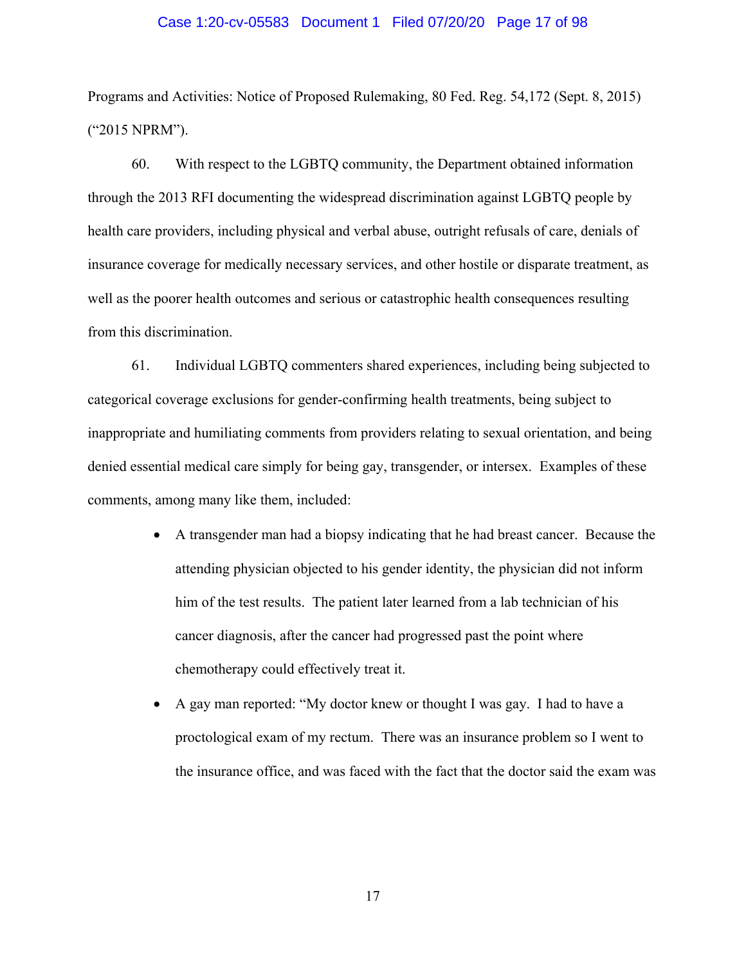#### Case 1:20-cv-05583 Document 1 Filed 07/20/20 Page 17 of 98

Programs and Activities: Notice of Proposed Rulemaking, 80 Fed. Reg. 54,172 (Sept. 8, 2015) ("2015 NPRM").

60. With respect to the LGBTQ community, the Department obtained information through the 2013 RFI documenting the widespread discrimination against LGBTQ people by health care providers, including physical and verbal abuse, outright refusals of care, denials of insurance coverage for medically necessary services, and other hostile or disparate treatment, as well as the poorer health outcomes and serious or catastrophic health consequences resulting from this discrimination.

61. Individual LGBTQ commenters shared experiences, including being subjected to categorical coverage exclusions for gender-confirming health treatments, being subject to inappropriate and humiliating comments from providers relating to sexual orientation, and being denied essential medical care simply for being gay, transgender, or intersex. Examples of these comments, among many like them, included:

- A transgender man had a biopsy indicating that he had breast cancer. Because the attending physician objected to his gender identity, the physician did not inform him of the test results. The patient later learned from a lab technician of his cancer diagnosis, after the cancer had progressed past the point where chemotherapy could effectively treat it.
- A gay man reported: "My doctor knew or thought I was gay. I had to have a proctological exam of my rectum. There was an insurance problem so I went to the insurance office, and was faced with the fact that the doctor said the exam was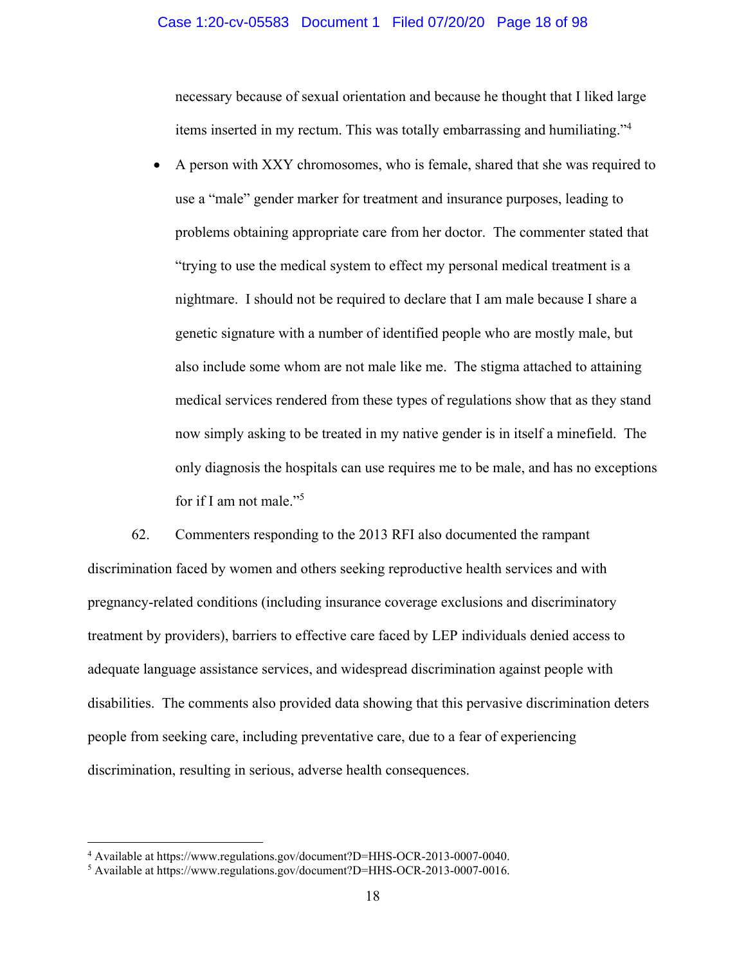#### Case 1:20-cv-05583 Document 1 Filed 07/20/20 Page 18 of 98

necessary because of sexual orientation and because he thought that I liked large items inserted in my rectum. This was totally embarrassing and humiliating."<sup>4</sup>

 A person with XXY chromosomes, who is female, shared that she was required to use a "male" gender marker for treatment and insurance purposes, leading to problems obtaining appropriate care from her doctor. The commenter stated that "trying to use the medical system to effect my personal medical treatment is a nightmare. I should not be required to declare that I am male because I share a genetic signature with a number of identified people who are mostly male, but also include some whom are not male like me. The stigma attached to attaining medical services rendered from these types of regulations show that as they stand now simply asking to be treated in my native gender is in itself a minefield. The only diagnosis the hospitals can use requires me to be male, and has no exceptions for if I am not male."<sup>5</sup>

62. Commenters responding to the 2013 RFI also documented the rampant discrimination faced by women and others seeking reproductive health services and with pregnancy-related conditions (including insurance coverage exclusions and discriminatory treatment by providers), barriers to effective care faced by LEP individuals denied access to adequate language assistance services, and widespread discrimination against people with disabilities. The comments also provided data showing that this pervasive discrimination deters people from seeking care, including preventative care, due to a fear of experiencing discrimination, resulting in serious, adverse health consequences.

 $\overline{a}$ 

<sup>&</sup>lt;sup>4</sup> Available at https://www.regulations.gov/document?D=HHS-OCR-2013-0007-0040.<br><sup>5</sup> Available at https://www.requlations.gov/document?D=HHS-OCR-2013-0007-0016

Available at https://www.regulations.gov/document?D=HHS-OCR-2013-0007-0016.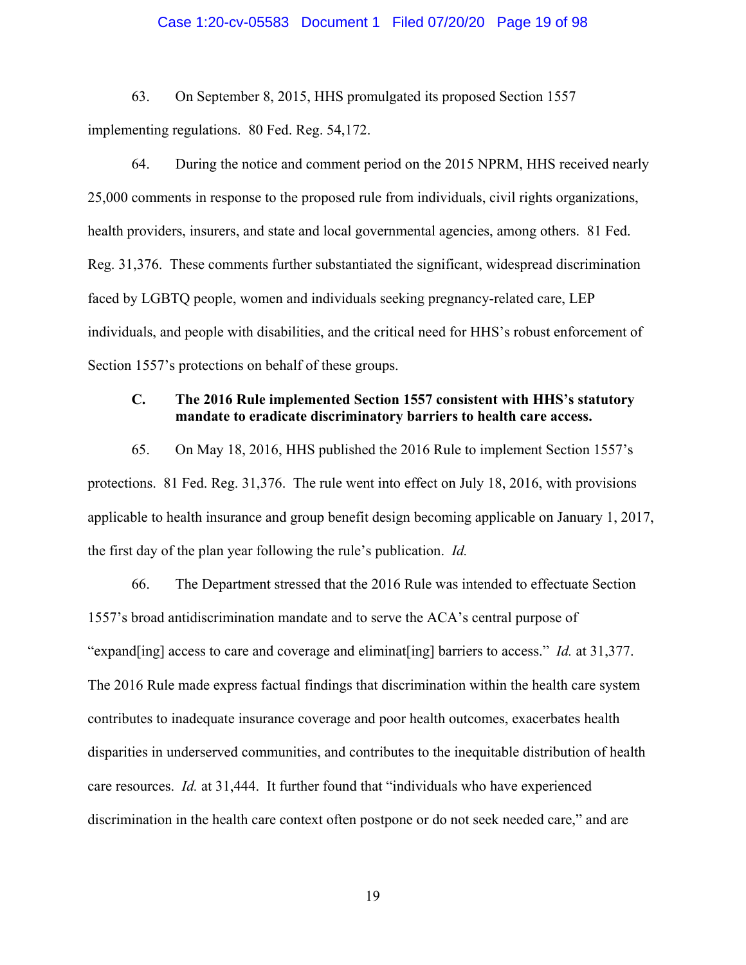#### Case 1:20-cv-05583 Document 1 Filed 07/20/20 Page 19 of 98

63. On September 8, 2015, HHS promulgated its proposed Section 1557 implementing regulations. 80 Fed. Reg. 54,172.

64. During the notice and comment period on the 2015 NPRM, HHS received nearly 25,000 comments in response to the proposed rule from individuals, civil rights organizations, health providers, insurers, and state and local governmental agencies, among others. 81 Fed. Reg. 31,376. These comments further substantiated the significant, widespread discrimination faced by LGBTQ people, women and individuals seeking pregnancy-related care, LEP individuals, and people with disabilities, and the critical need for HHS's robust enforcement of Section 1557's protections on behalf of these groups.

# **C. The 2016 Rule implemented Section 1557 consistent with HHS's statutory mandate to eradicate discriminatory barriers to health care access.**

65. On May 18, 2016, HHS published the 2016 Rule to implement Section 1557's protections. 81 Fed. Reg. 31,376. The rule went into effect on July 18, 2016, with provisions applicable to health insurance and group benefit design becoming applicable on January 1, 2017, the first day of the plan year following the rule's publication. *Id.*

66. The Department stressed that the 2016 Rule was intended to effectuate Section 1557's broad antidiscrimination mandate and to serve the ACA's central purpose of "expand[ing] access to care and coverage and eliminat[ing] barriers to access." *Id.* at 31,377. The 2016 Rule made express factual findings that discrimination within the health care system contributes to inadequate insurance coverage and poor health outcomes, exacerbates health disparities in underserved communities, and contributes to the inequitable distribution of health care resources. *Id.* at 31,444. It further found that "individuals who have experienced discrimination in the health care context often postpone or do not seek needed care," and are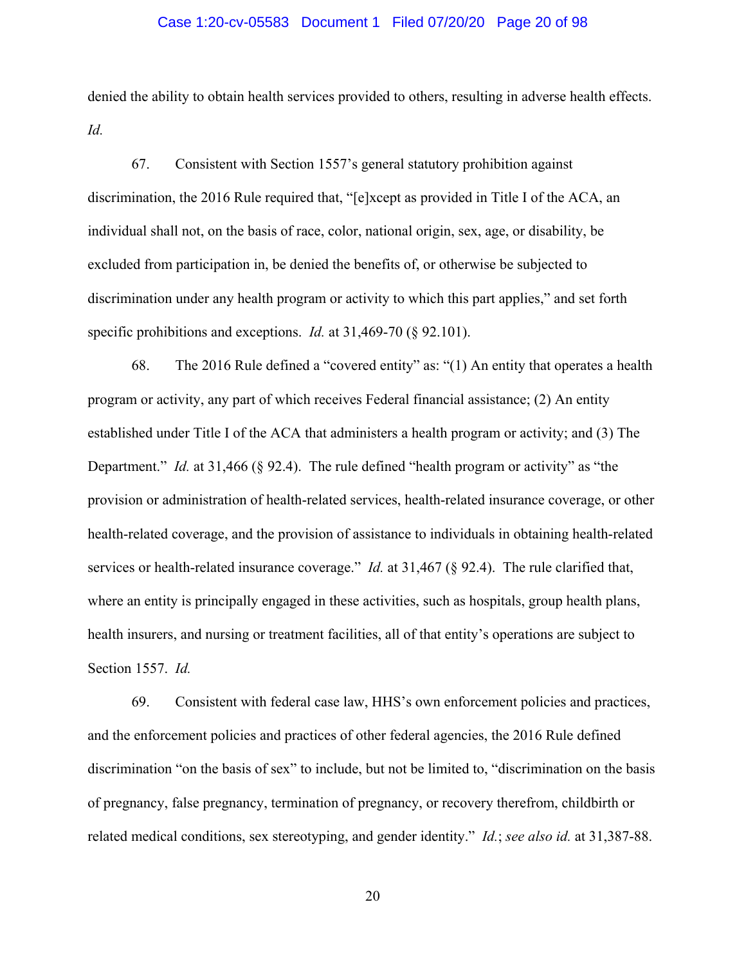#### Case 1:20-cv-05583 Document 1 Filed 07/20/20 Page 20 of 98

denied the ability to obtain health services provided to others, resulting in adverse health effects. *Id.*

67. Consistent with Section 1557's general statutory prohibition against discrimination, the 2016 Rule required that, "[e]xcept as provided in Title I of the ACA, an individual shall not, on the basis of race, color, national origin, sex, age, or disability, be excluded from participation in, be denied the benefits of, or otherwise be subjected to discrimination under any health program or activity to which this part applies," and set forth specific prohibitions and exceptions. *Id.* at 31,469-70 (§ 92.101).

68. The 2016 Rule defined a "covered entity" as: "(1) An entity that operates a health program or activity, any part of which receives Federal financial assistance; (2) An entity established under Title I of the ACA that administers a health program or activity; and (3) The Department." *Id.* at 31,466 (§ 92.4). The rule defined "health program or activity" as "the provision or administration of health-related services, health-related insurance coverage, or other health-related coverage, and the provision of assistance to individuals in obtaining health-related services or health-related insurance coverage." *Id.* at 31,467 (§ 92.4). The rule clarified that, where an entity is principally engaged in these activities, such as hospitals, group health plans, health insurers, and nursing or treatment facilities, all of that entity's operations are subject to Section 1557. *Id.*

69. Consistent with federal case law, HHS's own enforcement policies and practices, and the enforcement policies and practices of other federal agencies, the 2016 Rule defined discrimination "on the basis of sex" to include, but not be limited to, "discrimination on the basis of pregnancy, false pregnancy, termination of pregnancy, or recovery therefrom, childbirth or related medical conditions, sex stereotyping, and gender identity." *Id.*; *see also id.* at 31,387-88.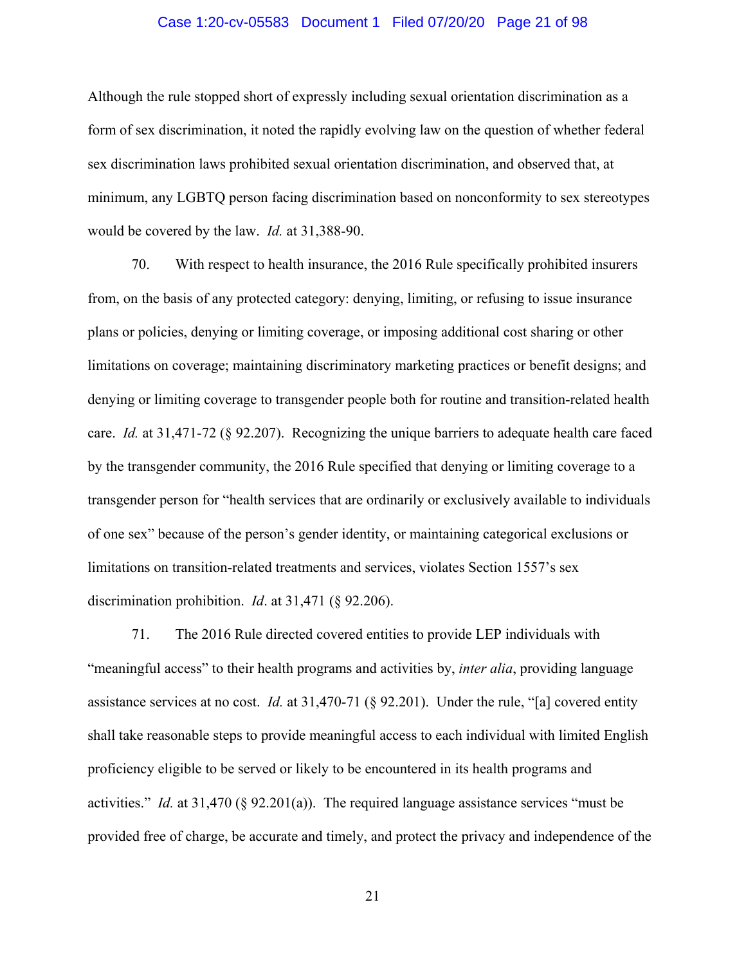### Case 1:20-cv-05583 Document 1 Filed 07/20/20 Page 21 of 98

Although the rule stopped short of expressly including sexual orientation discrimination as a form of sex discrimination, it noted the rapidly evolving law on the question of whether federal sex discrimination laws prohibited sexual orientation discrimination, and observed that, at minimum, any LGBTQ person facing discrimination based on nonconformity to sex stereotypes would be covered by the law. *Id.* at 31,388-90.

70. With respect to health insurance, the 2016 Rule specifically prohibited insurers from, on the basis of any protected category: denying, limiting, or refusing to issue insurance plans or policies, denying or limiting coverage, or imposing additional cost sharing or other limitations on coverage; maintaining discriminatory marketing practices or benefit designs; and denying or limiting coverage to transgender people both for routine and transition-related health care. *Id.* at 31,471-72 (§ 92.207). Recognizing the unique barriers to adequate health care faced by the transgender community, the 2016 Rule specified that denying or limiting coverage to a transgender person for "health services that are ordinarily or exclusively available to individuals of one sex" because of the person's gender identity, or maintaining categorical exclusions or limitations on transition-related treatments and services, violates Section 1557's sex discrimination prohibition. *Id*. at 31,471 (§ 92.206).

71. The 2016 Rule directed covered entities to provide LEP individuals with "meaningful access" to their health programs and activities by, *inter alia*, providing language assistance services at no cost. *Id.* at 31,470-71 (§ 92.201). Under the rule, "[a] covered entity shall take reasonable steps to provide meaningful access to each individual with limited English proficiency eligible to be served or likely to be encountered in its health programs and activities." *Id.* at 31,470 (§ 92.201(a)). The required language assistance services "must be provided free of charge, be accurate and timely, and protect the privacy and independence of the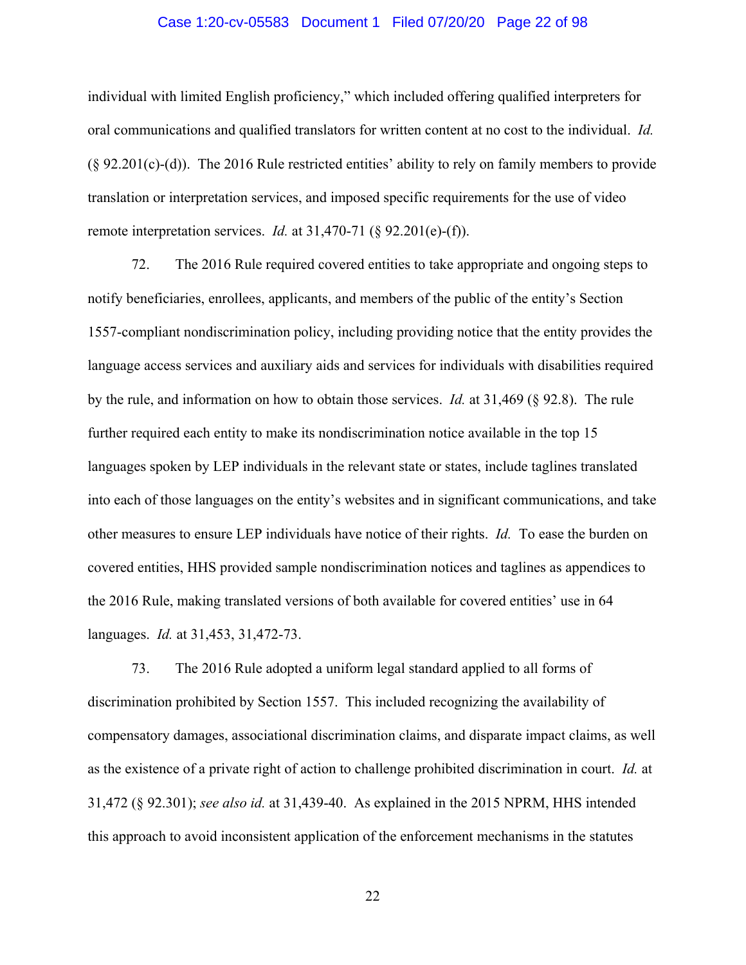#### Case 1:20-cv-05583 Document 1 Filed 07/20/20 Page 22 of 98

individual with limited English proficiency," which included offering qualified interpreters for oral communications and qualified translators for written content at no cost to the individual. *Id.*  $(\S$  92.201(c)-(d)). The 2016 Rule restricted entities' ability to rely on family members to provide translation or interpretation services, and imposed specific requirements for the use of video remote interpretation services. *Id.* at 31,470-71 (§ 92.201(e)-(f)).

72. The 2016 Rule required covered entities to take appropriate and ongoing steps to notify beneficiaries, enrollees, applicants, and members of the public of the entity's Section 1557-compliant nondiscrimination policy, including providing notice that the entity provides the language access services and auxiliary aids and services for individuals with disabilities required by the rule, and information on how to obtain those services. *Id.* at 31,469 (§ 92.8). The rule further required each entity to make its nondiscrimination notice available in the top 15 languages spoken by LEP individuals in the relevant state or states, include taglines translated into each of those languages on the entity's websites and in significant communications, and take other measures to ensure LEP individuals have notice of their rights. *Id.* To ease the burden on covered entities, HHS provided sample nondiscrimination notices and taglines as appendices to the 2016 Rule, making translated versions of both available for covered entities' use in 64 languages. *Id.* at 31,453, 31,472-73.

73. The 2016 Rule adopted a uniform legal standard applied to all forms of discrimination prohibited by Section 1557. This included recognizing the availability of compensatory damages, associational discrimination claims, and disparate impact claims, as well as the existence of a private right of action to challenge prohibited discrimination in court. *Id.* at 31,472 (§ 92.301); *see also id.* at 31,439-40. As explained in the 2015 NPRM, HHS intended this approach to avoid inconsistent application of the enforcement mechanisms in the statutes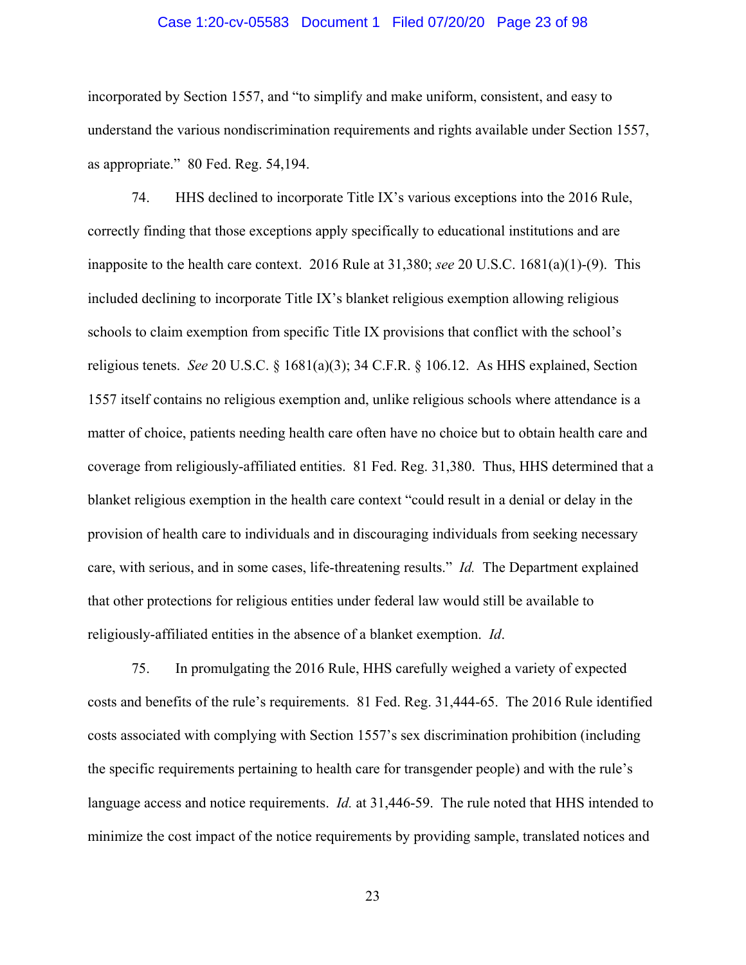#### Case 1:20-cv-05583 Document 1 Filed 07/20/20 Page 23 of 98

incorporated by Section 1557, and "to simplify and make uniform, consistent, and easy to understand the various nondiscrimination requirements and rights available under Section 1557, as appropriate." 80 Fed. Reg. 54,194.

74. HHS declined to incorporate Title IX's various exceptions into the 2016 Rule, correctly finding that those exceptions apply specifically to educational institutions and are inapposite to the health care context. 2016 Rule at 31,380; *see* 20 U.S.C. 1681(a)(1)-(9). This included declining to incorporate Title IX's blanket religious exemption allowing religious schools to claim exemption from specific Title IX provisions that conflict with the school's religious tenets. *See* 20 U.S.C. § 1681(a)(3); 34 C.F.R. § 106.12. As HHS explained, Section 1557 itself contains no religious exemption and, unlike religious schools where attendance is a matter of choice, patients needing health care often have no choice but to obtain health care and coverage from religiously-affiliated entities. 81 Fed. Reg. 31,380. Thus, HHS determined that a blanket religious exemption in the health care context "could result in a denial or delay in the provision of health care to individuals and in discouraging individuals from seeking necessary care, with serious, and in some cases, life-threatening results." *Id.* The Department explained that other protections for religious entities under federal law would still be available to religiously-affiliated entities in the absence of a blanket exemption. *Id*.

75. In promulgating the 2016 Rule, HHS carefully weighed a variety of expected costs and benefits of the rule's requirements. 81 Fed. Reg. 31,444-65. The 2016 Rule identified costs associated with complying with Section 1557's sex discrimination prohibition (including the specific requirements pertaining to health care for transgender people) and with the rule's language access and notice requirements. *Id.* at 31,446-59. The rule noted that HHS intended to minimize the cost impact of the notice requirements by providing sample, translated notices and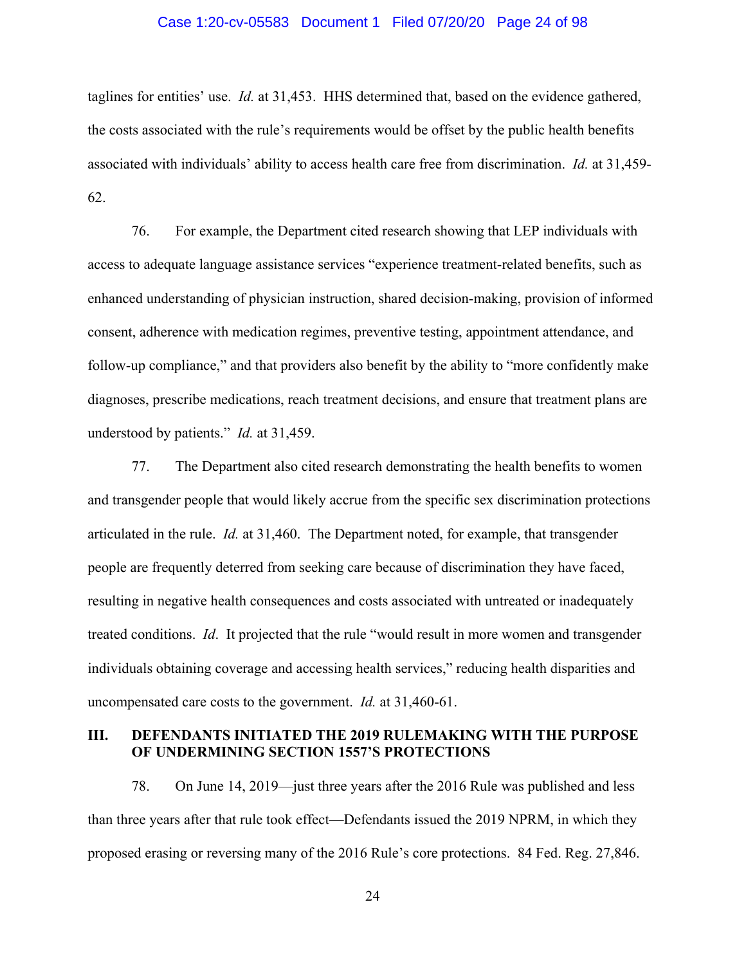#### Case 1:20-cv-05583 Document 1 Filed 07/20/20 Page 24 of 98

taglines for entities' use. *Id.* at 31,453. HHS determined that, based on the evidence gathered, the costs associated with the rule's requirements would be offset by the public health benefits associated with individuals' ability to access health care free from discrimination. *Id.* at 31,459- 62.

76. For example, the Department cited research showing that LEP individuals with access to adequate language assistance services "experience treatment-related benefits, such as enhanced understanding of physician instruction, shared decision-making, provision of informed consent, adherence with medication regimes, preventive testing, appointment attendance, and follow-up compliance," and that providers also benefit by the ability to "more confidently make diagnoses, prescribe medications, reach treatment decisions, and ensure that treatment plans are understood by patients." *Id.* at 31,459.

77. The Department also cited research demonstrating the health benefits to women and transgender people that would likely accrue from the specific sex discrimination protections articulated in the rule. *Id.* at 31,460. The Department noted, for example, that transgender people are frequently deterred from seeking care because of discrimination they have faced, resulting in negative health consequences and costs associated with untreated or inadequately treated conditions. *Id*. It projected that the rule "would result in more women and transgender individuals obtaining coverage and accessing health services," reducing health disparities and uncompensated care costs to the government. *Id.* at 31,460-61.

### **III. DEFENDANTS INITIATED THE 2019 RULEMAKING WITH THE PURPOSE OF UNDERMINING SECTION 1557'S PROTECTIONS**

78. On June 14, 2019—just three years after the 2016 Rule was published and less than three years after that rule took effect—Defendants issued the 2019 NPRM, in which they proposed erasing or reversing many of the 2016 Rule's core protections. 84 Fed. Reg. 27,846.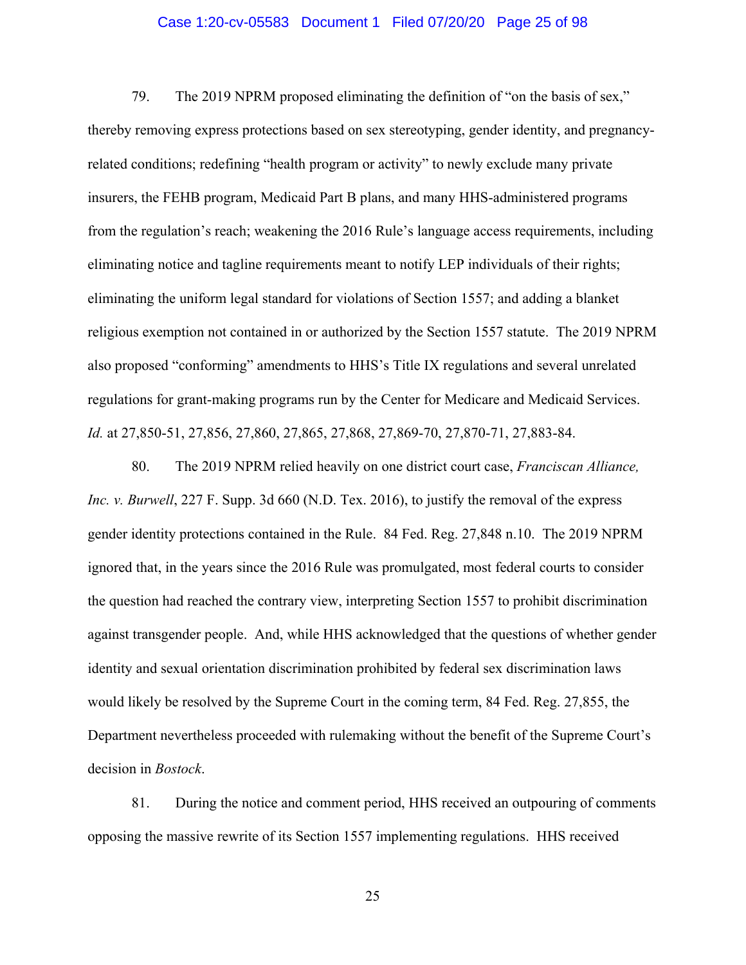#### Case 1:20-cv-05583 Document 1 Filed 07/20/20 Page 25 of 98

79. The 2019 NPRM proposed eliminating the definition of "on the basis of sex," thereby removing express protections based on sex stereotyping, gender identity, and pregnancyrelated conditions; redefining "health program or activity" to newly exclude many private insurers, the FEHB program, Medicaid Part B plans, and many HHS-administered programs from the regulation's reach; weakening the 2016 Rule's language access requirements, including eliminating notice and tagline requirements meant to notify LEP individuals of their rights; eliminating the uniform legal standard for violations of Section 1557; and adding a blanket religious exemption not contained in or authorized by the Section 1557 statute. The 2019 NPRM also proposed "conforming" amendments to HHS's Title IX regulations and several unrelated regulations for grant-making programs run by the Center for Medicare and Medicaid Services. *Id.* at 27,850-51, 27,856, 27,860, 27,865, 27,868, 27,869-70, 27,870-71, 27,883-84.

80. The 2019 NPRM relied heavily on one district court case, *Franciscan Alliance, Inc. v. Burwell*, 227 F. Supp. 3d 660 (N.D. Tex. 2016), to justify the removal of the express gender identity protections contained in the Rule. 84 Fed. Reg. 27,848 n.10. The 2019 NPRM ignored that, in the years since the 2016 Rule was promulgated, most federal courts to consider the question had reached the contrary view, interpreting Section 1557 to prohibit discrimination against transgender people. And, while HHS acknowledged that the questions of whether gender identity and sexual orientation discrimination prohibited by federal sex discrimination laws would likely be resolved by the Supreme Court in the coming term, 84 Fed. Reg. 27,855, the Department nevertheless proceeded with rulemaking without the benefit of the Supreme Court's decision in *Bostock*.

81. During the notice and comment period, HHS received an outpouring of comments opposing the massive rewrite of its Section 1557 implementing regulations. HHS received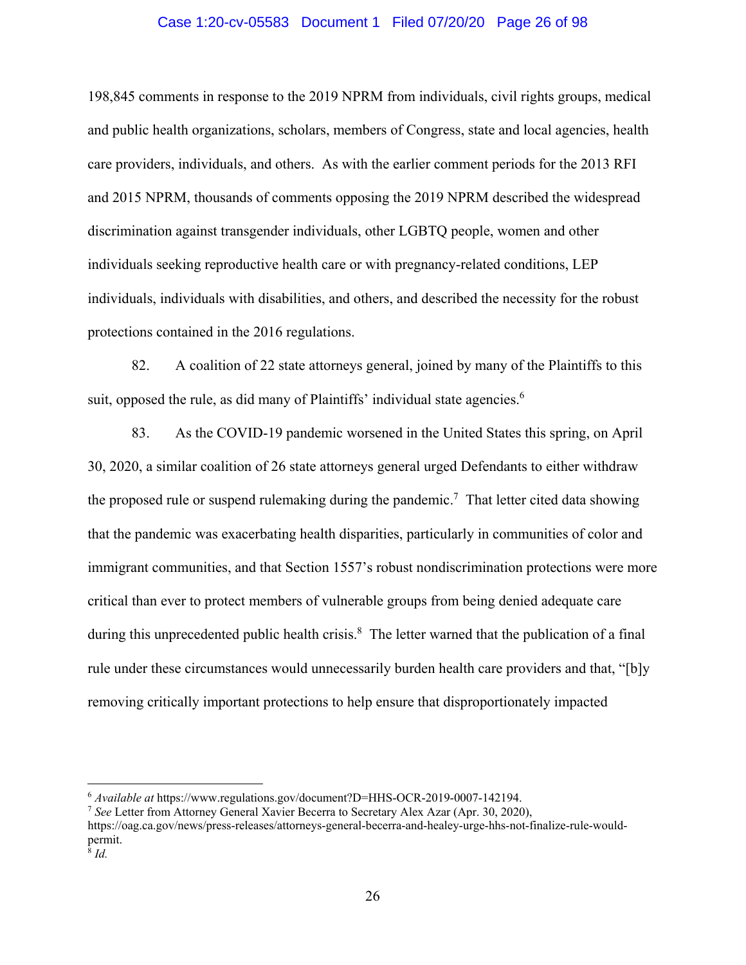### Case 1:20-cv-05583 Document 1 Filed 07/20/20 Page 26 of 98

198,845 comments in response to the 2019 NPRM from individuals, civil rights groups, medical and public health organizations, scholars, members of Congress, state and local agencies, health care providers, individuals, and others. As with the earlier comment periods for the 2013 RFI and 2015 NPRM, thousands of comments opposing the 2019 NPRM described the widespread discrimination against transgender individuals, other LGBTQ people, women and other individuals seeking reproductive health care or with pregnancy-related conditions, LEP individuals, individuals with disabilities, and others, and described the necessity for the robust protections contained in the 2016 regulations.

82. A coalition of 22 state attorneys general, joined by many of the Plaintiffs to this suit, opposed the rule, as did many of Plaintiffs' individual state agencies.<sup>6</sup>

83. As the COVID-19 pandemic worsened in the United States this spring, on April 30, 2020, a similar coalition of 26 state attorneys general urged Defendants to either withdraw the proposed rule or suspend rulemaking during the pandemic.<sup>7</sup> That letter cited data showing that the pandemic was exacerbating health disparities, particularly in communities of color and immigrant communities, and that Section 1557's robust nondiscrimination protections were more critical than ever to protect members of vulnerable groups from being denied adequate care during this unprecedented public health crisis.<sup>8</sup> The letter warned that the publication of a final rule under these circumstances would unnecessarily burden health care providers and that, "[b]y removing critically important protections to help ensure that disproportionately impacted

 $\overline{a}$ 

<sup>6</sup> *Available at* https://www.regulations.gov/document?D=HHS-OCR-2019-0007-142194. 7 *See* Letter from Attorney General Xavier Becerra to Secretary Alex Azar (Apr. 30, 2020),

https://oag.ca.gov/news/press-releases/attorneys-general-becerra-and-healey-urge-hhs-not-finalize-rule-wouldpermit.

 $\overline{\delta}$  *Id.*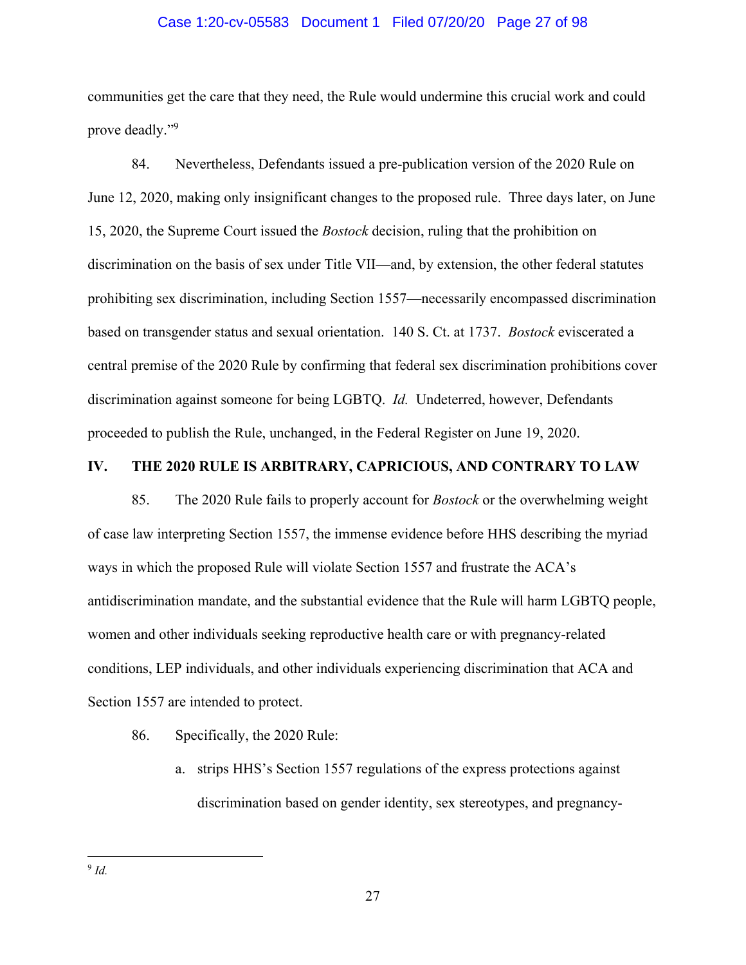### Case 1:20-cv-05583 Document 1 Filed 07/20/20 Page 27 of 98

communities get the care that they need, the Rule would undermine this crucial work and could prove deadly."<sup>9</sup>

84. Nevertheless, Defendants issued a pre-publication version of the 2020 Rule on June 12, 2020, making only insignificant changes to the proposed rule. Three days later, on June 15, 2020, the Supreme Court issued the *Bostock* decision, ruling that the prohibition on discrimination on the basis of sex under Title VII—and, by extension, the other federal statutes prohibiting sex discrimination, including Section 1557—necessarily encompassed discrimination based on transgender status and sexual orientation. 140 S. Ct. at 1737. *Bostock* eviscerated a central premise of the 2020 Rule by confirming that federal sex discrimination prohibitions cover discrimination against someone for being LGBTQ. *Id.* Undeterred, however, Defendants proceeded to publish the Rule, unchanged, in the Federal Register on June 19, 2020.

# **IV. THE 2020 RULE IS ARBITRARY, CAPRICIOUS, AND CONTRARY TO LAW**

85. The 2020 Rule fails to properly account for *Bostock* or the overwhelming weight of case law interpreting Section 1557, the immense evidence before HHS describing the myriad ways in which the proposed Rule will violate Section 1557 and frustrate the ACA's antidiscrimination mandate, and the substantial evidence that the Rule will harm LGBTQ people, women and other individuals seeking reproductive health care or with pregnancy-related conditions, LEP individuals, and other individuals experiencing discrimination that ACA and Section 1557 are intended to protect.

- 86. Specifically, the 2020 Rule:
	- a. strips HHS's Section 1557 regulations of the express protections against discrimination based on gender identity, sex stereotypes, and pregnancy-

 $\overline{a}$ <sup>9</sup> *Id.*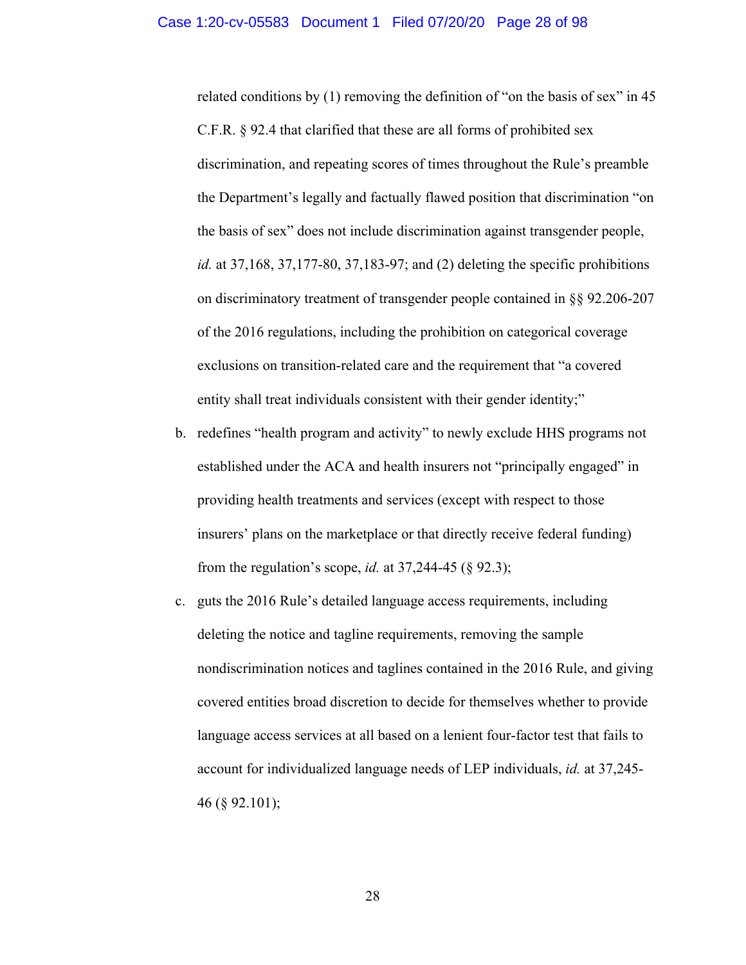related conditions by (1) removing the definition of "on the basis of sex" in 45 C.F.R. § 92.4 that clarified that these are all forms of prohibited sex discrimination, and repeating scores of times throughout the Rule's preamble the Department's legally and factually flawed position that discrimination "on the basis of sex" does not include discrimination against transgender people, *id.* at 37,168, 37,177-80, 37,183-97; and (2) deleting the specific prohibitions on discriminatory treatment of transgender people contained in §§ 92.206-207 of the 2016 regulations, including the prohibition on categorical coverage exclusions on transition-related care and the requirement that "a covered entity shall treat individuals consistent with their gender identity;"

- b. redefines "health program and activity" to newly exclude HHS programs not established under the ACA and health insurers not "principally engaged" in providing health treatments and services (except with respect to those insurers' plans on the marketplace or that directly receive federal funding) from the regulation's scope, *id.* at 37,244-45 (§ 92.3);
- c. guts the 2016 Rule's detailed language access requirements, including deleting the notice and tagline requirements, removing the sample nondiscrimination notices and taglines contained in the 2016 Rule, and giving covered entities broad discretion to decide for themselves whether to provide language access services at all based on a lenient four-factor test that fails to account for individualized language needs of LEP individuals, *id.* at 37,245- 46 (§ 92.101);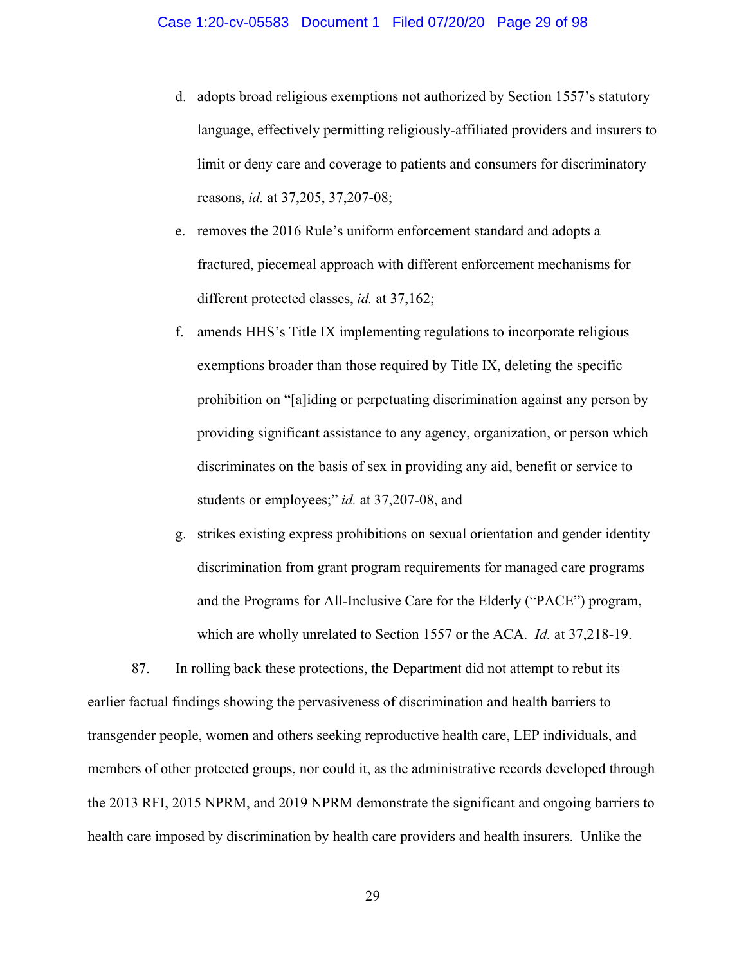- d. adopts broad religious exemptions not authorized by Section 1557's statutory language, effectively permitting religiously-affiliated providers and insurers to limit or deny care and coverage to patients and consumers for discriminatory reasons, *id.* at 37,205, 37,207-08;
- e. removes the 2016 Rule's uniform enforcement standard and adopts a fractured, piecemeal approach with different enforcement mechanisms for different protected classes, *id.* at 37,162;
- f. amends HHS's Title IX implementing regulations to incorporate religious exemptions broader than those required by Title IX, deleting the specific prohibition on "[a]iding or perpetuating discrimination against any person by providing significant assistance to any agency, organization, or person which discriminates on the basis of sex in providing any aid, benefit or service to students or employees;" *id.* at 37,207-08, and
- g. strikes existing express prohibitions on sexual orientation and gender identity discrimination from grant program requirements for managed care programs and the Programs for All-Inclusive Care for the Elderly ("PACE") program, which are wholly unrelated to Section 1557 or the ACA. *Id.* at 37,218-19.

87. In rolling back these protections, the Department did not attempt to rebut its earlier factual findings showing the pervasiveness of discrimination and health barriers to transgender people, women and others seeking reproductive health care, LEP individuals, and members of other protected groups, nor could it, as the administrative records developed through the 2013 RFI, 2015 NPRM, and 2019 NPRM demonstrate the significant and ongoing barriers to health care imposed by discrimination by health care providers and health insurers. Unlike the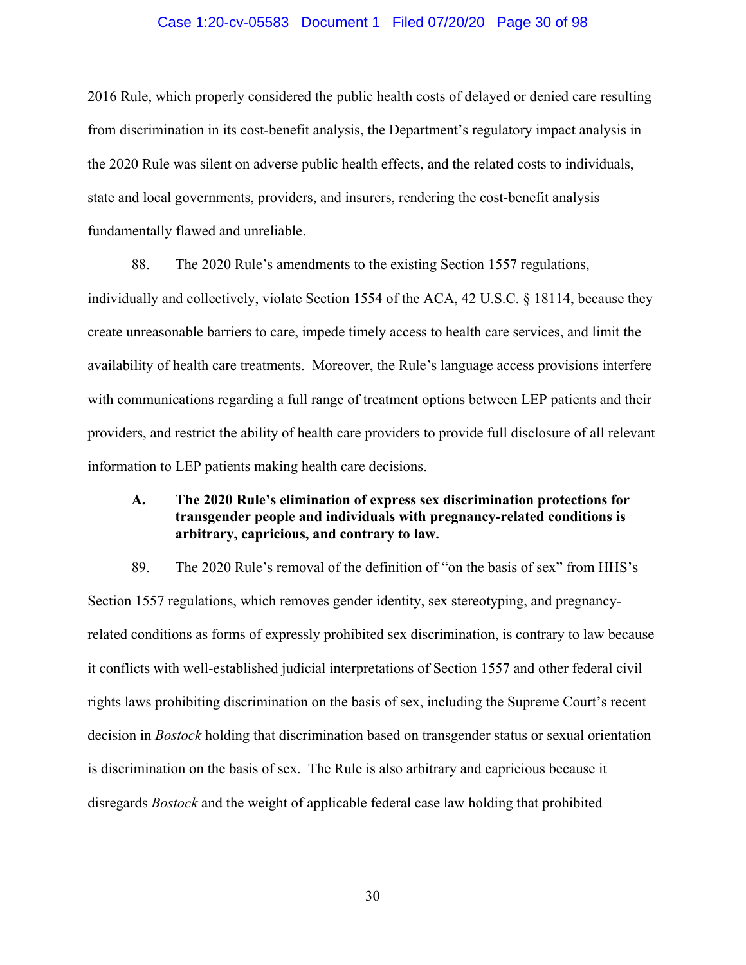#### Case 1:20-cv-05583 Document 1 Filed 07/20/20 Page 30 of 98

2016 Rule, which properly considered the public health costs of delayed or denied care resulting from discrimination in its cost-benefit analysis, the Department's regulatory impact analysis in the 2020 Rule was silent on adverse public health effects, and the related costs to individuals, state and local governments, providers, and insurers, rendering the cost-benefit analysis fundamentally flawed and unreliable.

88. The 2020 Rule's amendments to the existing Section 1557 regulations, individually and collectively, violate Section 1554 of the ACA, 42 U.S.C. § 18114, because they create unreasonable barriers to care, impede timely access to health care services, and limit the availability of health care treatments. Moreover, the Rule's language access provisions interfere with communications regarding a full range of treatment options between LEP patients and their providers, and restrict the ability of health care providers to provide full disclosure of all relevant information to LEP patients making health care decisions.

# **A. The 2020 Rule's elimination of express sex discrimination protections for transgender people and individuals with pregnancy-related conditions is arbitrary, capricious, and contrary to law.**

89. The 2020 Rule's removal of the definition of "on the basis of sex" from HHS's Section 1557 regulations, which removes gender identity, sex stereotyping, and pregnancyrelated conditions as forms of expressly prohibited sex discrimination, is contrary to law because it conflicts with well-established judicial interpretations of Section 1557 and other federal civil rights laws prohibiting discrimination on the basis of sex, including the Supreme Court's recent decision in *Bostock* holding that discrimination based on transgender status or sexual orientation is discrimination on the basis of sex. The Rule is also arbitrary and capricious because it disregards *Bostock* and the weight of applicable federal case law holding that prohibited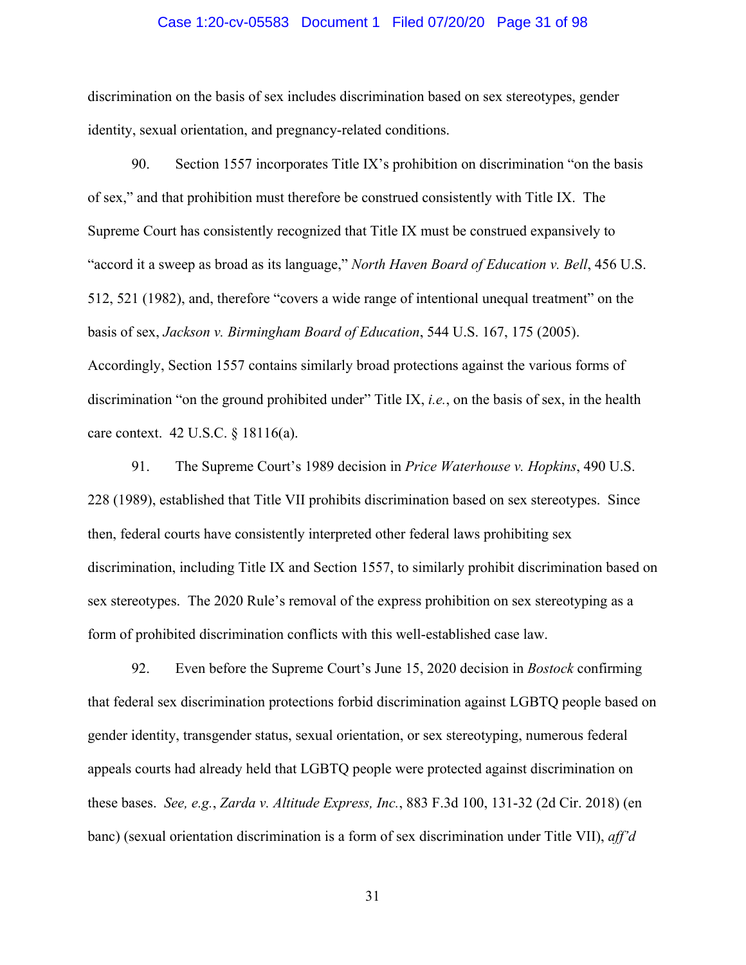#### Case 1:20-cv-05583 Document 1 Filed 07/20/20 Page 31 of 98

discrimination on the basis of sex includes discrimination based on sex stereotypes, gender identity, sexual orientation, and pregnancy-related conditions.

90. Section 1557 incorporates Title IX's prohibition on discrimination "on the basis of sex," and that prohibition must therefore be construed consistently with Title IX. The Supreme Court has consistently recognized that Title IX must be construed expansively to "accord it a sweep as broad as its language," *North Haven Board of Education v. Bell*, 456 U.S. 512, 521 (1982), and, therefore "covers a wide range of intentional unequal treatment" on the basis of sex, *Jackson v. Birmingham Board of Education*, 544 U.S. 167, 175 (2005). Accordingly, Section 1557 contains similarly broad protections against the various forms of discrimination "on the ground prohibited under" Title IX, *i.e.*, on the basis of sex, in the health care context. 42 U.S.C. § 18116(a).

91. The Supreme Court's 1989 decision in *Price Waterhouse v. Hopkins*, 490 U.S. 228 (1989), established that Title VII prohibits discrimination based on sex stereotypes. Since then, federal courts have consistently interpreted other federal laws prohibiting sex discrimination, including Title IX and Section 1557, to similarly prohibit discrimination based on sex stereotypes. The 2020 Rule's removal of the express prohibition on sex stereotyping as a form of prohibited discrimination conflicts with this well-established case law.

92. Even before the Supreme Court's June 15, 2020 decision in *Bostock* confirming that federal sex discrimination protections forbid discrimination against LGBTQ people based on gender identity, transgender status, sexual orientation, or sex stereotyping, numerous federal appeals courts had already held that LGBTQ people were protected against discrimination on these bases. *See, e.g.*, *Zarda v. Altitude Express, Inc.*, 883 F.3d 100, 131-32 (2d Cir. 2018) (en banc) (sexual orientation discrimination is a form of sex discrimination under Title VII), *aff'd*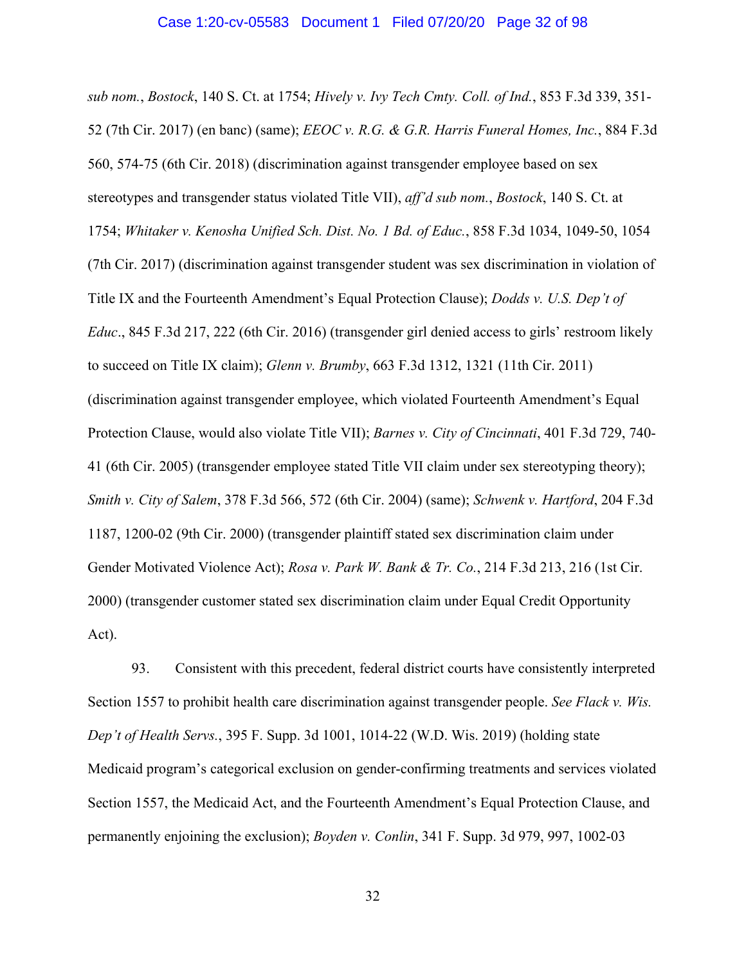#### Case 1:20-cv-05583 Document 1 Filed 07/20/20 Page 32 of 98

*sub nom.*, *Bostock*, 140 S. Ct. at 1754; *Hively v. Ivy Tech Cmty. Coll. of Ind.*, 853 F.3d 339, 351- 52 (7th Cir. 2017) (en banc) (same); *EEOC v. R.G. & G.R. Harris Funeral Homes, Inc.*, 884 F.3d 560, 574-75 (6th Cir. 2018) (discrimination against transgender employee based on sex stereotypes and transgender status violated Title VII), *aff'd sub nom.*, *Bostock*, 140 S. Ct. at 1754; *Whitaker v. Kenosha Unified Sch. Dist. No. 1 Bd. of Educ.*, 858 F.3d 1034, 1049-50, 1054 (7th Cir. 2017) (discrimination against transgender student was sex discrimination in violation of Title IX and the Fourteenth Amendment's Equal Protection Clause); *Dodds v. U.S. Dep't of Educ*., 845 F.3d 217, 222 (6th Cir. 2016) (transgender girl denied access to girls' restroom likely to succeed on Title IX claim); *Glenn v. Brumby*, 663 F.3d 1312, 1321 (11th Cir. 2011) (discrimination against transgender employee, which violated Fourteenth Amendment's Equal Protection Clause, would also violate Title VII); *Barnes v. City of Cincinnati*, 401 F.3d 729, 740- 41 (6th Cir. 2005) (transgender employee stated Title VII claim under sex stereotyping theory); *Smith v. City of Salem*, 378 F.3d 566, 572 (6th Cir. 2004) (same); *Schwenk v. Hartford*, 204 F.3d 1187, 1200-02 (9th Cir. 2000) (transgender plaintiff stated sex discrimination claim under Gender Motivated Violence Act); *Rosa v. Park W. Bank & Tr. Co.*, 214 F.3d 213, 216 (1st Cir. 2000) (transgender customer stated sex discrimination claim under Equal Credit Opportunity Act).

93. Consistent with this precedent, federal district courts have consistently interpreted Section 1557 to prohibit health care discrimination against transgender people. *See Flack v. Wis. Dep't of Health Servs.*, 395 F. Supp. 3d 1001, 1014-22 (W.D. Wis. 2019) (holding state Medicaid program's categorical exclusion on gender-confirming treatments and services violated Section 1557, the Medicaid Act, and the Fourteenth Amendment's Equal Protection Clause, and permanently enjoining the exclusion); *Boyden v. Conlin*, 341 F. Supp. 3d 979, 997, 1002-03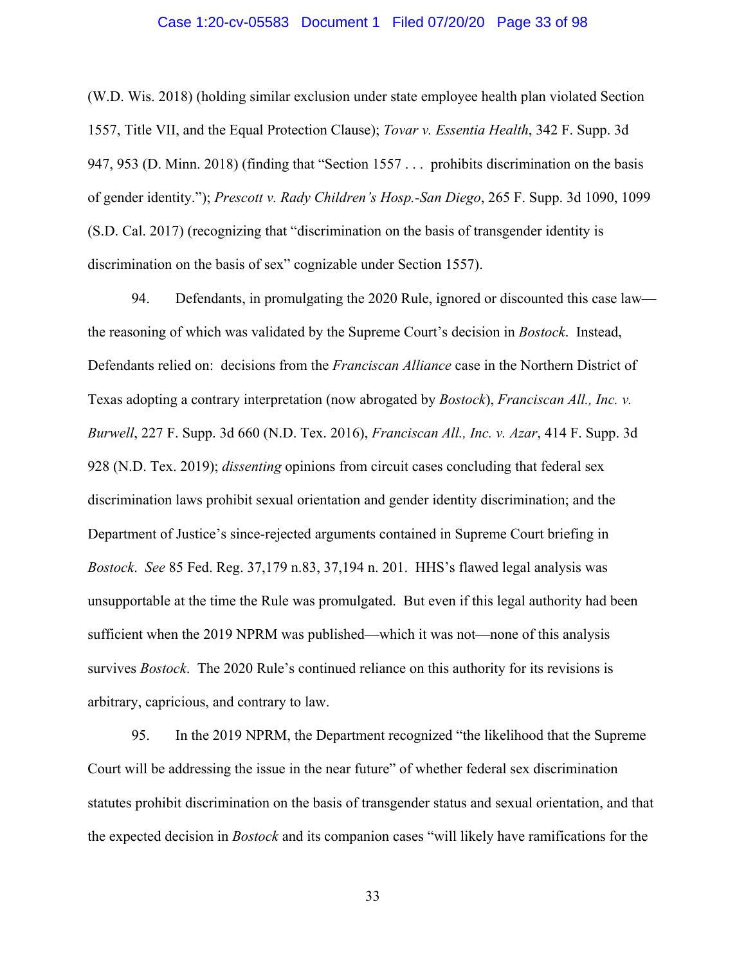#### Case 1:20-cv-05583 Document 1 Filed 07/20/20 Page 33 of 98

(W.D. Wis. 2018) (holding similar exclusion under state employee health plan violated Section 1557, Title VII, and the Equal Protection Clause); *Tovar v. Essentia Health*, 342 F. Supp. 3d 947, 953 (D. Minn. 2018) (finding that "Section 1557 . . . prohibits discrimination on the basis of gender identity."); *Prescott v. Rady Children's Hosp.-San Diego*, 265 F. Supp. 3d 1090, 1099 (S.D. Cal. 2017) (recognizing that "discrimination on the basis of transgender identity is discrimination on the basis of sex" cognizable under Section 1557).

94. Defendants, in promulgating the 2020 Rule, ignored or discounted this case law the reasoning of which was validated by the Supreme Court's decision in *Bostock*. Instead, Defendants relied on: decisions from the *Franciscan Alliance* case in the Northern District of Texas adopting a contrary interpretation (now abrogated by *Bostock*), *Franciscan All., Inc. v. Burwell*, 227 F. Supp. 3d 660 (N.D. Tex. 2016), *Franciscan All., Inc. v. Azar*, 414 F. Supp. 3d 928 (N.D. Tex. 2019); *dissenting* opinions from circuit cases concluding that federal sex discrimination laws prohibit sexual orientation and gender identity discrimination; and the Department of Justice's since-rejected arguments contained in Supreme Court briefing in *Bostock*. *See* 85 Fed. Reg. 37,179 n.83, 37,194 n. 201. HHS's flawed legal analysis was unsupportable at the time the Rule was promulgated. But even if this legal authority had been sufficient when the 2019 NPRM was published—which it was not—none of this analysis survives *Bostock*. The 2020 Rule's continued reliance on this authority for its revisions is arbitrary, capricious, and contrary to law.

95. In the 2019 NPRM, the Department recognized "the likelihood that the Supreme Court will be addressing the issue in the near future" of whether federal sex discrimination statutes prohibit discrimination on the basis of transgender status and sexual orientation, and that the expected decision in *Bostock* and its companion cases "will likely have ramifications for the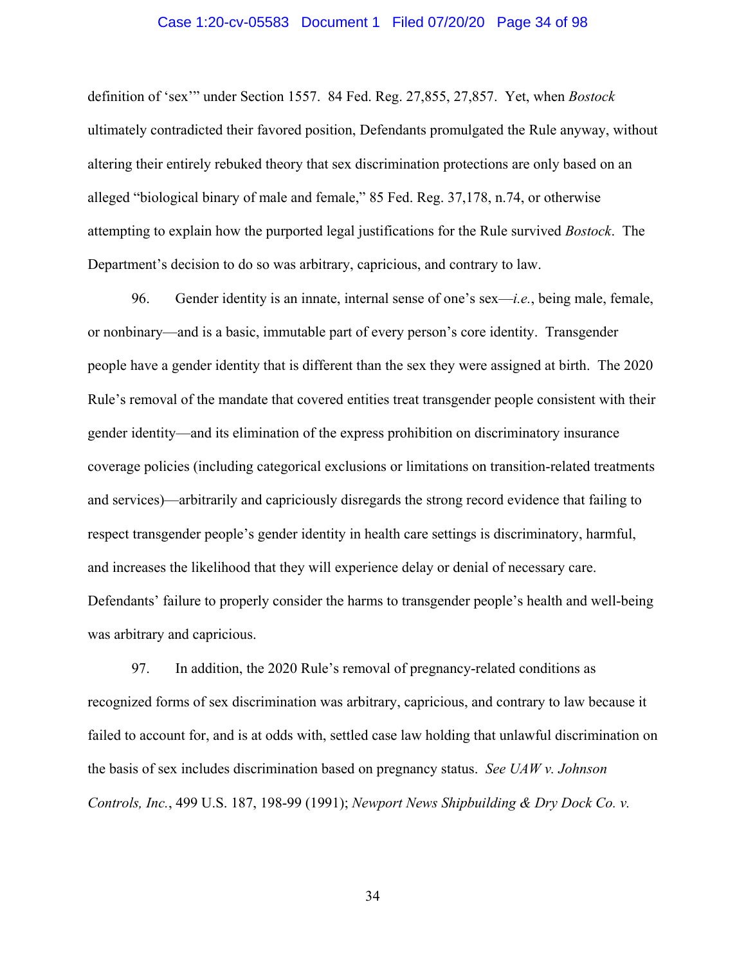#### Case 1:20-cv-05583 Document 1 Filed 07/20/20 Page 34 of 98

definition of 'sex'" under Section 1557. 84 Fed. Reg. 27,855, 27,857. Yet, when *Bostock* ultimately contradicted their favored position, Defendants promulgated the Rule anyway, without altering their entirely rebuked theory that sex discrimination protections are only based on an alleged "biological binary of male and female," 85 Fed. Reg. 37,178, n.74, or otherwise attempting to explain how the purported legal justifications for the Rule survived *Bostock*. The Department's decision to do so was arbitrary, capricious, and contrary to law.

96. Gender identity is an innate, internal sense of one's sex—*i.e.*, being male, female, or nonbinary—and is a basic, immutable part of every person's core identity. Transgender people have a gender identity that is different than the sex they were assigned at birth. The 2020 Rule's removal of the mandate that covered entities treat transgender people consistent with their gender identity—and its elimination of the express prohibition on discriminatory insurance coverage policies (including categorical exclusions or limitations on transition-related treatments and services)—arbitrarily and capriciously disregards the strong record evidence that failing to respect transgender people's gender identity in health care settings is discriminatory, harmful, and increases the likelihood that they will experience delay or denial of necessary care. Defendants' failure to properly consider the harms to transgender people's health and well-being was arbitrary and capricious.

97. In addition, the 2020 Rule's removal of pregnancy-related conditions as recognized forms of sex discrimination was arbitrary, capricious, and contrary to law because it failed to account for, and is at odds with, settled case law holding that unlawful discrimination on the basis of sex includes discrimination based on pregnancy status. *See UAW v. Johnson Controls, Inc.*, 499 U.S. 187, 198-99 (1991); *Newport News Shipbuilding & Dry Dock Co. v.*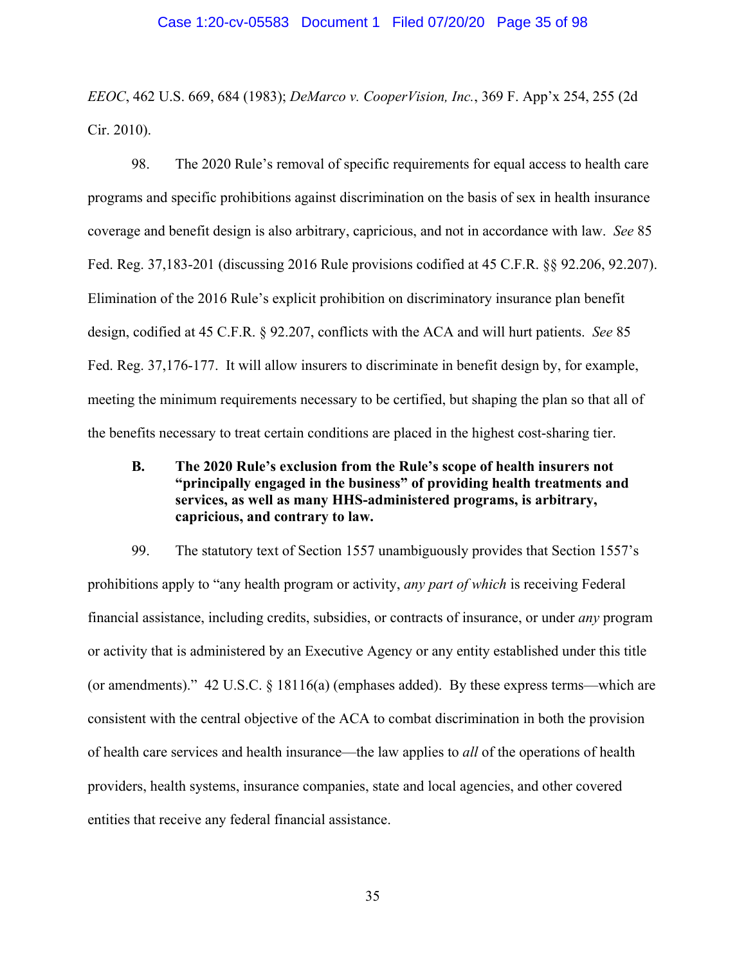#### Case 1:20-cv-05583 Document 1 Filed 07/20/20 Page 35 of 98

*EEOC*, 462 U.S. 669, 684 (1983); *DeMarco v. CooperVision, Inc.*, 369 F. App'x 254, 255 (2d Cir. 2010).

98. The 2020 Rule's removal of specific requirements for equal access to health care programs and specific prohibitions against discrimination on the basis of sex in health insurance coverage and benefit design is also arbitrary, capricious, and not in accordance with law. *See* 85 Fed. Reg. 37,183-201 (discussing 2016 Rule provisions codified at 45 C.F.R. §§ 92.206, 92.207). Elimination of the 2016 Rule's explicit prohibition on discriminatory insurance plan benefit design, codified at 45 C.F.R. § 92.207, conflicts with the ACA and will hurt patients. *See* 85 Fed. Reg. 37,176-177. It will allow insurers to discriminate in benefit design by, for example, meeting the minimum requirements necessary to be certified, but shaping the plan so that all of the benefits necessary to treat certain conditions are placed in the highest cost-sharing tier.

# **B. The 2020 Rule's exclusion from the Rule's scope of health insurers not "principally engaged in the business" of providing health treatments and services, as well as many HHS-administered programs, is arbitrary, capricious, and contrary to law.**

99. The statutory text of Section 1557 unambiguously provides that Section 1557's prohibitions apply to "any health program or activity, *any part of which* is receiving Federal financial assistance, including credits, subsidies, or contracts of insurance, or under *any* program or activity that is administered by an Executive Agency or any entity established under this title (or amendments)." 42 U.S.C.  $\S$  18116(a) (emphases added). By these express terms—which are consistent with the central objective of the ACA to combat discrimination in both the provision of health care services and health insurance—the law applies to *all* of the operations of health providers, health systems, insurance companies, state and local agencies, and other covered entities that receive any federal financial assistance.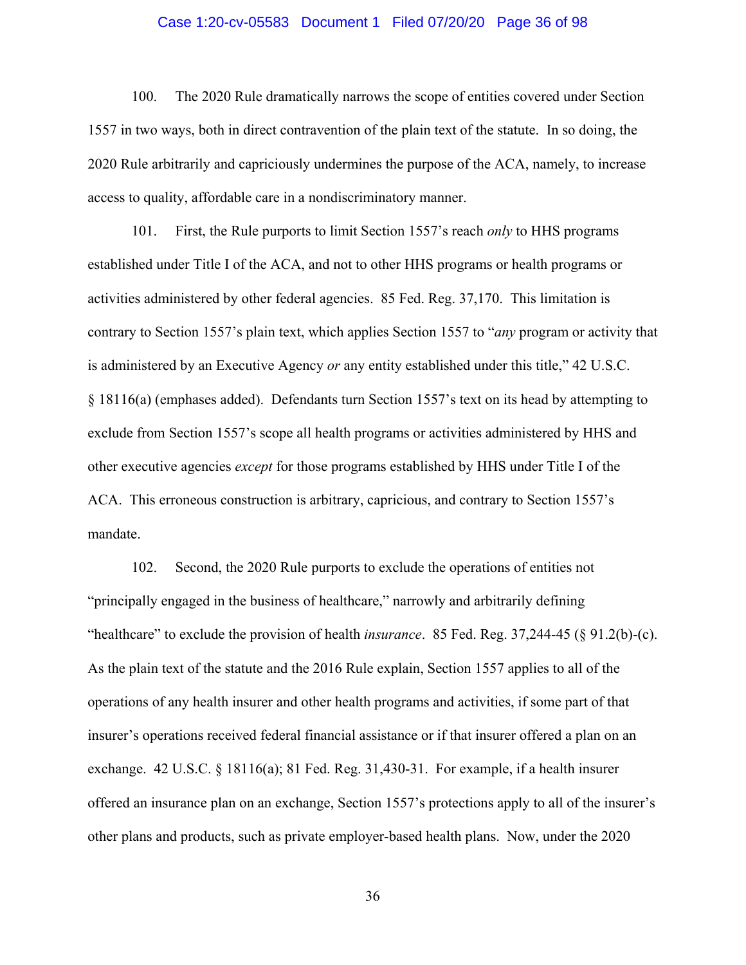#### Case 1:20-cv-05583 Document 1 Filed 07/20/20 Page 36 of 98

100. The 2020 Rule dramatically narrows the scope of entities covered under Section 1557 in two ways, both in direct contravention of the plain text of the statute. In so doing, the 2020 Rule arbitrarily and capriciously undermines the purpose of the ACA, namely, to increase access to quality, affordable care in a nondiscriminatory manner.

101. First, the Rule purports to limit Section 1557's reach *only* to HHS programs established under Title I of the ACA, and not to other HHS programs or health programs or activities administered by other federal agencies. 85 Fed. Reg. 37,170. This limitation is contrary to Section 1557's plain text, which applies Section 1557 to "*any* program or activity that is administered by an Executive Agency *or* any entity established under this title," 42 U.S.C. § 18116(a) (emphases added). Defendants turn Section 1557's text on its head by attempting to exclude from Section 1557's scope all health programs or activities administered by HHS and other executive agencies *except* for those programs established by HHS under Title I of the ACA. This erroneous construction is arbitrary, capricious, and contrary to Section 1557's mandate.

102. Second, the 2020 Rule purports to exclude the operations of entities not "principally engaged in the business of healthcare," narrowly and arbitrarily defining "healthcare" to exclude the provision of health *insurance*. 85 Fed. Reg. 37,244-45 (§ 91.2(b)-(c). As the plain text of the statute and the 2016 Rule explain, Section 1557 applies to all of the operations of any health insurer and other health programs and activities, if some part of that insurer's operations received federal financial assistance or if that insurer offered a plan on an exchange. 42 U.S.C. § 18116(a); 81 Fed. Reg. 31,430-31. For example, if a health insurer offered an insurance plan on an exchange, Section 1557's protections apply to all of the insurer's other plans and products, such as private employer-based health plans. Now, under the 2020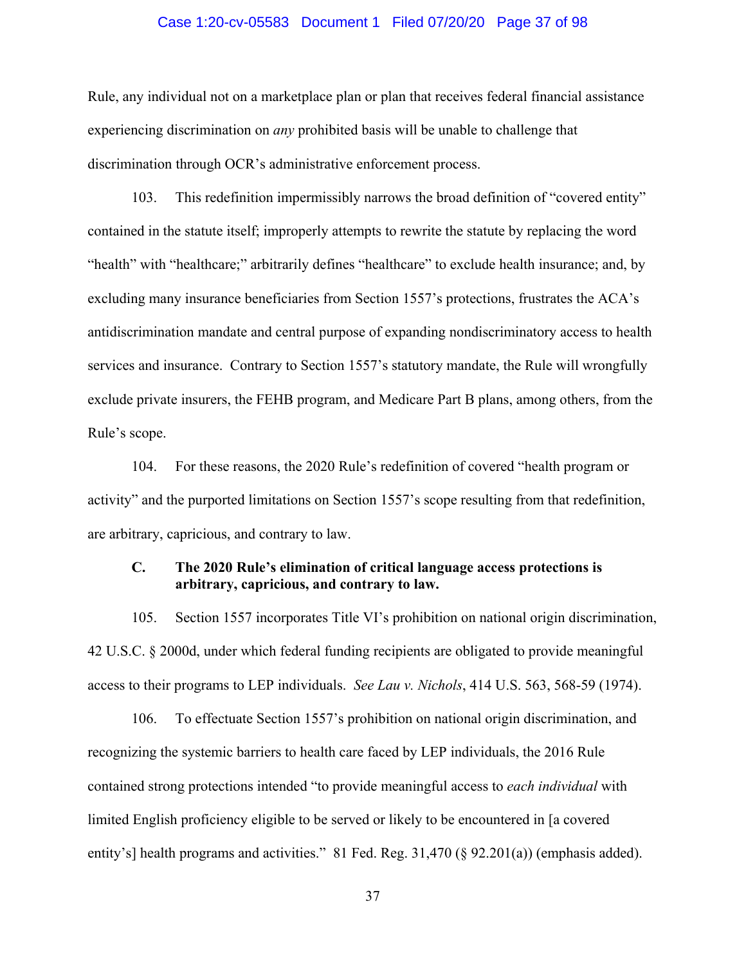#### Case 1:20-cv-05583 Document 1 Filed 07/20/20 Page 37 of 98

Rule, any individual not on a marketplace plan or plan that receives federal financial assistance experiencing discrimination on *any* prohibited basis will be unable to challenge that discrimination through OCR's administrative enforcement process.

103. This redefinition impermissibly narrows the broad definition of "covered entity" contained in the statute itself; improperly attempts to rewrite the statute by replacing the word "health" with "healthcare;" arbitrarily defines "healthcare" to exclude health insurance; and, by excluding many insurance beneficiaries from Section 1557's protections, frustrates the ACA's antidiscrimination mandate and central purpose of expanding nondiscriminatory access to health services and insurance. Contrary to Section 1557's statutory mandate, the Rule will wrongfully exclude private insurers, the FEHB program, and Medicare Part B plans, among others, from the Rule's scope.

104. For these reasons, the 2020 Rule's redefinition of covered "health program or activity" and the purported limitations on Section 1557's scope resulting from that redefinition, are arbitrary, capricious, and contrary to law.

## **C. The 2020 Rule's elimination of critical language access protections is arbitrary, capricious, and contrary to law.**

105. Section 1557 incorporates Title VI's prohibition on national origin discrimination, 42 U.S.C. § 2000d, under which federal funding recipients are obligated to provide meaningful access to their programs to LEP individuals. *See Lau v. Nichols*, 414 U.S. 563, 568-59 (1974).

106. To effectuate Section 1557's prohibition on national origin discrimination, and recognizing the systemic barriers to health care faced by LEP individuals, the 2016 Rule contained strong protections intended "to provide meaningful access to *each individual* with limited English proficiency eligible to be served or likely to be encountered in [a covered entity's] health programs and activities." 81 Fed. Reg. 31,470 (§ 92.201(a)) (emphasis added).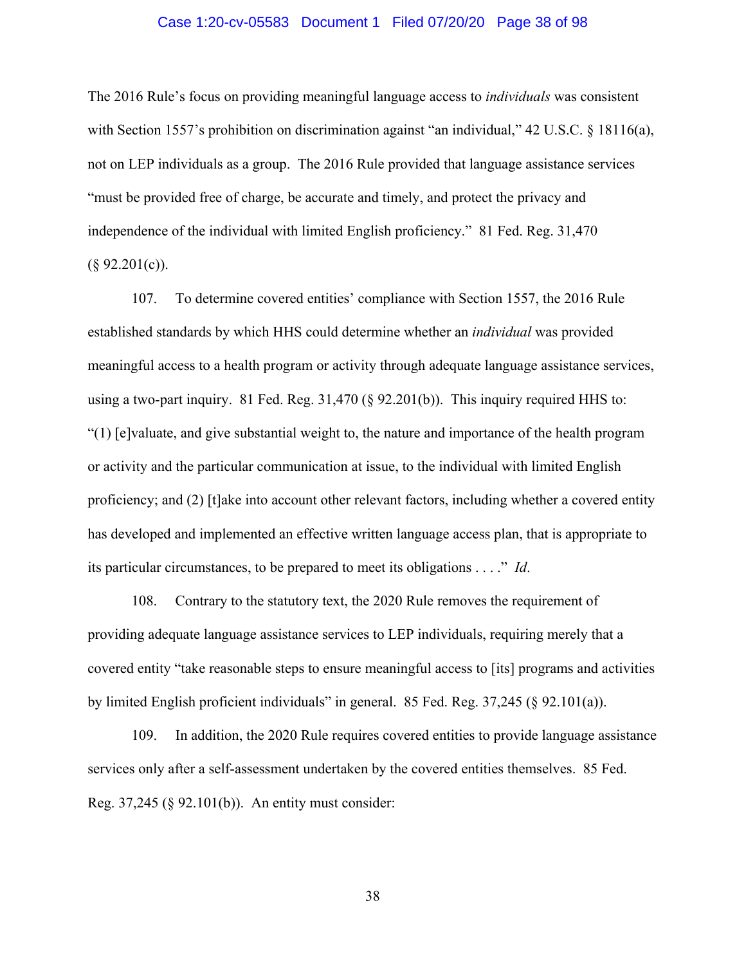#### Case 1:20-cv-05583 Document 1 Filed 07/20/20 Page 38 of 98

The 2016 Rule's focus on providing meaningful language access to *individuals* was consistent with Section 1557's prohibition on discrimination against "an individual," 42 U.S.C. § 18116(a), not on LEP individuals as a group. The 2016 Rule provided that language assistance services "must be provided free of charge, be accurate and timely, and protect the privacy and independence of the individual with limited English proficiency." 81 Fed. Reg. 31,470  $(\S$  92.201(c)).

107. To determine covered entities' compliance with Section 1557, the 2016 Rule established standards by which HHS could determine whether an *individual* was provided meaningful access to a health program or activity through adequate language assistance services, using a two-part inquiry. 81 Fed. Reg. 31,470 (§ 92.201(b)). This inquiry required HHS to: "(1) [e]valuate, and give substantial weight to, the nature and importance of the health program or activity and the particular communication at issue, to the individual with limited English proficiency; and (2) [t]ake into account other relevant factors, including whether a covered entity has developed and implemented an effective written language access plan, that is appropriate to its particular circumstances, to be prepared to meet its obligations . . . ." *Id*.

108. Contrary to the statutory text, the 2020 Rule removes the requirement of providing adequate language assistance services to LEP individuals, requiring merely that a covered entity "take reasonable steps to ensure meaningful access to [its] programs and activities by limited English proficient individuals" in general. 85 Fed. Reg. 37,245 (§ 92.101(a)).

109. In addition, the 2020 Rule requires covered entities to provide language assistance services only after a self-assessment undertaken by the covered entities themselves. 85 Fed. Reg. 37,245 (§ 92.101(b)). An entity must consider: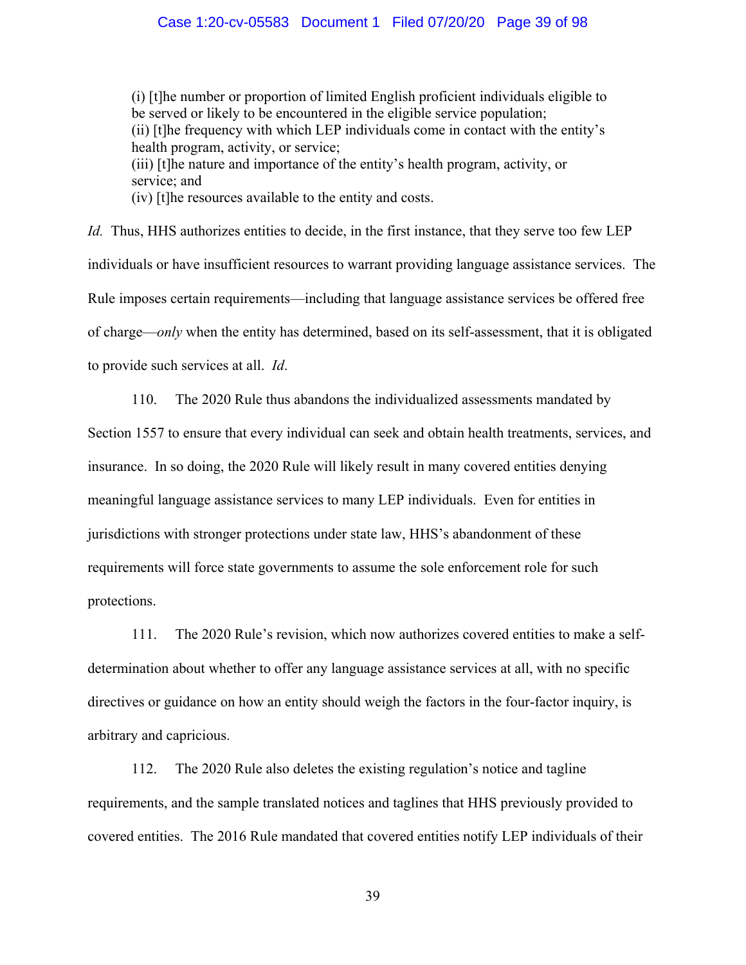#### Case 1:20-cv-05583 Document 1 Filed 07/20/20 Page 39 of 98

(i) [t]he number or proportion of limited English proficient individuals eligible to be served or likely to be encountered in the eligible service population; (ii) [t]he frequency with which LEP individuals come in contact with the entity's health program, activity, or service; (iii) [t]he nature and importance of the entity's health program, activity, or service; and

(iv) [t]he resources available to the entity and costs.

*Id.* Thus, HHS authorizes entities to decide, in the first instance, that they serve too few LEP individuals or have insufficient resources to warrant providing language assistance services. The Rule imposes certain requirements—including that language assistance services be offered free of charge—*only* when the entity has determined, based on its self-assessment, that it is obligated to provide such services at all. *Id*.

110. The 2020 Rule thus abandons the individualized assessments mandated by Section 1557 to ensure that every individual can seek and obtain health treatments, services, and insurance. In so doing, the 2020 Rule will likely result in many covered entities denying meaningful language assistance services to many LEP individuals. Even for entities in jurisdictions with stronger protections under state law, HHS's abandonment of these requirements will force state governments to assume the sole enforcement role for such protections.

111. The 2020 Rule's revision, which now authorizes covered entities to make a selfdetermination about whether to offer any language assistance services at all, with no specific directives or guidance on how an entity should weigh the factors in the four-factor inquiry, is arbitrary and capricious.

112. The 2020 Rule also deletes the existing regulation's notice and tagline requirements, and the sample translated notices and taglines that HHS previously provided to covered entities. The 2016 Rule mandated that covered entities notify LEP individuals of their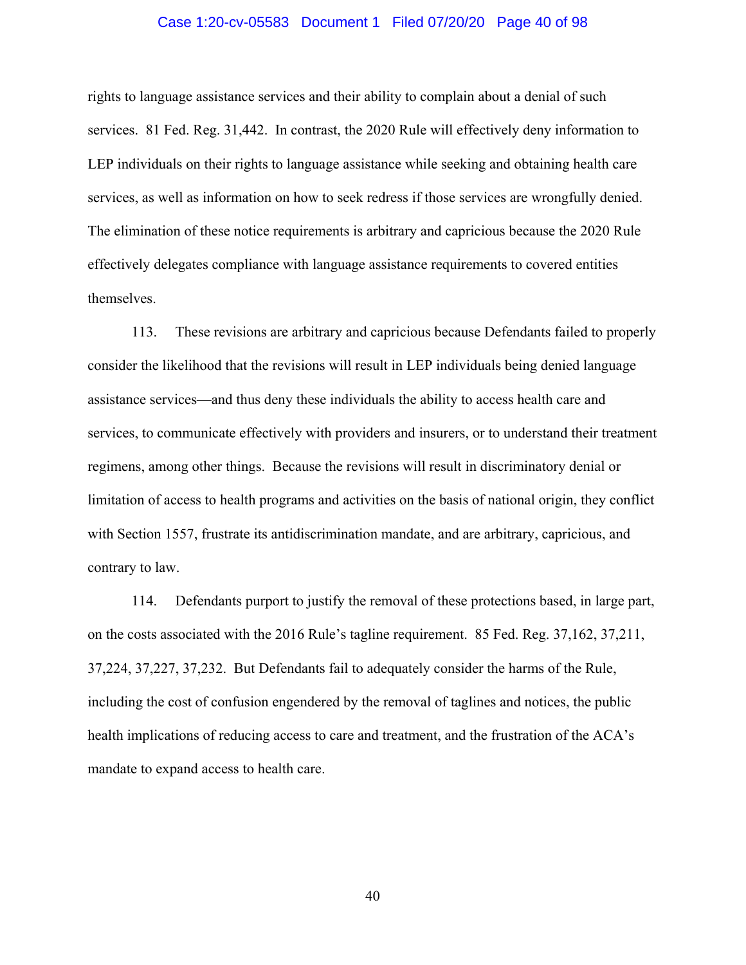#### Case 1:20-cv-05583 Document 1 Filed 07/20/20 Page 40 of 98

rights to language assistance services and their ability to complain about a denial of such services. 81 Fed. Reg. 31,442. In contrast, the 2020 Rule will effectively deny information to LEP individuals on their rights to language assistance while seeking and obtaining health care services, as well as information on how to seek redress if those services are wrongfully denied. The elimination of these notice requirements is arbitrary and capricious because the 2020 Rule effectively delegates compliance with language assistance requirements to covered entities themselves.

113. These revisions are arbitrary and capricious because Defendants failed to properly consider the likelihood that the revisions will result in LEP individuals being denied language assistance services—and thus deny these individuals the ability to access health care and services, to communicate effectively with providers and insurers, or to understand their treatment regimens, among other things. Because the revisions will result in discriminatory denial or limitation of access to health programs and activities on the basis of national origin, they conflict with Section 1557, frustrate its antidiscrimination mandate, and are arbitrary, capricious, and contrary to law.

114. Defendants purport to justify the removal of these protections based, in large part, on the costs associated with the 2016 Rule's tagline requirement. 85 Fed. Reg. 37,162, 37,211, 37,224, 37,227, 37,232. But Defendants fail to adequately consider the harms of the Rule, including the cost of confusion engendered by the removal of taglines and notices, the public health implications of reducing access to care and treatment, and the frustration of the ACA's mandate to expand access to health care.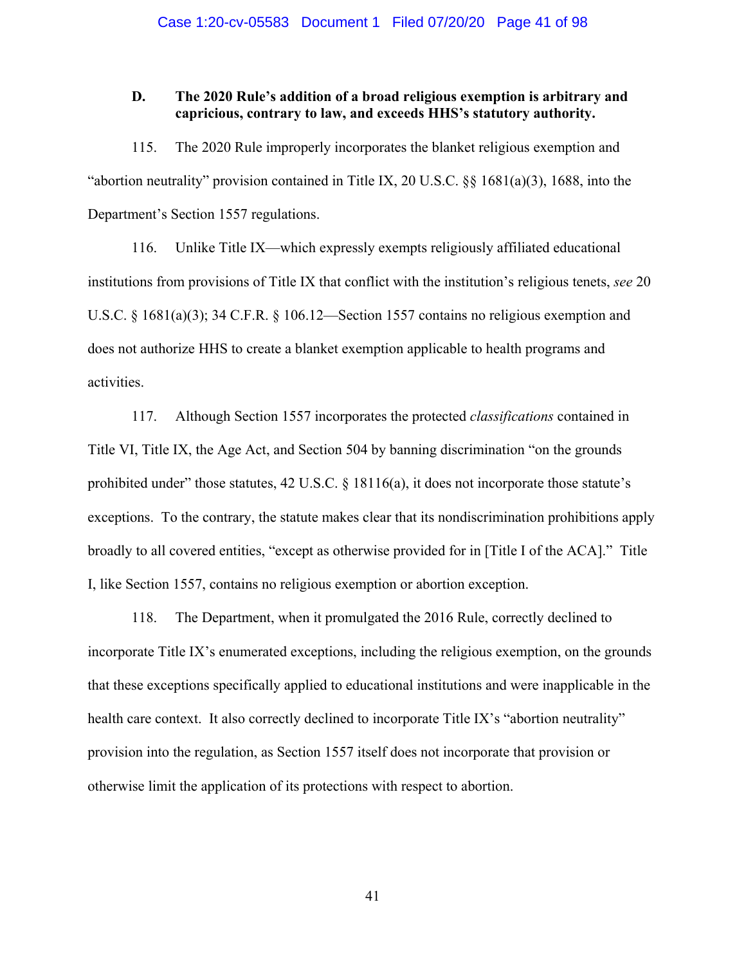### **D. The 2020 Rule's addition of a broad religious exemption is arbitrary and capricious, contrary to law, and exceeds HHS's statutory authority.**

115. The 2020 Rule improperly incorporates the blanket religious exemption and "abortion neutrality" provision contained in Title IX, 20 U.S.C. §§ 1681(a)(3), 1688, into the Department's Section 1557 regulations.

116. Unlike Title IX—which expressly exempts religiously affiliated educational institutions from provisions of Title IX that conflict with the institution's religious tenets, *see* 20 U.S.C. § 1681(a)(3); 34 C.F.R. § 106.12—Section 1557 contains no religious exemption and does not authorize HHS to create a blanket exemption applicable to health programs and activities.

117. Although Section 1557 incorporates the protected *classifications* contained in Title VI, Title IX, the Age Act, and Section 504 by banning discrimination "on the grounds prohibited under" those statutes,  $42 \text{ U.S.C. }$  §  $18116(a)$ , it does not incorporate those statute's exceptions. To the contrary, the statute makes clear that its nondiscrimination prohibitions apply broadly to all covered entities, "except as otherwise provided for in [Title I of the ACA]." Title I, like Section 1557, contains no religious exemption or abortion exception.

118. The Department, when it promulgated the 2016 Rule, correctly declined to incorporate Title IX's enumerated exceptions, including the religious exemption, on the grounds that these exceptions specifically applied to educational institutions and were inapplicable in the health care context. It also correctly declined to incorporate Title IX's "abortion neutrality" provision into the regulation, as Section 1557 itself does not incorporate that provision or otherwise limit the application of its protections with respect to abortion.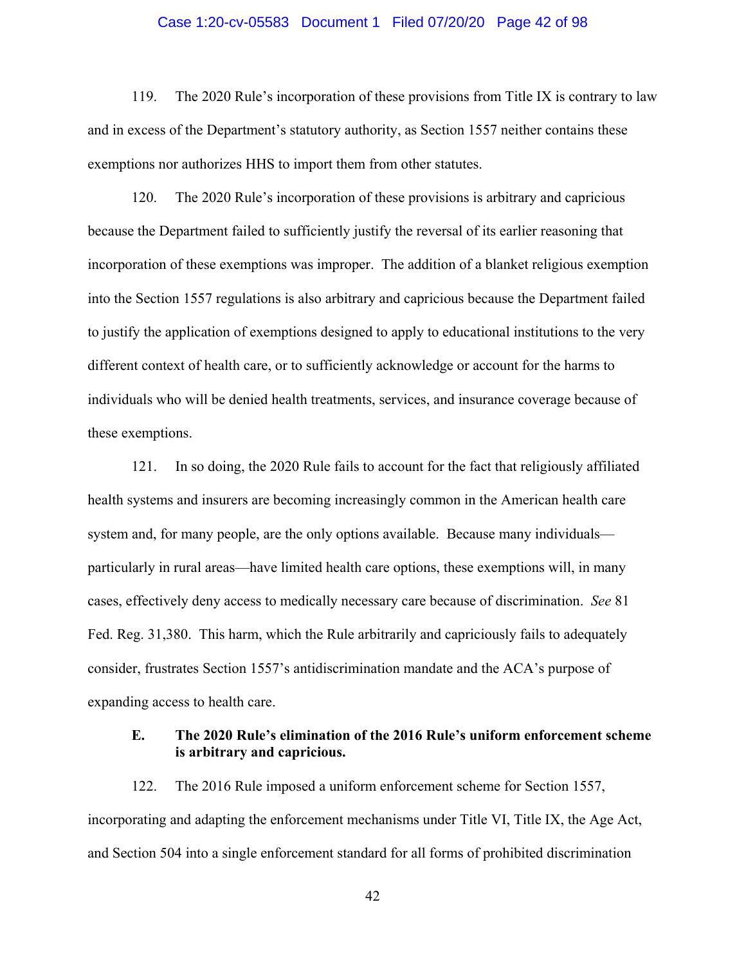#### Case 1:20-cv-05583 Document 1 Filed 07/20/20 Page 42 of 98

119. The 2020 Rule's incorporation of these provisions from Title IX is contrary to law and in excess of the Department's statutory authority, as Section 1557 neither contains these exemptions nor authorizes HHS to import them from other statutes.

120. The 2020 Rule's incorporation of these provisions is arbitrary and capricious because the Department failed to sufficiently justify the reversal of its earlier reasoning that incorporation of these exemptions was improper. The addition of a blanket religious exemption into the Section 1557 regulations is also arbitrary and capricious because the Department failed to justify the application of exemptions designed to apply to educational institutions to the very different context of health care, or to sufficiently acknowledge or account for the harms to individuals who will be denied health treatments, services, and insurance coverage because of these exemptions.

121. In so doing, the 2020 Rule fails to account for the fact that religiously affiliated health systems and insurers are becoming increasingly common in the American health care system and, for many people, are the only options available. Because many individuals particularly in rural areas—have limited health care options, these exemptions will, in many cases, effectively deny access to medically necessary care because of discrimination. *See* 81 Fed. Reg. 31,380. This harm, which the Rule arbitrarily and capriciously fails to adequately consider, frustrates Section 1557's antidiscrimination mandate and the ACA's purpose of expanding access to health care.

### **E. The 2020 Rule's elimination of the 2016 Rule's uniform enforcement scheme is arbitrary and capricious.**

122. The 2016 Rule imposed a uniform enforcement scheme for Section 1557, incorporating and adapting the enforcement mechanisms under Title VI, Title IX, the Age Act, and Section 504 into a single enforcement standard for all forms of prohibited discrimination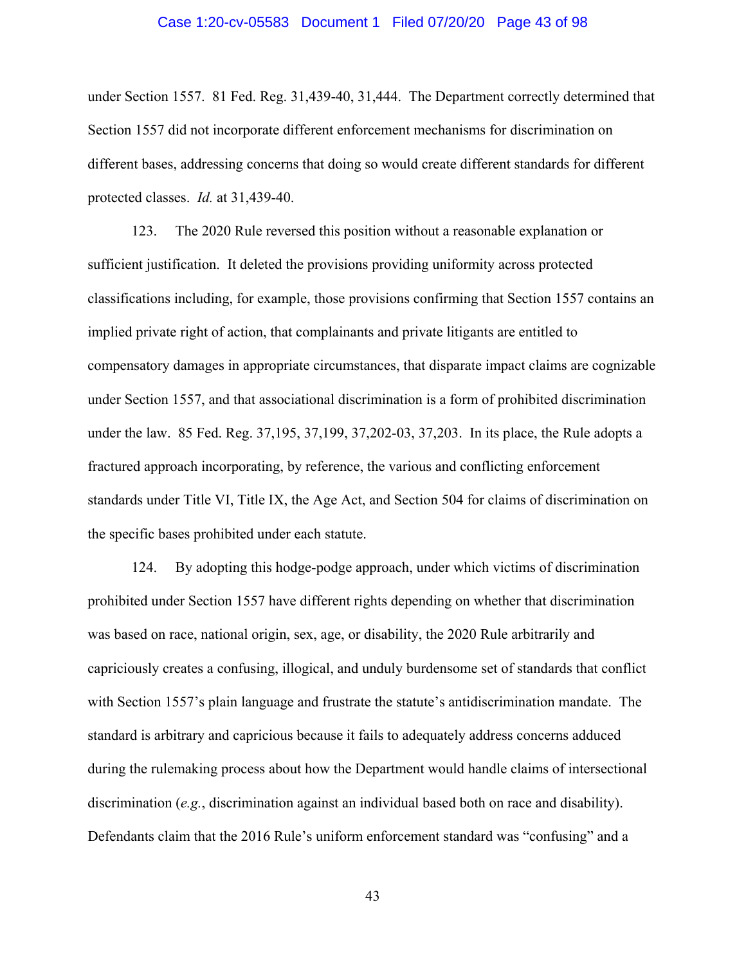#### Case 1:20-cv-05583 Document 1 Filed 07/20/20 Page 43 of 98

under Section 1557. 81 Fed. Reg. 31,439-40, 31,444. The Department correctly determined that Section 1557 did not incorporate different enforcement mechanisms for discrimination on different bases, addressing concerns that doing so would create different standards for different protected classes. *Id.* at 31,439-40.

123. The 2020 Rule reversed this position without a reasonable explanation or sufficient justification. It deleted the provisions providing uniformity across protected classifications including, for example, those provisions confirming that Section 1557 contains an implied private right of action, that complainants and private litigants are entitled to compensatory damages in appropriate circumstances, that disparate impact claims are cognizable under Section 1557, and that associational discrimination is a form of prohibited discrimination under the law. 85 Fed. Reg. 37,195, 37,199, 37,202-03, 37,203. In its place, the Rule adopts a fractured approach incorporating, by reference, the various and conflicting enforcement standards under Title VI, Title IX, the Age Act, and Section 504 for claims of discrimination on the specific bases prohibited under each statute.

124. By adopting this hodge-podge approach, under which victims of discrimination prohibited under Section 1557 have different rights depending on whether that discrimination was based on race, national origin, sex, age, or disability, the 2020 Rule arbitrarily and capriciously creates a confusing, illogical, and unduly burdensome set of standards that conflict with Section 1557's plain language and frustrate the statute's antidiscrimination mandate. The standard is arbitrary and capricious because it fails to adequately address concerns adduced during the rulemaking process about how the Department would handle claims of intersectional discrimination (*e.g.*, discrimination against an individual based both on race and disability). Defendants claim that the 2016 Rule's uniform enforcement standard was "confusing" and a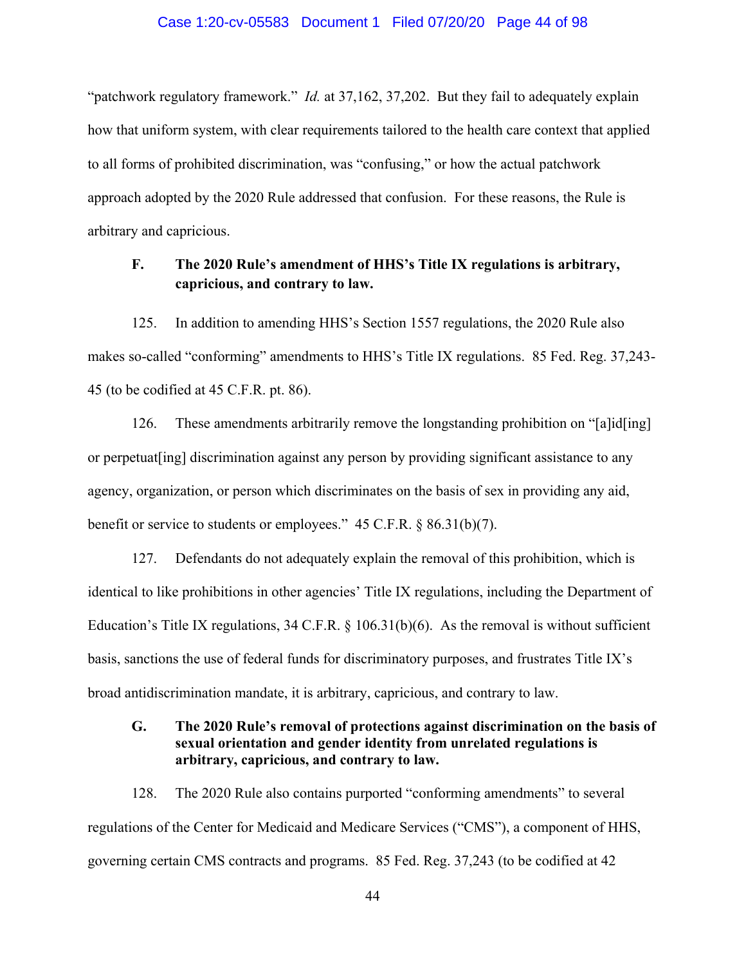#### Case 1:20-cv-05583 Document 1 Filed 07/20/20 Page 44 of 98

"patchwork regulatory framework." *Id.* at 37,162, 37,202. But they fail to adequately explain how that uniform system, with clear requirements tailored to the health care context that applied to all forms of prohibited discrimination, was "confusing," or how the actual patchwork approach adopted by the 2020 Rule addressed that confusion. For these reasons, the Rule is arbitrary and capricious.

# **F. The 2020 Rule's amendment of HHS's Title IX regulations is arbitrary, capricious, and contrary to law.**

125. In addition to amending HHS's Section 1557 regulations, the 2020 Rule also makes so-called "conforming" amendments to HHS's Title IX regulations. 85 Fed. Reg. 37,243- 45 (to be codified at 45 C.F.R. pt. 86).

126. These amendments arbitrarily remove the longstanding prohibition on "[a]id[ing] or perpetuat[ing] discrimination against any person by providing significant assistance to any agency, organization, or person which discriminates on the basis of sex in providing any aid, benefit or service to students or employees." 45 C.F.R. § 86.31(b)(7).

127. Defendants do not adequately explain the removal of this prohibition, which is identical to like prohibitions in other agencies' Title IX regulations, including the Department of Education's Title IX regulations, 34 C.F.R. § 106.31(b)(6). As the removal is without sufficient basis, sanctions the use of federal funds for discriminatory purposes, and frustrates Title IX's broad antidiscrimination mandate, it is arbitrary, capricious, and contrary to law.

# **G. The 2020 Rule's removal of protections against discrimination on the basis of sexual orientation and gender identity from unrelated regulations is arbitrary, capricious, and contrary to law.**

128. The 2020 Rule also contains purported "conforming amendments" to several regulations of the Center for Medicaid and Medicare Services ("CMS"), a component of HHS, governing certain CMS contracts and programs. 85 Fed. Reg. 37,243 (to be codified at 42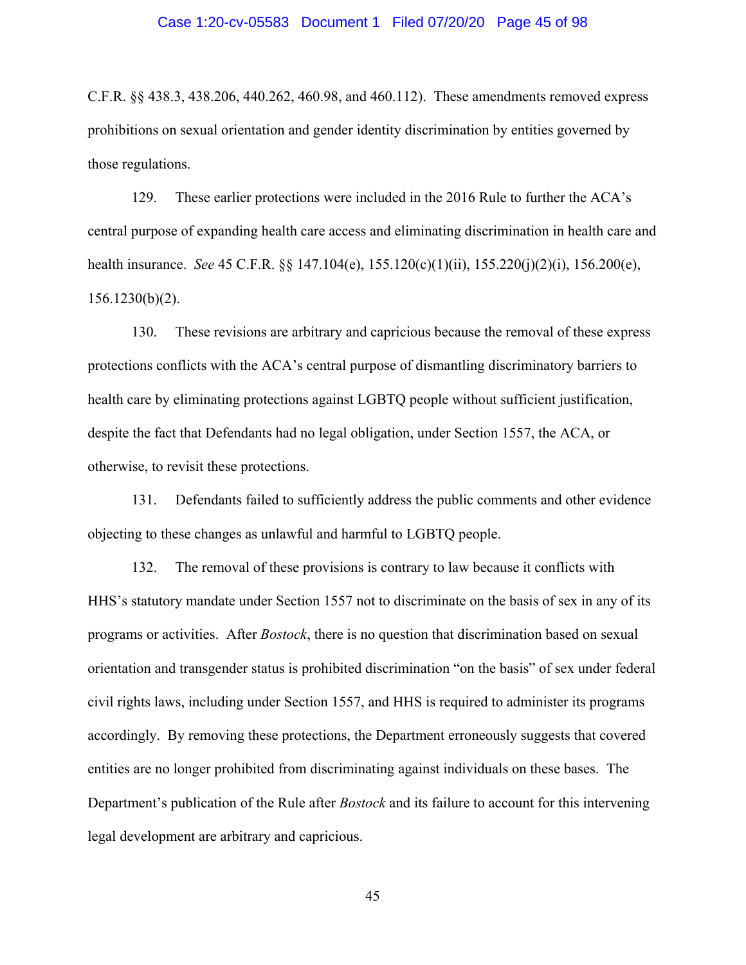#### Case 1:20-cv-05583 Document 1 Filed 07/20/20 Page 45 of 98

C.F.R. §§ 438.3, 438.206, 440.262, 460.98, and 460.112). These amendments removed express prohibitions on sexual orientation and gender identity discrimination by entities governed by those regulations.

129. These earlier protections were included in the 2016 Rule to further the ACA's central purpose of expanding health care access and eliminating discrimination in health care and health insurance. *See* 45 C.F.R. §§ 147.104(e), 155.120(c)(1)(ii), 155.220(j)(2)(i), 156.200(e), 156.1230(b)(2).

130. These revisions are arbitrary and capricious because the removal of these express protections conflicts with the ACA's central purpose of dismantling discriminatory barriers to health care by eliminating protections against LGBTQ people without sufficient justification, despite the fact that Defendants had no legal obligation, under Section 1557, the ACA, or otherwise, to revisit these protections.

131. Defendants failed to sufficiently address the public comments and other evidence objecting to these changes as unlawful and harmful to LGBTQ people.

132. The removal of these provisions is contrary to law because it conflicts with HHS's statutory mandate under Section 1557 not to discriminate on the basis of sex in any of its programs or activities. After *Bostock*, there is no question that discrimination based on sexual orientation and transgender status is prohibited discrimination "on the basis" of sex under federal civil rights laws, including under Section 1557, and HHS is required to administer its programs accordingly. By removing these protections, the Department erroneously suggests that covered entities are no longer prohibited from discriminating against individuals on these bases. The Department's publication of the Rule after *Bostock* and its failure to account for this intervening legal development are arbitrary and capricious.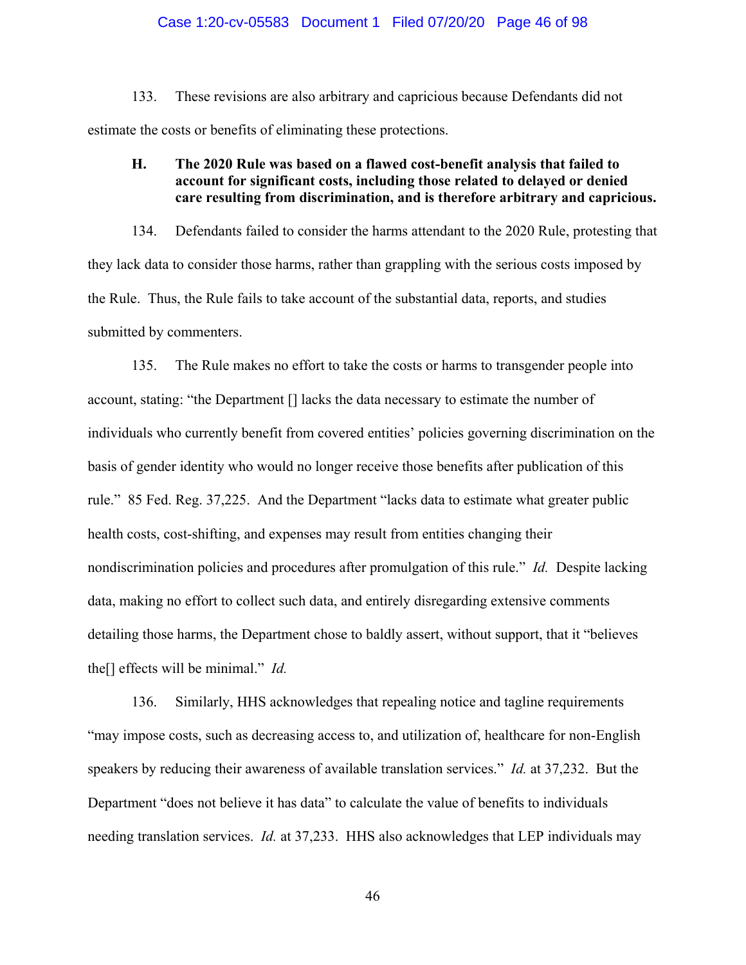#### Case 1:20-cv-05583 Document 1 Filed 07/20/20 Page 46 of 98

133. These revisions are also arbitrary and capricious because Defendants did not estimate the costs or benefits of eliminating these protections.

# **H. The 2020 Rule was based on a flawed cost-benefit analysis that failed to account for significant costs, including those related to delayed or denied care resulting from discrimination, and is therefore arbitrary and capricious.**

134. Defendants failed to consider the harms attendant to the 2020 Rule, protesting that they lack data to consider those harms, rather than grappling with the serious costs imposed by the Rule. Thus, the Rule fails to take account of the substantial data, reports, and studies submitted by commenters.

135. The Rule makes no effort to take the costs or harms to transgender people into account, stating: "the Department [] lacks the data necessary to estimate the number of individuals who currently benefit from covered entities' policies governing discrimination on the basis of gender identity who would no longer receive those benefits after publication of this rule." 85 Fed. Reg. 37,225. And the Department "lacks data to estimate what greater public health costs, cost-shifting, and expenses may result from entities changing their nondiscrimination policies and procedures after promulgation of this rule." *Id.* Despite lacking data, making no effort to collect such data, and entirely disregarding extensive comments detailing those harms, the Department chose to baldly assert, without support, that it "believes the[] effects will be minimal." *Id.*

136. Similarly, HHS acknowledges that repealing notice and tagline requirements "may impose costs, such as decreasing access to, and utilization of, healthcare for non-English speakers by reducing their awareness of available translation services." *Id.* at 37,232. But the Department "does not believe it has data" to calculate the value of benefits to individuals needing translation services. *Id.* at 37,233. HHS also acknowledges that LEP individuals may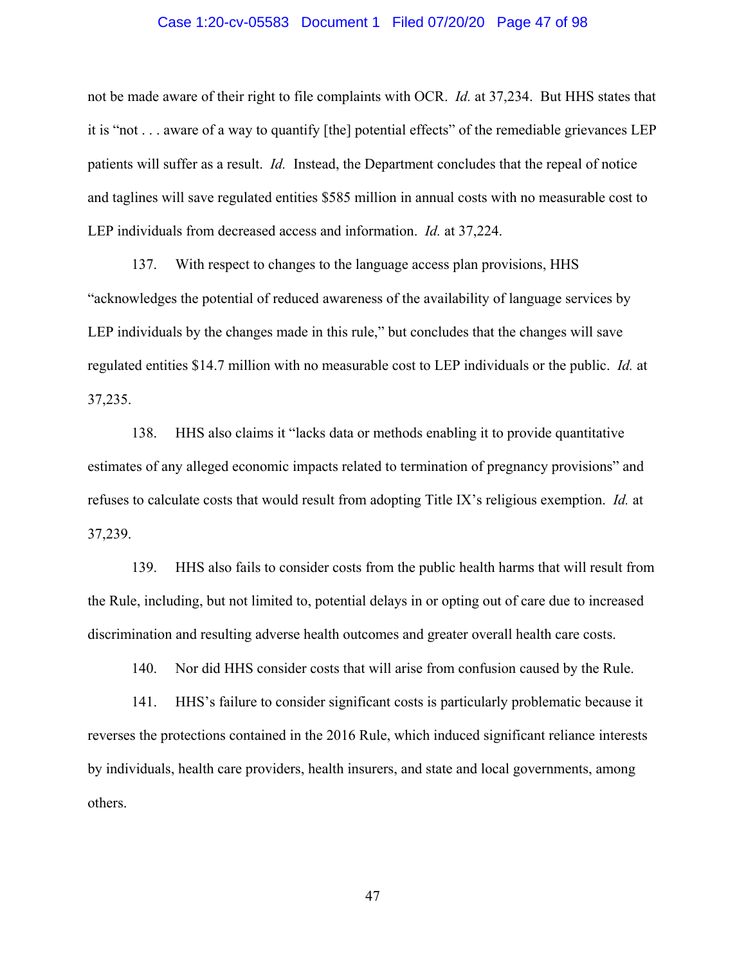#### Case 1:20-cv-05583 Document 1 Filed 07/20/20 Page 47 of 98

not be made aware of their right to file complaints with OCR. *Id.* at 37,234. But HHS states that it is "not . . . aware of a way to quantify [the] potential effects" of the remediable grievances LEP patients will suffer as a result. *Id.* Instead, the Department concludes that the repeal of notice and taglines will save regulated entities \$585 million in annual costs with no measurable cost to LEP individuals from decreased access and information. *Id.* at 37,224.

137. With respect to changes to the language access plan provisions, HHS "acknowledges the potential of reduced awareness of the availability of language services by LEP individuals by the changes made in this rule," but concludes that the changes will save regulated entities \$14.7 million with no measurable cost to LEP individuals or the public. *Id.* at 37,235.

138. HHS also claims it "lacks data or methods enabling it to provide quantitative estimates of any alleged economic impacts related to termination of pregnancy provisions" and refuses to calculate costs that would result from adopting Title IX's religious exemption. *Id.* at 37,239.

139. HHS also fails to consider costs from the public health harms that will result from the Rule, including, but not limited to, potential delays in or opting out of care due to increased discrimination and resulting adverse health outcomes and greater overall health care costs.

140. Nor did HHS consider costs that will arise from confusion caused by the Rule.

141. HHS's failure to consider significant costs is particularly problematic because it reverses the protections contained in the 2016 Rule, which induced significant reliance interests by individuals, health care providers, health insurers, and state and local governments, among others.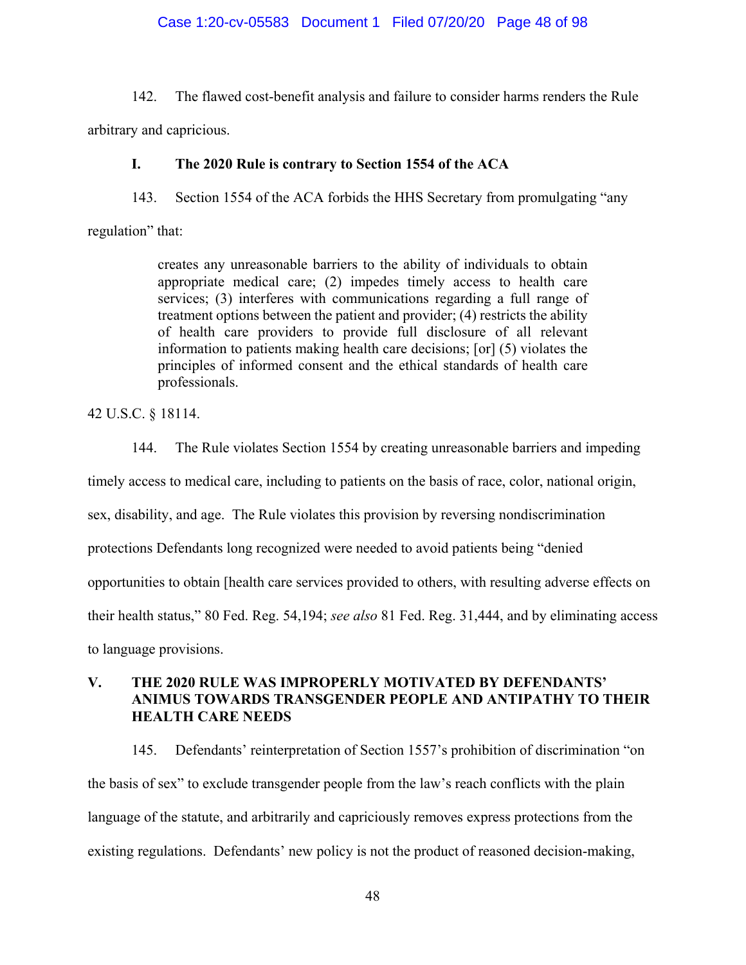### Case 1:20-cv-05583 Document 1 Filed 07/20/20 Page 48 of 98

142. The flawed cost-benefit analysis and failure to consider harms renders the Rule

arbitrary and capricious.

## **I. The 2020 Rule is contrary to Section 1554 of the ACA**

143. Section 1554 of the ACA forbids the HHS Secretary from promulgating "any

regulation" that:

creates any unreasonable barriers to the ability of individuals to obtain appropriate medical care; (2) impedes timely access to health care services; (3) interferes with communications regarding a full range of treatment options between the patient and provider; (4) restricts the ability of health care providers to provide full disclosure of all relevant information to patients making health care decisions; [or] (5) violates the principles of informed consent and the ethical standards of health care professionals.

42 U.S.C. § 18114.

144. The Rule violates Section 1554 by creating unreasonable barriers and impeding timely access to medical care, including to patients on the basis of race, color, national origin, sex, disability, and age. The Rule violates this provision by reversing nondiscrimination protections Defendants long recognized were needed to avoid patients being "denied opportunities to obtain [health care services provided to others, with resulting adverse effects on their health status," 80 Fed. Reg. 54,194; *see also* 81 Fed. Reg. 31,444, and by eliminating access to language provisions.

# **V. THE 2020 RULE WAS IMPROPERLY MOTIVATED BY DEFENDANTS' ANIMUS TOWARDS TRANSGENDER PEOPLE AND ANTIPATHY TO THEIR HEALTH CARE NEEDS**

145. Defendants' reinterpretation of Section 1557's prohibition of discrimination "on the basis of sex" to exclude transgender people from the law's reach conflicts with the plain language of the statute, and arbitrarily and capriciously removes express protections from the existing regulations. Defendants' new policy is not the product of reasoned decision-making,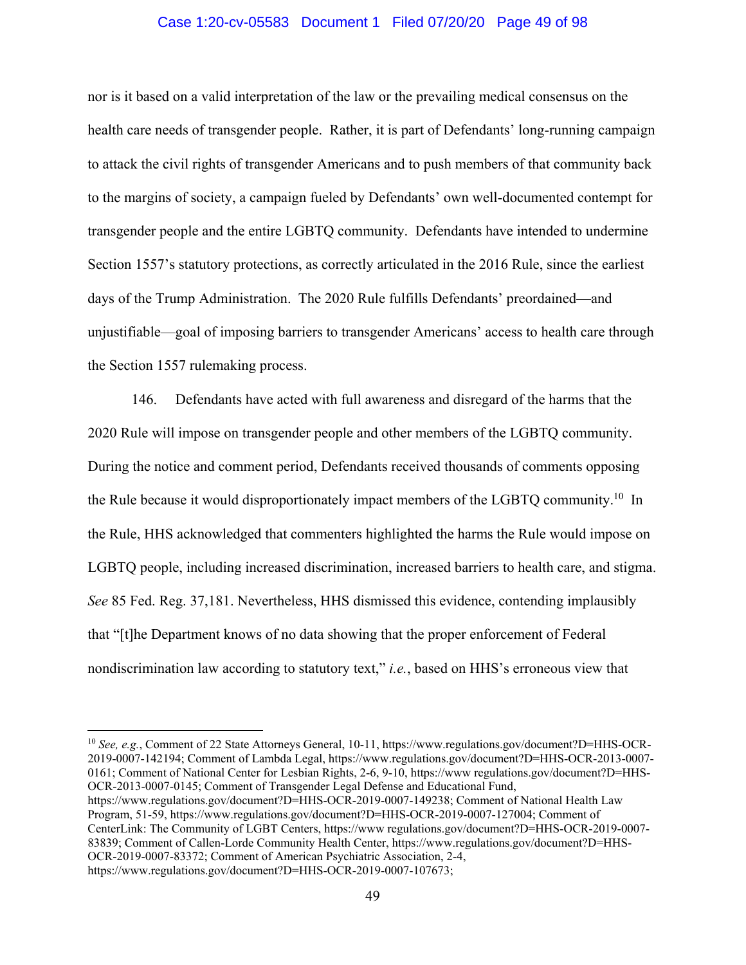#### Case 1:20-cv-05583 Document 1 Filed 07/20/20 Page 49 of 98

nor is it based on a valid interpretation of the law or the prevailing medical consensus on the health care needs of transgender people. Rather, it is part of Defendants' long-running campaign to attack the civil rights of transgender Americans and to push members of that community back to the margins of society, a campaign fueled by Defendants' own well-documented contempt for transgender people and the entire LGBTQ community. Defendants have intended to undermine Section 1557's statutory protections, as correctly articulated in the 2016 Rule, since the earliest days of the Trump Administration. The 2020 Rule fulfills Defendants' preordained—and unjustifiable—goal of imposing barriers to transgender Americans' access to health care through the Section 1557 rulemaking process.

146. Defendants have acted with full awareness and disregard of the harms that the 2020 Rule will impose on transgender people and other members of the LGBTQ community. During the notice and comment period, Defendants received thousands of comments opposing the Rule because it would disproportionately impact members of the LGBTQ community.<sup>10</sup> In the Rule, HHS acknowledged that commenters highlighted the harms the Rule would impose on LGBTQ people, including increased discrimination, increased barriers to health care, and stigma. *See* 85 Fed. Reg. 37,181. Nevertheless, HHS dismissed this evidence, contending implausibly that "[t]he Department knows of no data showing that the proper enforcement of Federal nondiscrimination law according to statutory text," *i.e.*, based on HHS's erroneous view that

<sup>10</sup> See, e.g., Comment of 22 State Attorneys General, 10-11, https://www.regulations.gov/document?D=HHS-OCR-2019-0007-142194; Comment of Lambda Legal, https://www.regulations.gov/document?D=HHS-OCR-2013-0007- 0161; Comment of National Center for Lesbian Rights, 2-6, 9-10, https://www regulations.gov/document?D=HHS-OCR-2013-0007-0145; Comment of Transgender Legal Defense and Educational Fund, https://www.regulations.gov/document?D=HHS-OCR-2019-0007-149238; Comment of National Health Law Program, 51-59, https://www.regulations.gov/document?D=HHS-OCR-2019-0007-127004; Comment of CenterLink: The Community of LGBT Centers, https://www regulations.gov/document?D=HHS-OCR-2019-0007- 83839; Comment of Callen-Lorde Community Health Center, https://www.regulations.gov/document?D=HHS-OCR-2019-0007-83372; Comment of American Psychiatric Association, 2-4, https://www.regulations.gov/document?D=HHS-OCR-2019-0007-107673;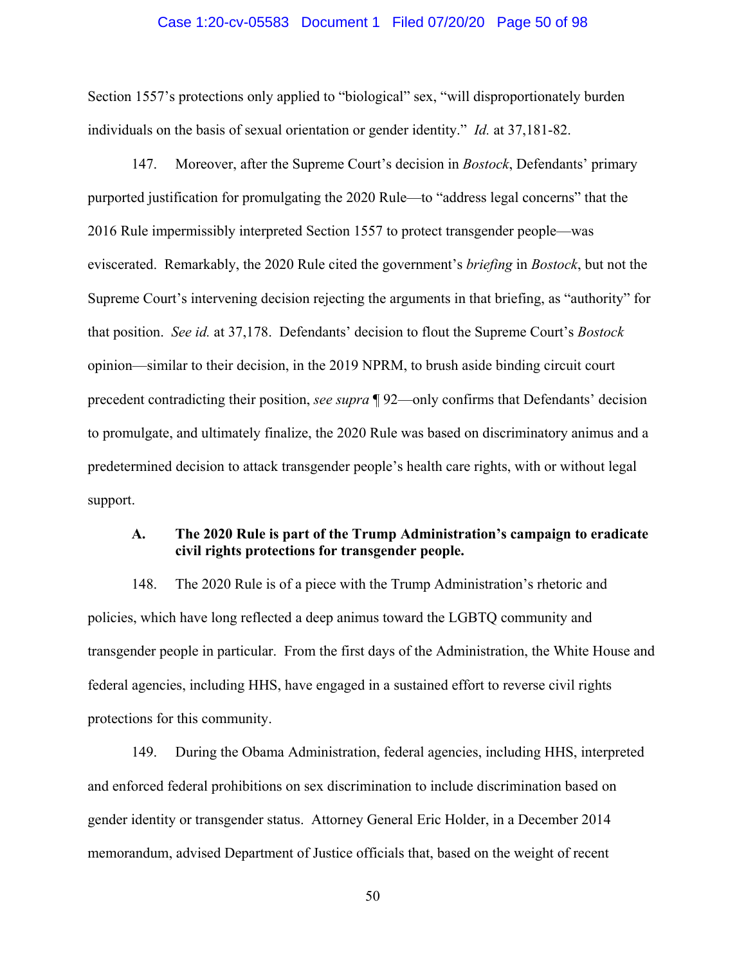#### Case 1:20-cv-05583 Document 1 Filed 07/20/20 Page 50 of 98

Section 1557's protections only applied to "biological" sex, "will disproportionately burden individuals on the basis of sexual orientation or gender identity." *Id.* at 37,181-82.

147. Moreover, after the Supreme Court's decision in *Bostock*, Defendants' primary purported justification for promulgating the 2020 Rule—to "address legal concerns" that the 2016 Rule impermissibly interpreted Section 1557 to protect transgender people—was eviscerated. Remarkably, the 2020 Rule cited the government's *briefing* in *Bostock*, but not the Supreme Court's intervening decision rejecting the arguments in that briefing, as "authority" for that position. *See id.* at 37,178. Defendants' decision to flout the Supreme Court's *Bostock*  opinion—similar to their decision, in the 2019 NPRM, to brush aside binding circuit court precedent contradicting their position, *see supra* ¶ 92—only confirms that Defendants' decision to promulgate, and ultimately finalize, the 2020 Rule was based on discriminatory animus and a predetermined decision to attack transgender people's health care rights, with or without legal support.

# **A. The 2020 Rule is part of the Trump Administration's campaign to eradicate civil rights protections for transgender people.**

148. The 2020 Rule is of a piece with the Trump Administration's rhetoric and policies, which have long reflected a deep animus toward the LGBTQ community and transgender people in particular. From the first days of the Administration, the White House and federal agencies, including HHS, have engaged in a sustained effort to reverse civil rights protections for this community.

149. During the Obama Administration, federal agencies, including HHS, interpreted and enforced federal prohibitions on sex discrimination to include discrimination based on gender identity or transgender status. Attorney General Eric Holder, in a December 2014 memorandum, advised Department of Justice officials that, based on the weight of recent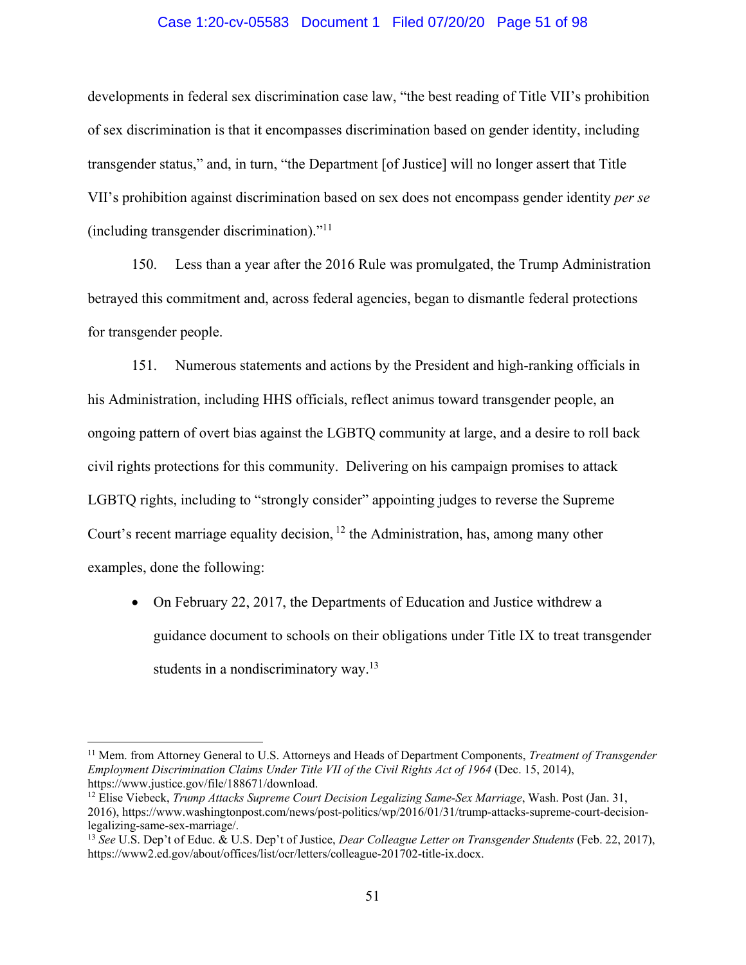#### Case 1:20-cv-05583 Document 1 Filed 07/20/20 Page 51 of 98

developments in federal sex discrimination case law, "the best reading of Title VII's prohibition of sex discrimination is that it encompasses discrimination based on gender identity, including transgender status," and, in turn, "the Department [of Justice] will no longer assert that Title VII's prohibition against discrimination based on sex does not encompass gender identity *per se* (including transgender discrimination)."11

150. Less than a year after the 2016 Rule was promulgated, the Trump Administration betrayed this commitment and, across federal agencies, began to dismantle federal protections for transgender people.

151. Numerous statements and actions by the President and high-ranking officials in his Administration, including HHS officials, reflect animus toward transgender people, an ongoing pattern of overt bias against the LGBTQ community at large, and a desire to roll back civil rights protections for this community. Delivering on his campaign promises to attack LGBTQ rights, including to "strongly consider" appointing judges to reverse the Supreme Court's recent marriage equality decision,  $12$  the Administration, has, among many other examples, done the following:

• On February 22, 2017, the Departments of Education and Justice withdrew a guidance document to schools on their obligations under Title IX to treat transgender students in a nondiscriminatory way.<sup>13</sup>

<sup>11</sup> Mem. from Attorney General to U.S. Attorneys and Heads of Department Components, *Treatment of Transgender Employment Discrimination Claims Under Title VII of the Civil Rights Act of 1964* (Dec. 15, 2014), https://www.justice.gov/file/188671/download.<br><sup>12</sup> Elise Viebeck, *Trump Attacks Supreme Court Decision Legalizing Same-Sex Marriage*, Wash. Post (Jan. 31,

<sup>2016),</sup> https://www.washingtonpost.com/news/post-politics/wp/2016/01/31/trump-attacks-supreme-court-decisionlegalizing-same-sex-marriage/.

<sup>13</sup> *See* U.S. Dep't of Educ. & U.S. Dep't of Justice, *Dear Colleague Letter on Transgender Students* (Feb. 22, 2017), https://www2.ed.gov/about/offices/list/ocr/letters/colleague-201702-title-ix.docx.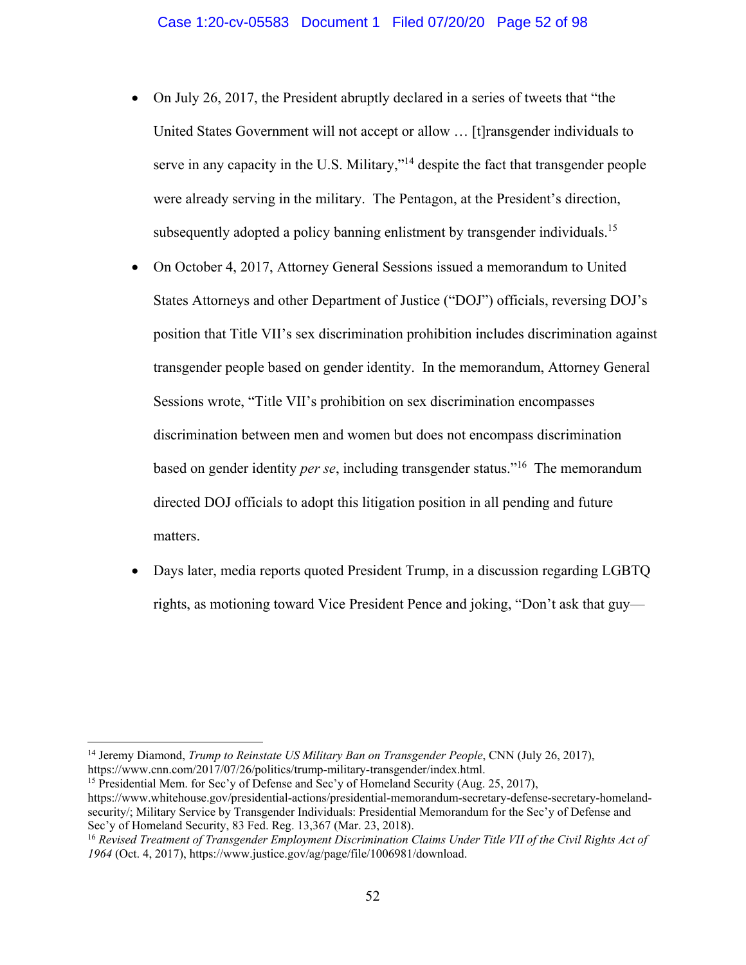- On July 26, 2017, the President abruptly declared in a series of tweets that "the United States Government will not accept or allow … [t]ransgender individuals to serve in any capacity in the U.S. Military,"<sup>14</sup> despite the fact that transgender people were already serving in the military. The Pentagon, at the President's direction, subsequently adopted a policy banning enlistment by transgender individuals.<sup>15</sup>
- On October 4, 2017, Attorney General Sessions issued a memorandum to United States Attorneys and other Department of Justice ("DOJ") officials, reversing DOJ's position that Title VII's sex discrimination prohibition includes discrimination against transgender people based on gender identity. In the memorandum, Attorney General Sessions wrote, "Title VII's prohibition on sex discrimination encompasses discrimination between men and women but does not encompass discrimination based on gender identity *per se*, including transgender status."16 The memorandum directed DOJ officials to adopt this litigation position in all pending and future matters.
- Days later, media reports quoted President Trump, in a discussion regarding LGBTQ rights, as motioning toward Vice President Pence and joking, "Don't ask that guy—

 $\overline{a}$ 

<sup>15</sup> Presidential Mem. for Sec'y of Defense and Sec'y of Homeland Security (Aug. 25, 2017), https://www.whitehouse.gov/presidential-actions/presidential-memorandum-secretary-defense-secretary-homelandsecurity/; Military Service by Transgender Individuals: Presidential Memorandum for the Sec'y of Defense and Sec'y of Homeland Security, 83 Fed. Reg. 13,367 (Mar. 23, 2018).<br><sup>16</sup> *Revised Treatment of Transgender Employment Discrimination Claims Under Title VII of the Civil Rights Act of* 

<sup>14</sup> Jeremy Diamond, *Trump to Reinstate US Military Ban on Transgender People*, CNN (July 26, 2017), https://www.cnn.com/2017/07/26/politics/trump-military-transgender/index.html.

*<sup>1964</sup>* (Oct. 4, 2017), https://www.justice.gov/ag/page/file/1006981/download.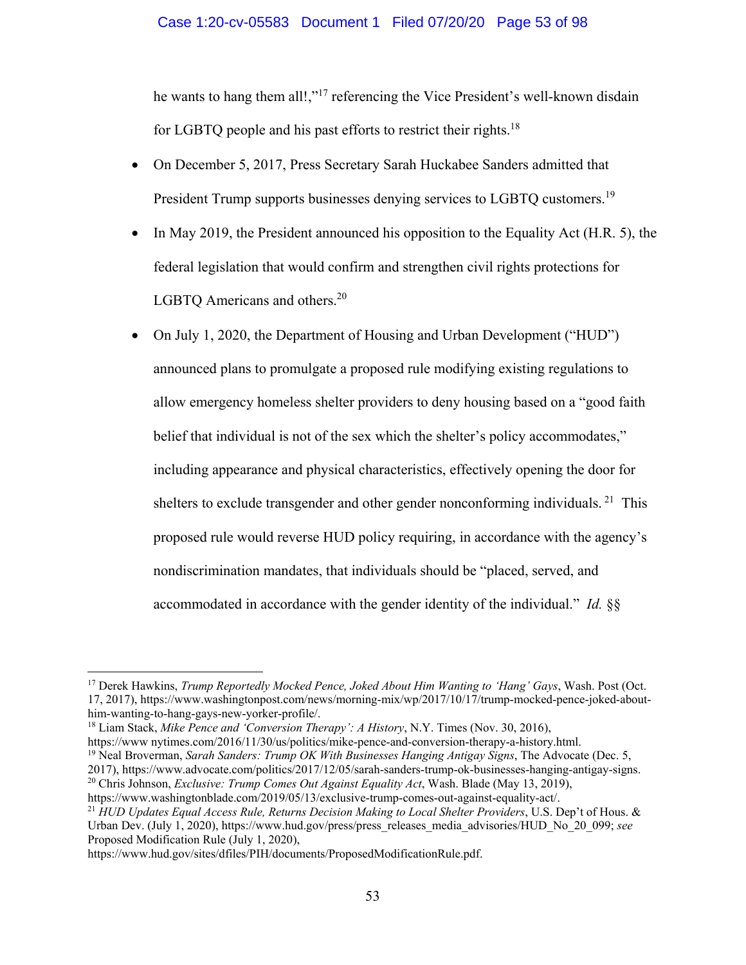he wants to hang them all!,"<sup>17</sup> referencing the Vice President's well-known disdain for LGBTQ people and his past efforts to restrict their rights.<sup>18</sup>

- On December 5, 2017, Press Secretary Sarah Huckabee Sanders admitted that President Trump supports businesses denying services to LGBTQ customers.<sup>19</sup>
- In May 2019, the President announced his opposition to the Equality Act (H.R. 5), the federal legislation that would confirm and strengthen civil rights protections for LGBTQ Americans and others.<sup>20</sup>
- On July 1, 2020, the Department of Housing and Urban Development ("HUD") announced plans to promulgate a proposed rule modifying existing regulations to allow emergency homeless shelter providers to deny housing based on a "good faith belief that individual is not of the sex which the shelter's policy accommodates," including appearance and physical characteristics, effectively opening the door for shelters to exclude transgender and other gender nonconforming individuals. <sup>21</sup> This proposed rule would reverse HUD policy requiring, in accordance with the agency's nondiscrimination mandates, that individuals should be "placed, served, and accommodated in accordance with the gender identity of the individual." *Id.* §§

<u>.</u>

<sup>17</sup> Derek Hawkins, *Trump Reportedly Mocked Pence, Joked About Him Wanting to 'Hang' Gays*, Wash. Post (Oct. 17, 2017), https://www.washingtonpost.com/news/morning-mix/wp/2017/10/17/trump-mocked-pence-joked-abouthim-wanting-to-hang-gays-new-yorker-profile/.

<sup>18</sup> Liam Stack, *Mike Pence and 'Conversion Therapy': A History*, N.Y. Times (Nov. 30, 2016),

https://www nytimes.com/2016/11/30/us/politics/mike-pence-and-conversion-therapy-a-history.html. 19 Neal Broverman, *Sarah Sanders: Trump OK With Businesses Hanging Antigay Signs*, The Advocate (Dec. 5,

<sup>2017),</sup> https://www.advocate.com/politics/2017/12/05/sarah-sanders-trump-ok-businesses-hanging-antigay-signs. 20 Chris Johnson, *Exclusive: Trump Comes Out Against Equality Act*, Wash. Blade (May 13, 2019),

https://www.washingtonblade.com/2019/05/13/exclusive-trump-comes-out-against-equality-act/. 21 *HUD Updates Equal Access Rule, Returns Decision Making to Local Shelter Providers*, U.S. Dep't of Hous. &

Urban Dev. (July 1, 2020), https://www.hud.gov/press/press\_releases\_media\_advisories/HUD\_No\_20\_099; *see* Proposed Modification Rule (July 1, 2020),

https://www.hud.gov/sites/dfiles/PIH/documents/ProposedModificationRule.pdf.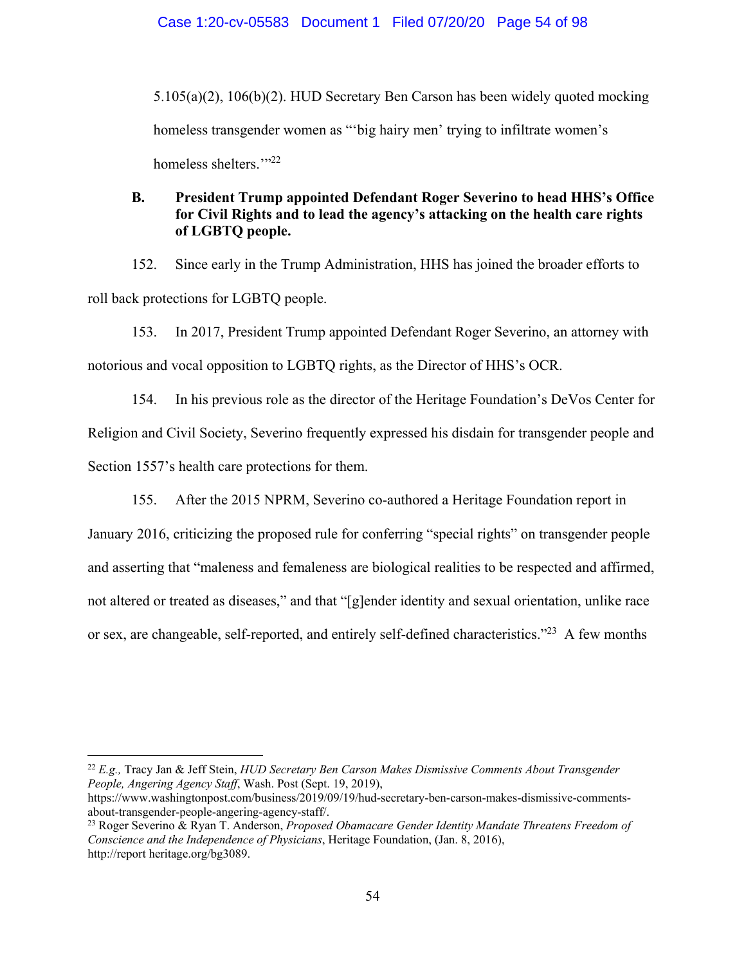5.105(a)(2), 106(b)(2). HUD Secretary Ben Carson has been widely quoted mocking homeless transgender women as "big hairy men' trying to infiltrate women's homeless shelters."<sup>22</sup>

# **B. President Trump appointed Defendant Roger Severino to head HHS's Office for Civil Rights and to lead the agency's attacking on the health care rights of LGBTQ people.**

152. Since early in the Trump Administration, HHS has joined the broader efforts to roll back protections for LGBTQ people.

153. In 2017, President Trump appointed Defendant Roger Severino, an attorney with notorious and vocal opposition to LGBTQ rights, as the Director of HHS's OCR.

154. In his previous role as the director of the Heritage Foundation's DeVos Center for Religion and Civil Society, Severino frequently expressed his disdain for transgender people and Section 1557's health care protections for them.

155. After the 2015 NPRM, Severino co-authored a Heritage Foundation report in

January 2016, criticizing the proposed rule for conferring "special rights" on transgender people and asserting that "maleness and femaleness are biological realities to be respected and affirmed, not altered or treated as diseases," and that "[g]ender identity and sexual orientation, unlike race or sex, are changeable, self-reported, and entirely self-defined characteristics."<sup>23</sup> A few months

<sup>22</sup> *E.g.,* Tracy Jan & Jeff Stein, *HUD Secretary Ben Carson Makes Dismissive Comments About Transgender People, Angering Agency Staff*, Wash. Post (Sept. 19, 2019),

https://www.washingtonpost.com/business/2019/09/19/hud-secretary-ben-carson-makes-dismissive-commentsabout-transgender-people-angering-agency-staff/.

<sup>23</sup> Roger Severino & Ryan T. Anderson, *Proposed Obamacare Gender Identity Mandate Threatens Freedom of Conscience and the Independence of Physicians*, Heritage Foundation, (Jan. 8, 2016), http://report heritage.org/bg3089.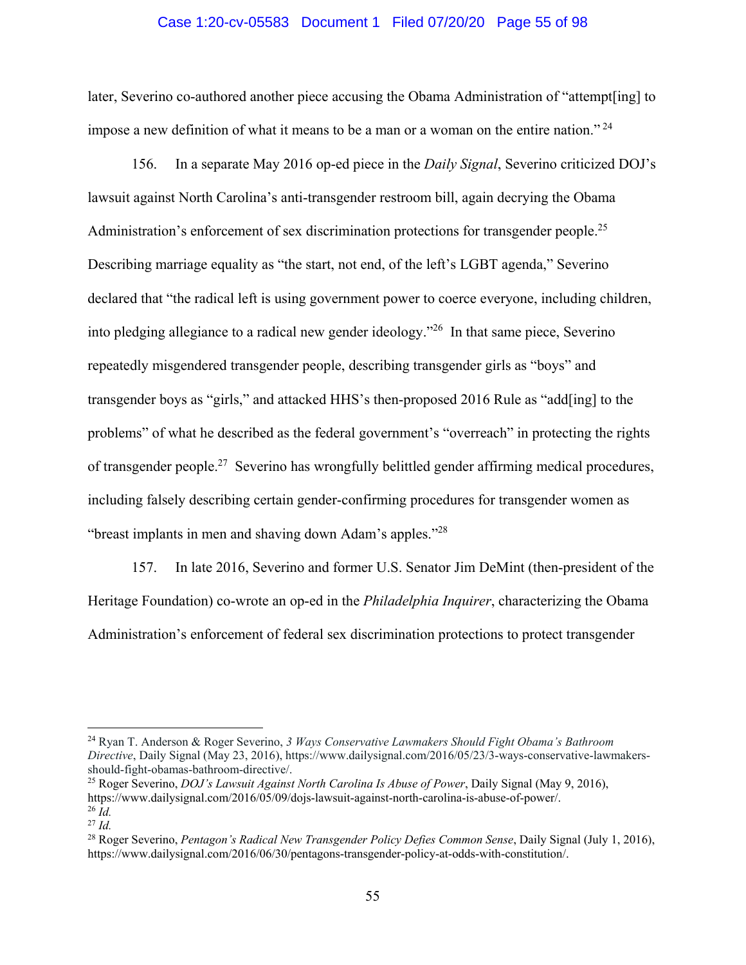#### Case 1:20-cv-05583 Document 1 Filed 07/20/20 Page 55 of 98

later, Severino co-authored another piece accusing the Obama Administration of "attempt[ing] to impose a new definition of what it means to be a man or a woman on the entire nation."<sup>24</sup>

156. In a separate May 2016 op-ed piece in the *Daily Signal*, Severino criticized DOJ's lawsuit against North Carolina's anti-transgender restroom bill, again decrying the Obama Administration's enforcement of sex discrimination protections for transgender people.<sup>25</sup> Describing marriage equality as "the start, not end, of the left's LGBT agenda," Severino declared that "the radical left is using government power to coerce everyone, including children, into pledging allegiance to a radical new gender ideology."26 In that same piece, Severino repeatedly misgendered transgender people, describing transgender girls as "boys" and transgender boys as "girls," and attacked HHS's then-proposed 2016 Rule as "add[ing] to the problems" of what he described as the federal government's "overreach" in protecting the rights of transgender people.27 Severino has wrongfully belittled gender affirming medical procedures, including falsely describing certain gender-confirming procedures for transgender women as "breast implants in men and shaving down Adam's apples."28

157. In late 2016, Severino and former U.S. Senator Jim DeMint (then-president of the Heritage Foundation) co-wrote an op-ed in the *Philadelphia Inquirer*, characterizing the Obama Administration's enforcement of federal sex discrimination protections to protect transgender

<sup>24</sup> Ryan T. Anderson & Roger Severino, *3 Ways Conservative Lawmakers Should Fight Obama's Bathroom Directive*, Daily Signal (May 23, 2016), https://www.dailysignal.com/2016/05/23/3-ways-conservative-lawmakersshould-fight-obamas-bathroom-directive/.

<sup>25</sup> Roger Severino, *DOJ's Lawsuit Against North Carolina Is Abuse of Power*, Daily Signal (May 9, 2016), https://www.dailysignal.com/2016/05/09/dojs-lawsuit-against-north-carolina-is-abuse-of-power/. <sup>26</sup> *Id.*

<sup>27</sup> *Id.* 

<sup>28</sup> Roger Severino, *Pentagon's Radical New Transgender Policy Defies Common Sense*, Daily Signal (July 1, 2016), https://www.dailysignal.com/2016/06/30/pentagons-transgender-policy-at-odds-with-constitution/.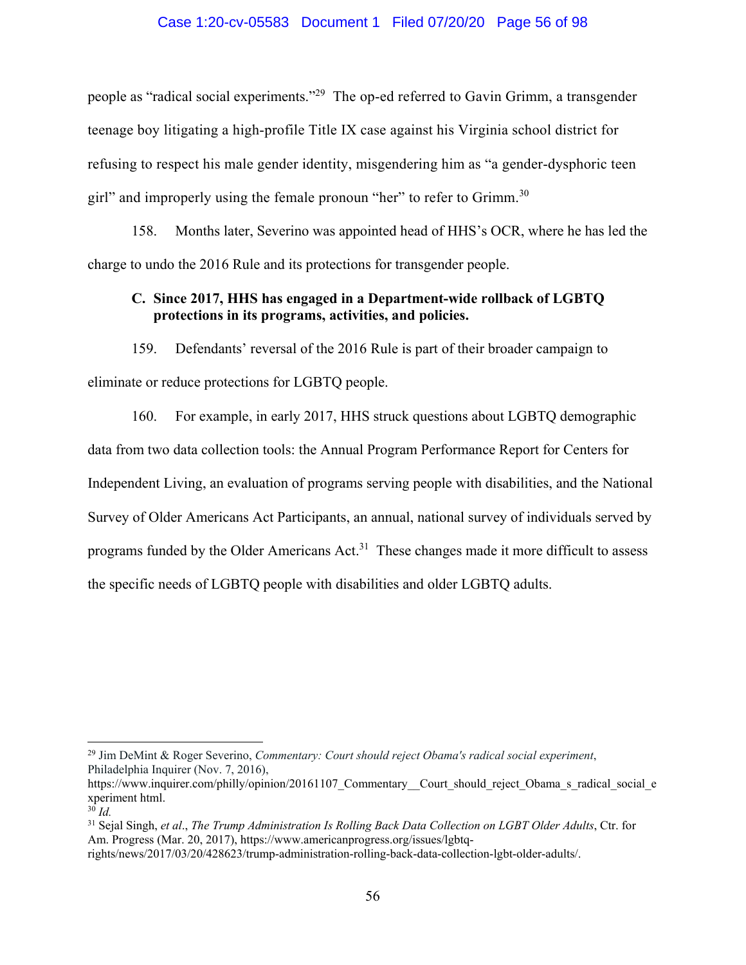#### Case 1:20-cv-05583 Document 1 Filed 07/20/20 Page 56 of 98

people as "radical social experiments."29 The op-ed referred to Gavin Grimm, a transgender teenage boy litigating a high-profile Title IX case against his Virginia school district for refusing to respect his male gender identity, misgendering him as "a gender-dysphoric teen girl" and improperly using the female pronoun "her" to refer to Grimm.<sup>30</sup>

158. Months later, Severino was appointed head of HHS's OCR, where he has led the charge to undo the 2016 Rule and its protections for transgender people.

## **C. Since 2017, HHS has engaged in a Department-wide rollback of LGBTQ protections in its programs, activities, and policies.**

159. Defendants' reversal of the 2016 Rule is part of their broader campaign to eliminate or reduce protections for LGBTQ people.

160. For example, in early 2017, HHS struck questions about LGBTQ demographic data from two data collection tools: the Annual Program Performance Report for Centers for Independent Living, an evaluation of programs serving people with disabilities, and the National Survey of Older Americans Act Participants, an annual, national survey of individuals served by programs funded by the Older Americans Act.<sup>31</sup> These changes made it more difficult to assess the specific needs of LGBTQ people with disabilities and older LGBTQ adults.

<sup>29</sup> Jim DeMint & Roger Severino, *Commentary: Court should reject Obama's radical social experiment*, Philadelphia Inquirer (Nov. 7, 2016),

https://www.inquirer.com/philly/opinion/20161107 Commentary Court should reject Obama s radical social e xperiment html.

 $30$  *Id.* 

<sup>31</sup> Sejal Singh, *et al*., *The Trump Administration Is Rolling Back Data Collection on LGBT Older Adults*, Ctr. for Am. Progress (Mar. 20, 2017), https://www.americanprogress.org/issues/lgbtq-

rights/news/2017/03/20/428623/trump-administration-rolling-back-data-collection-lgbt-older-adults/.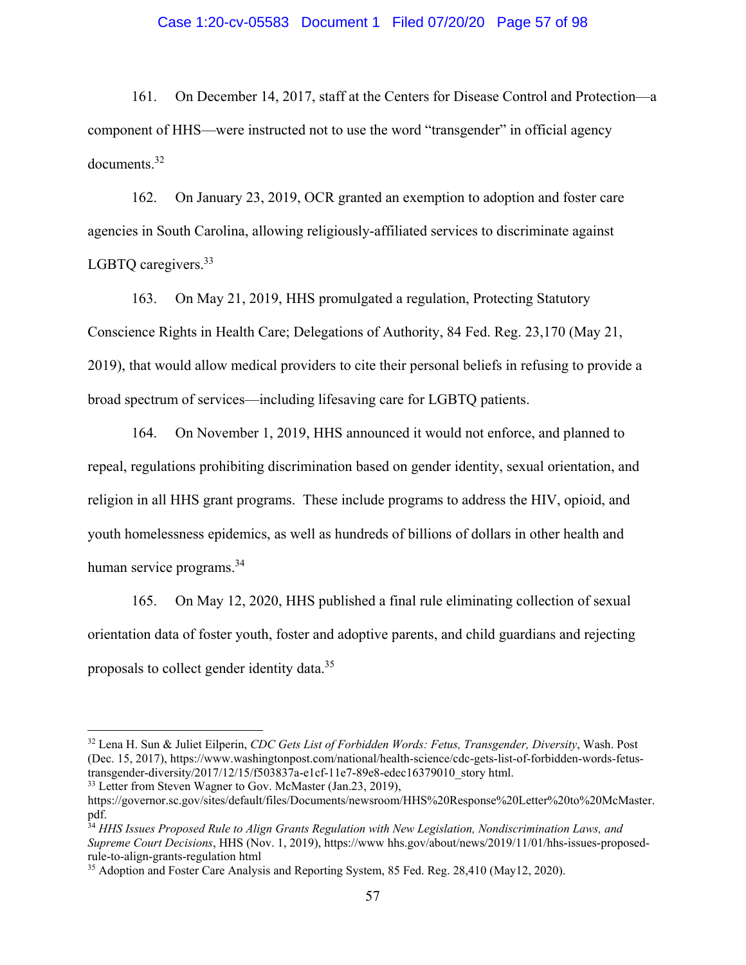#### Case 1:20-cv-05583 Document 1 Filed 07/20/20 Page 57 of 98

161. On December 14, 2017, staff at the Centers for Disease Control and Protection—a component of HHS—were instructed not to use the word "transgender" in official agency documents.32

162. On January 23, 2019, OCR granted an exemption to adoption and foster care agencies in South Carolina, allowing religiously-affiliated services to discriminate against LGBTO caregivers.<sup>33</sup>

163. On May 21, 2019, HHS promulgated a regulation, Protecting Statutory Conscience Rights in Health Care; Delegations of Authority, 84 Fed. Reg. 23,170 (May 21, 2019), that would allow medical providers to cite their personal beliefs in refusing to provide a broad spectrum of services—including lifesaving care for LGBTQ patients.

164. On November 1, 2019, HHS announced it would not enforce, and planned to repeal, regulations prohibiting discrimination based on gender identity, sexual orientation, and religion in all HHS grant programs. These include programs to address the HIV, opioid, and youth homelessness epidemics, as well as hundreds of billions of dollars in other health and human service programs.<sup>34</sup>

165. On May 12, 2020, HHS published a final rule eliminating collection of sexual orientation data of foster youth, foster and adoptive parents, and child guardians and rejecting proposals to collect gender identity data.35

<sup>32</sup> Lena H. Sun & Juliet Eilperin, *CDC Gets List of Forbidden Words: Fetus, Transgender, Diversity*, Wash. Post (Dec. 15, 2017), https://www.washingtonpost.com/national/health-science/cdc-gets-list-of-forbidden-words-fetustransgender-diversity/2017/12/15/f503837a-e1cf-11e7-89e8-edec16379010\_story html. <sup>33</sup> Letter from Steven Wagner to Gov. McMaster (Jan.23, 2019),

https://governor.sc.gov/sites/default/files/Documents/newsroom/HHS%20Response%20Letter%20to%20McMaster. pdf.

<sup>34</sup> *HHS Issues Proposed Rule to Align Grants Regulation with New Legislation, Nondiscrimination Laws, and Supreme Court Decisions*, HHS (Nov. 1, 2019), https://www hhs.gov/about/news/2019/11/01/hhs-issues-proposedrule-to-align-grants-regulation html

<sup>&</sup>lt;sup>35</sup> Adoption and Foster Care Analysis and Reporting System, 85 Fed. Reg. 28,410 (May12, 2020).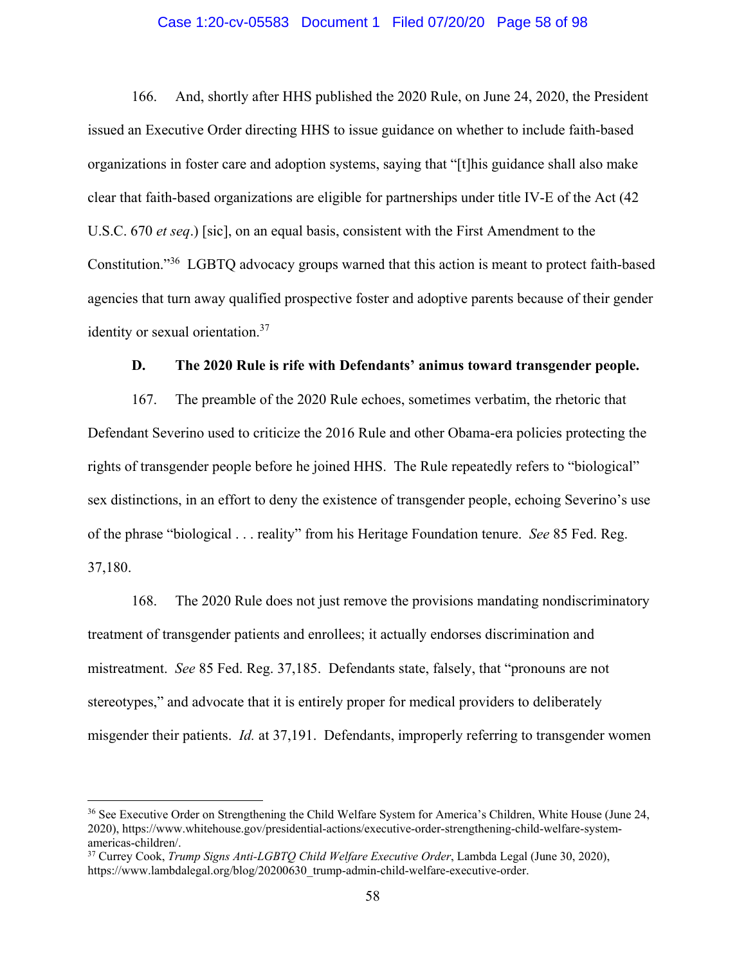#### Case 1:20-cv-05583 Document 1 Filed 07/20/20 Page 58 of 98

166. And, shortly after HHS published the 2020 Rule, on June 24, 2020, the President issued an Executive Order directing HHS to issue guidance on whether to include faith-based organizations in foster care and adoption systems, saying that "[t]his guidance shall also make clear that faith-based organizations are eligible for partnerships under title IV-E of the Act (42 U.S.C. 670 *et seq*.) [sic], on an equal basis, consistent with the First Amendment to the Constitution."36 LGBTQ advocacy groups warned that this action is meant to protect faith-based agencies that turn away qualified prospective foster and adoptive parents because of their gender identity or sexual orientation.<sup>37</sup>

#### **D. The 2020 Rule is rife with Defendants' animus toward transgender people.**

167. The preamble of the 2020 Rule echoes, sometimes verbatim, the rhetoric that Defendant Severino used to criticize the 2016 Rule and other Obama-era policies protecting the rights of transgender people before he joined HHS. The Rule repeatedly refers to "biological" sex distinctions, in an effort to deny the existence of transgender people, echoing Severino's use of the phrase "biological . . . reality" from his Heritage Foundation tenure. *See* 85 Fed. Reg. 37,180.

168. The 2020 Rule does not just remove the provisions mandating nondiscriminatory treatment of transgender patients and enrollees; it actually endorses discrimination and mistreatment. *See* 85 Fed. Reg. 37,185. Defendants state, falsely, that "pronouns are not stereotypes," and advocate that it is entirely proper for medical providers to deliberately misgender their patients. *Id.* at 37,191. Defendants, improperly referring to transgender women

<sup>&</sup>lt;sup>36</sup> See Executive Order on Strengthening the Child Welfare System for America's Children, White House (June 24, 2020), https://www.whitehouse.gov/presidential-actions/executive-order-strengthening-child-welfare-systemamericas-children/.

<sup>37</sup> Currey Cook, *Trump Signs Anti-LGBTQ Child Welfare Executive Order*, Lambda Legal (June 30, 2020), https://www.lambdalegal.org/blog/20200630\_trump-admin-child-welfare-executive-order.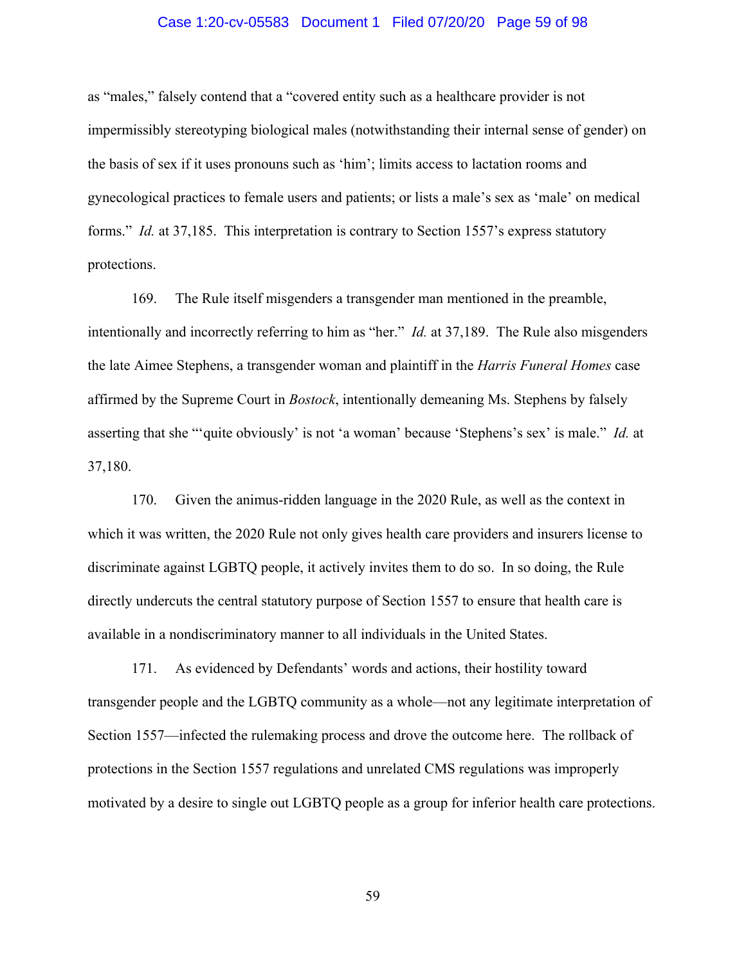#### Case 1:20-cv-05583 Document 1 Filed 07/20/20 Page 59 of 98

as "males," falsely contend that a "covered entity such as a healthcare provider is not impermissibly stereotyping biological males (notwithstanding their internal sense of gender) on the basis of sex if it uses pronouns such as 'him'; limits access to lactation rooms and gynecological practices to female users and patients; or lists a male's sex as 'male' on medical forms." *Id.* at 37,185. This interpretation is contrary to Section 1557's express statutory protections.

169. The Rule itself misgenders a transgender man mentioned in the preamble, intentionally and incorrectly referring to him as "her." *Id.* at 37,189. The Rule also misgenders the late Aimee Stephens, a transgender woman and plaintiff in the *Harris Funeral Homes* case affirmed by the Supreme Court in *Bostock*, intentionally demeaning Ms. Stephens by falsely asserting that she "'quite obviously' is not 'a woman' because 'Stephens's sex' is male." *Id.* at 37,180.

170. Given the animus-ridden language in the 2020 Rule, as well as the context in which it was written, the 2020 Rule not only gives health care providers and insurers license to discriminate against LGBTQ people, it actively invites them to do so. In so doing, the Rule directly undercuts the central statutory purpose of Section 1557 to ensure that health care is available in a nondiscriminatory manner to all individuals in the United States.

171. As evidenced by Defendants' words and actions, their hostility toward transgender people and the LGBTQ community as a whole—not any legitimate interpretation of Section 1557—infected the rulemaking process and drove the outcome here. The rollback of protections in the Section 1557 regulations and unrelated CMS regulations was improperly motivated by a desire to single out LGBTQ people as a group for inferior health care protections.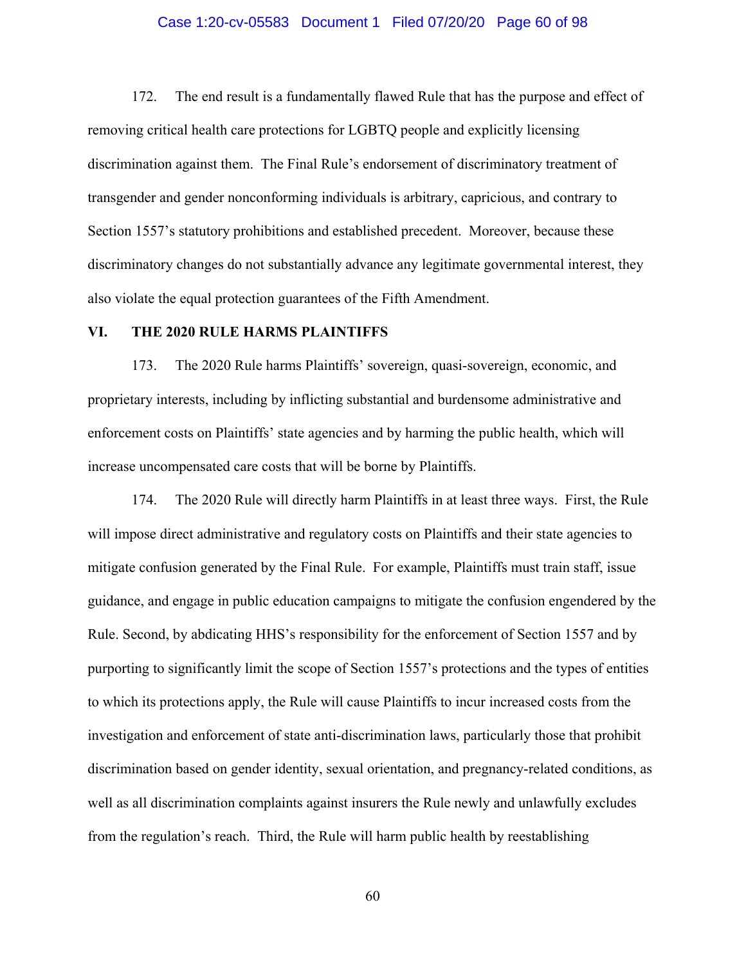#### Case 1:20-cv-05583 Document 1 Filed 07/20/20 Page 60 of 98

172. The end result is a fundamentally flawed Rule that has the purpose and effect of removing critical health care protections for LGBTQ people and explicitly licensing discrimination against them. The Final Rule's endorsement of discriminatory treatment of transgender and gender nonconforming individuals is arbitrary, capricious, and contrary to Section 1557's statutory prohibitions and established precedent. Moreover, because these discriminatory changes do not substantially advance any legitimate governmental interest, they also violate the equal protection guarantees of the Fifth Amendment.

#### **VI. THE 2020 RULE HARMS PLAINTIFFS**

173. The 2020 Rule harms Plaintiffs' sovereign, quasi-sovereign, economic, and proprietary interests, including by inflicting substantial and burdensome administrative and enforcement costs on Plaintiffs' state agencies and by harming the public health, which will increase uncompensated care costs that will be borne by Plaintiffs.

174. The 2020 Rule will directly harm Plaintiffs in at least three ways. First, the Rule will impose direct administrative and regulatory costs on Plaintiffs and their state agencies to mitigate confusion generated by the Final Rule. For example, Plaintiffs must train staff, issue guidance, and engage in public education campaigns to mitigate the confusion engendered by the Rule. Second, by abdicating HHS's responsibility for the enforcement of Section 1557 and by purporting to significantly limit the scope of Section 1557's protections and the types of entities to which its protections apply, the Rule will cause Plaintiffs to incur increased costs from the investigation and enforcement of state anti-discrimination laws, particularly those that prohibit discrimination based on gender identity, sexual orientation, and pregnancy-related conditions, as well as all discrimination complaints against insurers the Rule newly and unlawfully excludes from the regulation's reach. Third, the Rule will harm public health by reestablishing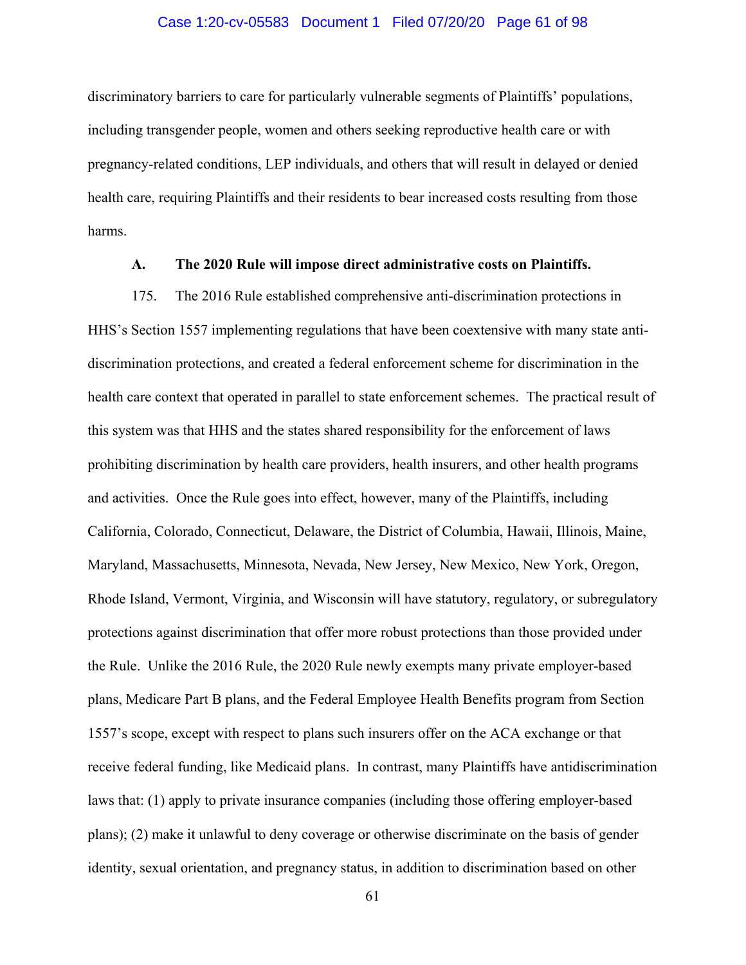#### Case 1:20-cv-05583 Document 1 Filed 07/20/20 Page 61 of 98

discriminatory barriers to care for particularly vulnerable segments of Plaintiffs' populations, including transgender people, women and others seeking reproductive health care or with pregnancy-related conditions, LEP individuals, and others that will result in delayed or denied health care, requiring Plaintiffs and their residents to bear increased costs resulting from those harms.

### **A. The 2020 Rule will impose direct administrative costs on Plaintiffs.**

175. The 2016 Rule established comprehensive anti-discrimination protections in HHS's Section 1557 implementing regulations that have been coextensive with many state antidiscrimination protections, and created a federal enforcement scheme for discrimination in the health care context that operated in parallel to state enforcement schemes. The practical result of this system was that HHS and the states shared responsibility for the enforcement of laws prohibiting discrimination by health care providers, health insurers, and other health programs and activities. Once the Rule goes into effect, however, many of the Plaintiffs, including California, Colorado, Connecticut, Delaware, the District of Columbia, Hawaii, Illinois, Maine, Maryland, Massachusetts, Minnesota, Nevada, New Jersey, New Mexico, New York, Oregon, Rhode Island, Vermont, Virginia, and Wisconsin will have statutory, regulatory, or subregulatory protections against discrimination that offer more robust protections than those provided under the Rule. Unlike the 2016 Rule, the 2020 Rule newly exempts many private employer-based plans, Medicare Part B plans, and the Federal Employee Health Benefits program from Section 1557's scope, except with respect to plans such insurers offer on the ACA exchange or that receive federal funding, like Medicaid plans. In contrast, many Plaintiffs have antidiscrimination laws that: (1) apply to private insurance companies (including those offering employer-based plans); (2) make it unlawful to deny coverage or otherwise discriminate on the basis of gender identity, sexual orientation, and pregnancy status, in addition to discrimination based on other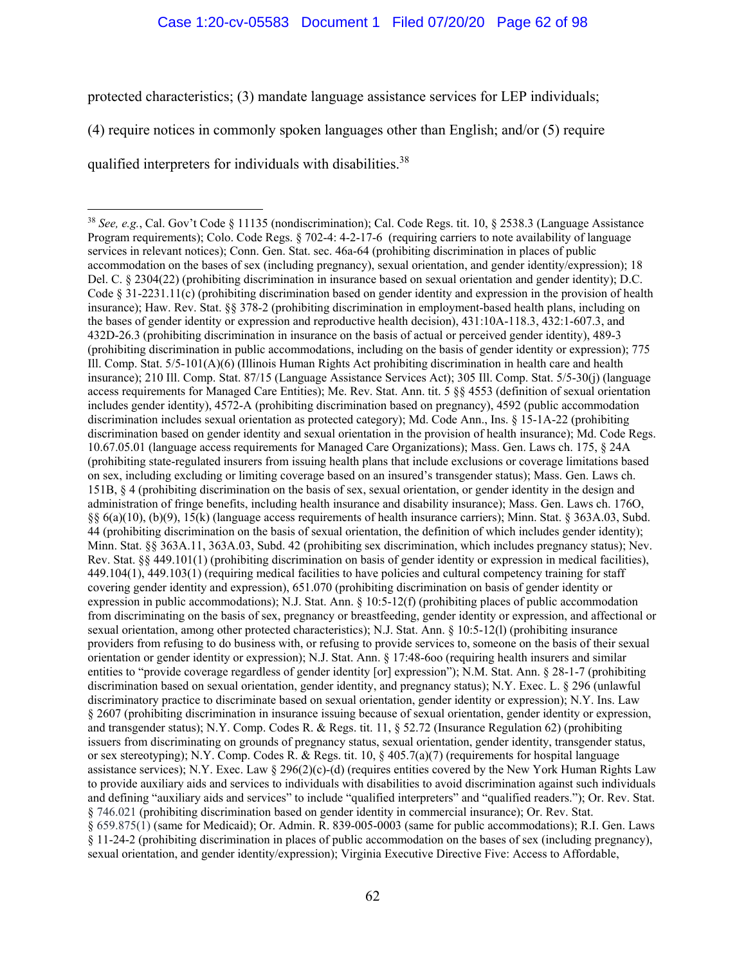### Case 1:20-cv-05583 Document 1 Filed 07/20/20 Page 62 of 98

protected characteristics; (3) mandate language assistance services for LEP individuals;

(4) require notices in commonly spoken languages other than English; and/or (5) require

qualified interpreters for individuals with disabilities.<sup>38</sup>

<sup>38</sup> *See, e.g.*, Cal. Gov't Code § 11135 (nondiscrimination); Cal. Code Regs. tit. 10, § 2538.3 (Language Assistance Program requirements); Colo. Code Regs. § 702-4: 4-2-17-6 (requiring carriers to note availability of language services in relevant notices); Conn. Gen. Stat. sec. 46a-64 (prohibiting discrimination in places of public accommodation on the bases of sex (including pregnancy), sexual orientation, and gender identity/expression); 18 Del. C. § 2304(22) (prohibiting discrimination in insurance based on sexual orientation and gender identity); D.C. Code  $\S 31-2231.11(c)$  (prohibiting discrimination based on gender identity and expression in the provision of health insurance); Haw. Rev. Stat. §§ 378-2 (prohibiting discrimination in employment-based health plans, including on the bases of gender identity or expression and reproductive health decision), 431:10A-118.3, 432:1-607.3, and 432D-26.3 (prohibiting discrimination in insurance on the basis of actual or perceived gender identity), 489-3 (prohibiting discrimination in public accommodations, including on the basis of gender identity or expression); 775 Ill. Comp. Stat. 5/5-101(A)(6) (Illinois Human Rights Act prohibiting discrimination in health care and health insurance); 210 Ill. Comp. Stat. 87/15 (Language Assistance Services Act); 305 Ill. Comp. Stat. 5/5-30(j) (language access requirements for Managed Care Entities); Me. Rev. Stat. Ann. tit. 5 §§ 4553 (definition of sexual orientation includes gender identity), 4572-A (prohibiting discrimination based on pregnancy), 4592 (public accommodation discrimination includes sexual orientation as protected category); Md. Code Ann., Ins. § 15-1A-22 (prohibiting discrimination based on gender identity and sexual orientation in the provision of health insurance); Md. Code Regs. 10.67.05.01 (language access requirements for Managed Care Organizations); Mass. Gen. Laws ch. 175, § 24A (prohibiting state-regulated insurers from issuing health plans that include exclusions or coverage limitations based on sex, including excluding or limiting coverage based on an insured's transgender status); Mass. Gen. Laws ch. 151B, § 4 (prohibiting discrimination on the basis of sex, sexual orientation, or gender identity in the design and administration of fringe benefits, including health insurance and disability insurance); Mass. Gen. Laws ch. 176O, §§ 6(a)(10), (b)(9), 15(k) (language access requirements of health insurance carriers); Minn. Stat. § 363A.03, Subd. 44 (prohibiting discrimination on the basis of sexual orientation, the definition of which includes gender identity); Minn. Stat. §§ 363A.11, 363A.03, Subd. 42 (prohibiting sex discrimination, which includes pregnancy status); Nev. Rev. Stat. §§ 449.101(1) (prohibiting discrimination on basis of gender identity or expression in medical facilities), 449.104(1), 449.103(1) (requiring medical facilities to have policies and cultural competency training for staff covering gender identity and expression), 651.070 (prohibiting discrimination on basis of gender identity or expression in public accommodations); N.J. Stat. Ann. § 10:5-12(f) (prohibiting places of public accommodation from discriminating on the basis of sex, pregnancy or breastfeeding, gender identity or expression, and affectional or sexual orientation, among other protected characteristics); N.J. Stat. Ann. § 10:5-12(l) (prohibiting insurance providers from refusing to do business with, or refusing to provide services to, someone on the basis of their sexual orientation or gender identity or expression); N.J. Stat. Ann. § 17:48-6oo (requiring health insurers and similar entities to "provide coverage regardless of gender identity [or] expression"); N.M. Stat. Ann. § 28-1-7 (prohibiting discrimination based on sexual orientation, gender identity, and pregnancy status); N.Y. Exec. L. § 296 (unlawful discriminatory practice to discriminate based on sexual orientation, gender identity or expression); N.Y. Ins. Law § 2607 (prohibiting discrimination in insurance issuing because of sexual orientation, gender identity or expression, and transgender status); N.Y. Comp. Codes R. & Regs. tit. 11, § 52.72 (Insurance Regulation 62) (prohibiting issuers from discriminating on grounds of pregnancy status, sexual orientation, gender identity, transgender status, or sex stereotyping); N.Y. Comp. Codes R. & Regs. tit. 10, § 405.7(a)(7) (requirements for hospital language assistance services); N.Y. Exec. Law  $\S 296(2)(c)$ -(d) (requires entities covered by the New York Human Rights Law to provide auxiliary aids and services to individuals with disabilities to avoid discrimination against such individuals and defining "auxiliary aids and services" to include "qualified interpreters" and "qualified readers."); Or. Rev. Stat. § 746.021 (prohibiting discrimination based on gender identity in commercial insurance); Or. Rev. Stat. § 659.875(1) (same for Medicaid); Or. Admin. R. 839-005-0003 (same for public accommodations); R.I. Gen. Laws § 11-24-2 (prohibiting discrimination in places of public accommodation on the bases of sex (including pregnancy), sexual orientation, and gender identity/expression); Virginia Executive Directive Five: Access to Affordable,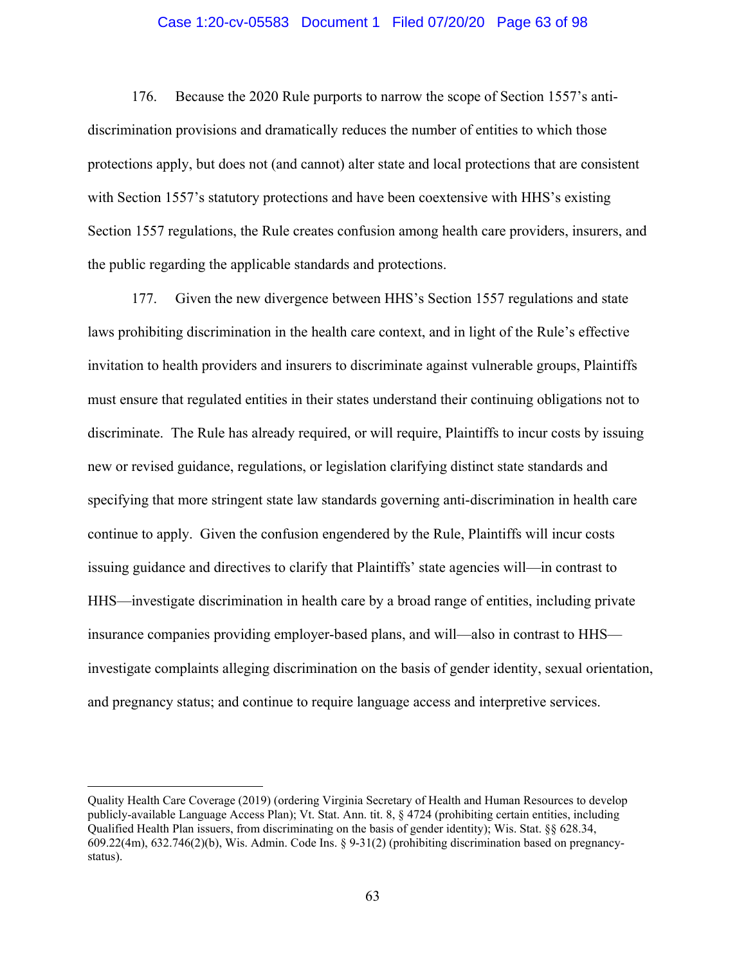#### Case 1:20-cv-05583 Document 1 Filed 07/20/20 Page 63 of 98

176. Because the 2020 Rule purports to narrow the scope of Section 1557's antidiscrimination provisions and dramatically reduces the number of entities to which those protections apply, but does not (and cannot) alter state and local protections that are consistent with Section 1557's statutory protections and have been coextensive with HHS's existing Section 1557 regulations, the Rule creates confusion among health care providers, insurers, and the public regarding the applicable standards and protections.

177. Given the new divergence between HHS's Section 1557 regulations and state laws prohibiting discrimination in the health care context, and in light of the Rule's effective invitation to health providers and insurers to discriminate against vulnerable groups, Plaintiffs must ensure that regulated entities in their states understand their continuing obligations not to discriminate. The Rule has already required, or will require, Plaintiffs to incur costs by issuing new or revised guidance, regulations, or legislation clarifying distinct state standards and specifying that more stringent state law standards governing anti-discrimination in health care continue to apply. Given the confusion engendered by the Rule, Plaintiffs will incur costs issuing guidance and directives to clarify that Plaintiffs' state agencies will—in contrast to HHS—investigate discrimination in health care by a broad range of entities, including private insurance companies providing employer-based plans, and will—also in contrast to HHS investigate complaints alleging discrimination on the basis of gender identity, sexual orientation, and pregnancy status; and continue to require language access and interpretive services.

Quality Health Care Coverage (2019) (ordering Virginia Secretary of Health and Human Resources to develop publicly-available Language Access Plan); Vt. Stat. Ann. tit. 8, § 4724 (prohibiting certain entities, including Qualified Health Plan issuers, from discriminating on the basis of gender identity); Wis. Stat. §§ 628.34, 609.22(4m), 632.746(2)(b), Wis. Admin. Code Ins. § 9-31(2) (prohibiting discrimination based on pregnancystatus).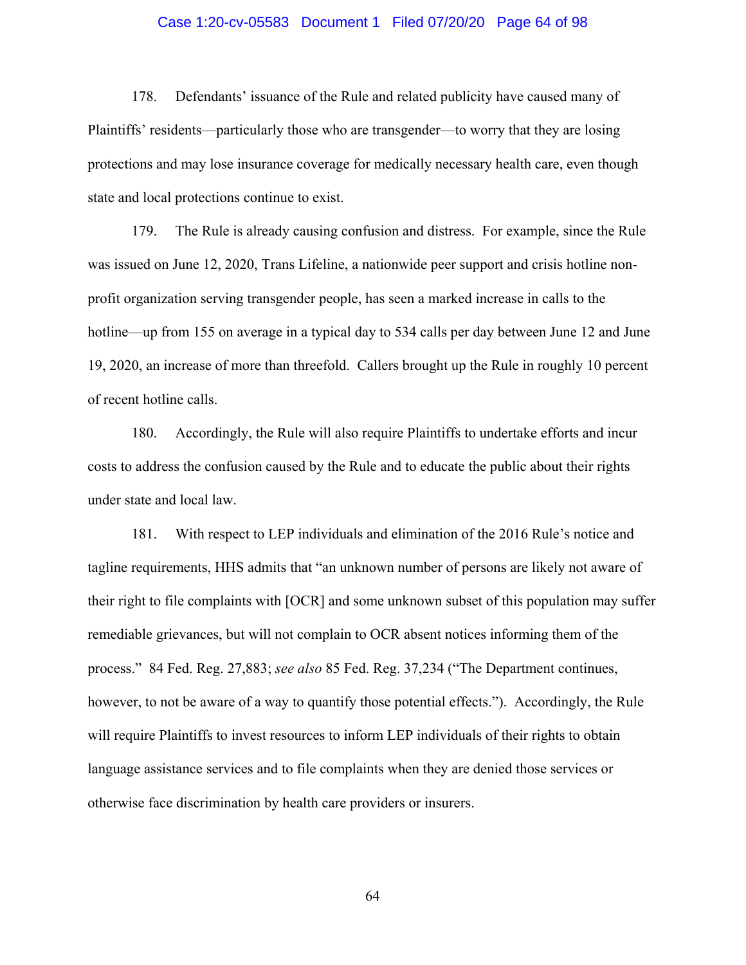#### Case 1:20-cv-05583 Document 1 Filed 07/20/20 Page 64 of 98

178. Defendants' issuance of the Rule and related publicity have caused many of Plaintiffs' residents—particularly those who are transgender—to worry that they are losing protections and may lose insurance coverage for medically necessary health care, even though state and local protections continue to exist.

179. The Rule is already causing confusion and distress. For example, since the Rule was issued on June 12, 2020, Trans Lifeline, a nationwide peer support and crisis hotline nonprofit organization serving transgender people, has seen a marked increase in calls to the hotline—up from 155 on average in a typical day to 534 calls per day between June 12 and June 19, 2020, an increase of more than threefold. Callers brought up the Rule in roughly 10 percent of recent hotline calls.

180. Accordingly, the Rule will also require Plaintiffs to undertake efforts and incur costs to address the confusion caused by the Rule and to educate the public about their rights under state and local law.

181. With respect to LEP individuals and elimination of the 2016 Rule's notice and tagline requirements, HHS admits that "an unknown number of persons are likely not aware of their right to file complaints with [OCR] and some unknown subset of this population may suffer remediable grievances, but will not complain to OCR absent notices informing them of the process." 84 Fed. Reg. 27,883; *see also* 85 Fed. Reg. 37,234 ("The Department continues, however, to not be aware of a way to quantify those potential effects."). Accordingly, the Rule will require Plaintiffs to invest resources to inform LEP individuals of their rights to obtain language assistance services and to file complaints when they are denied those services or otherwise face discrimination by health care providers or insurers.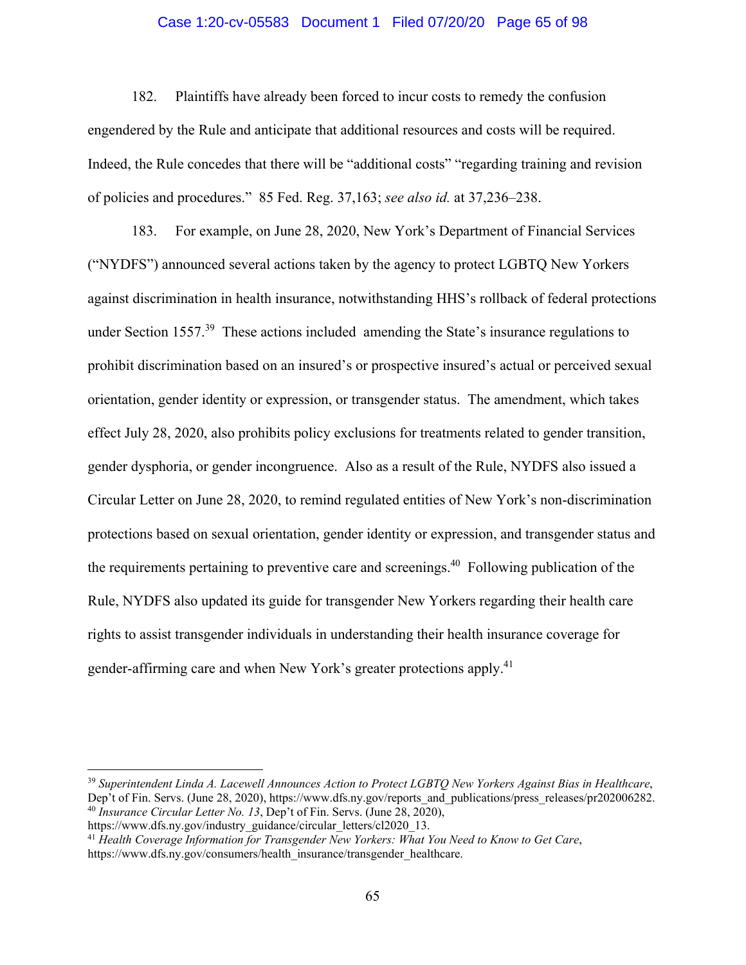#### Case 1:20-cv-05583 Document 1 Filed 07/20/20 Page 65 of 98

182. Plaintiffs have already been forced to incur costs to remedy the confusion engendered by the Rule and anticipate that additional resources and costs will be required. Indeed, the Rule concedes that there will be "additional costs" "regarding training and revision of policies and procedures." 85 Fed. Reg. 37,163; *see also id.* at 37,236–238.

183. For example, on June 28, 2020, New York's Department of Financial Services ("NYDFS") announced several actions taken by the agency to protect LGBTQ New Yorkers against discrimination in health insurance, notwithstanding HHS's rollback of federal protections under Section 1557.<sup>39</sup> These actions included amending the State's insurance regulations to prohibit discrimination based on an insured's or prospective insured's actual or perceived sexual orientation, gender identity or expression, or transgender status. The amendment, which takes effect July 28, 2020, also prohibits policy exclusions for treatments related to gender transition, gender dysphoria, or gender incongruence. Also as a result of the Rule, NYDFS also issued a Circular Letter on June 28, 2020, to remind regulated entities of New York's non-discrimination protections based on sexual orientation, gender identity or expression, and transgender status and the requirements pertaining to preventive care and screenings.<sup>40</sup> Following publication of the Rule, NYDFS also updated its guide for transgender New Yorkers regarding their health care rights to assist transgender individuals in understanding their health insurance coverage for gender-affirming care and when New York's greater protections apply.<sup>41</sup>

<sup>39</sup> *Superintendent Linda A. Lacewell Announces Action to Protect LGBTQ New Yorkers Against Bias in Healthcare*, Dep't of Fin. Servs. (June 28, 2020), https://www.dfs.ny.gov/reports\_and\_publications/press\_releases/pr202006282. <sup>40</sup> *Insurance Circular Letter No. 13*, Dep't of Fin. Servs. (June 28, 2020), https://www.dfs.ny.gov/industry guidance/circular letters/cl2020 13.

<sup>&</sup>lt;sup>41</sup> Health Coverage Information for Transgender New Yorkers: What You Need to Know to Get Care, https://www.dfs.ny.gov/consumers/health\_insurance/transgender\_healthcare.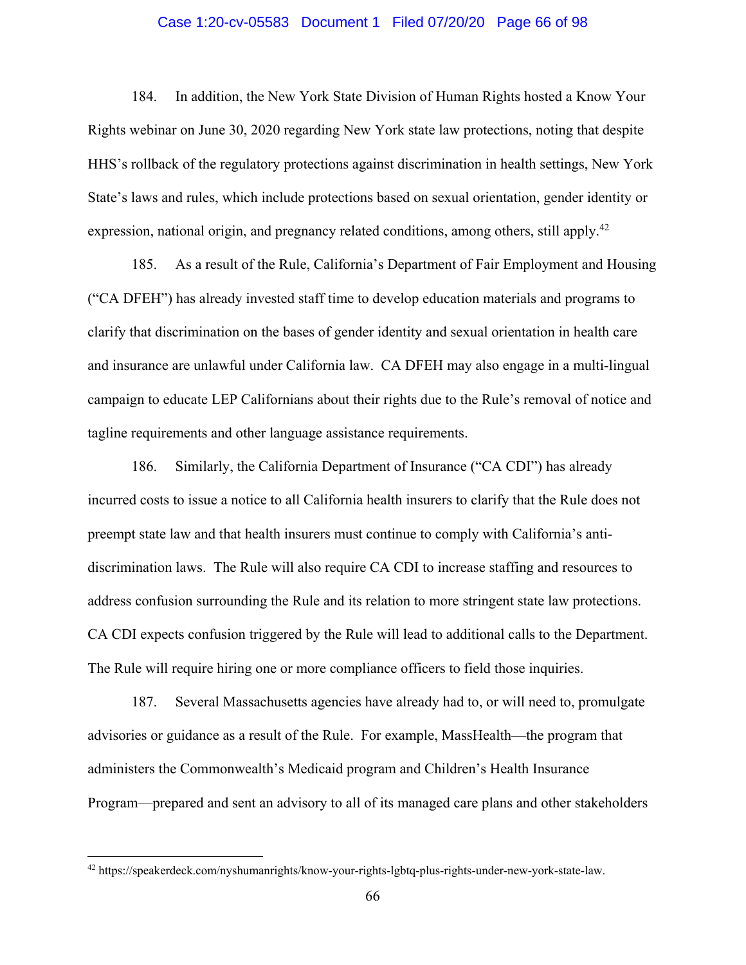#### Case 1:20-cv-05583 Document 1 Filed 07/20/20 Page 66 of 98

184. In addition, the New York State Division of Human Rights hosted a Know Your Rights webinar on June 30, 2020 regarding New York state law protections, noting that despite HHS's rollback of the regulatory protections against discrimination in health settings, New York State's laws and rules, which include protections based on sexual orientation, gender identity or expression, national origin, and pregnancy related conditions, among others, still apply.<sup>42</sup>

185. As a result of the Rule, California's Department of Fair Employment and Housing ("CA DFEH") has already invested staff time to develop education materials and programs to clarify that discrimination on the bases of gender identity and sexual orientation in health care and insurance are unlawful under California law. CA DFEH may also engage in a multi-lingual campaign to educate LEP Californians about their rights due to the Rule's removal of notice and tagline requirements and other language assistance requirements.

186. Similarly, the California Department of Insurance ("CA CDI") has already incurred costs to issue a notice to all California health insurers to clarify that the Rule does not preempt state law and that health insurers must continue to comply with California's antidiscrimination laws. The Rule will also require CA CDI to increase staffing and resources to address confusion surrounding the Rule and its relation to more stringent state law protections. CA CDI expects confusion triggered by the Rule will lead to additional calls to the Department. The Rule will require hiring one or more compliance officers to field those inquiries.

187. Several Massachusetts agencies have already had to, or will need to, promulgate advisories or guidance as a result of the Rule. For example, MassHealth—the program that administers the Commonwealth's Medicaid program and Children's Health Insurance Program—prepared and sent an advisory to all of its managed care plans and other stakeholders

<sup>42</sup> https://speakerdeck.com/nyshumanrights/know-your-rights-lgbtq-plus-rights-under-new-york-state-law.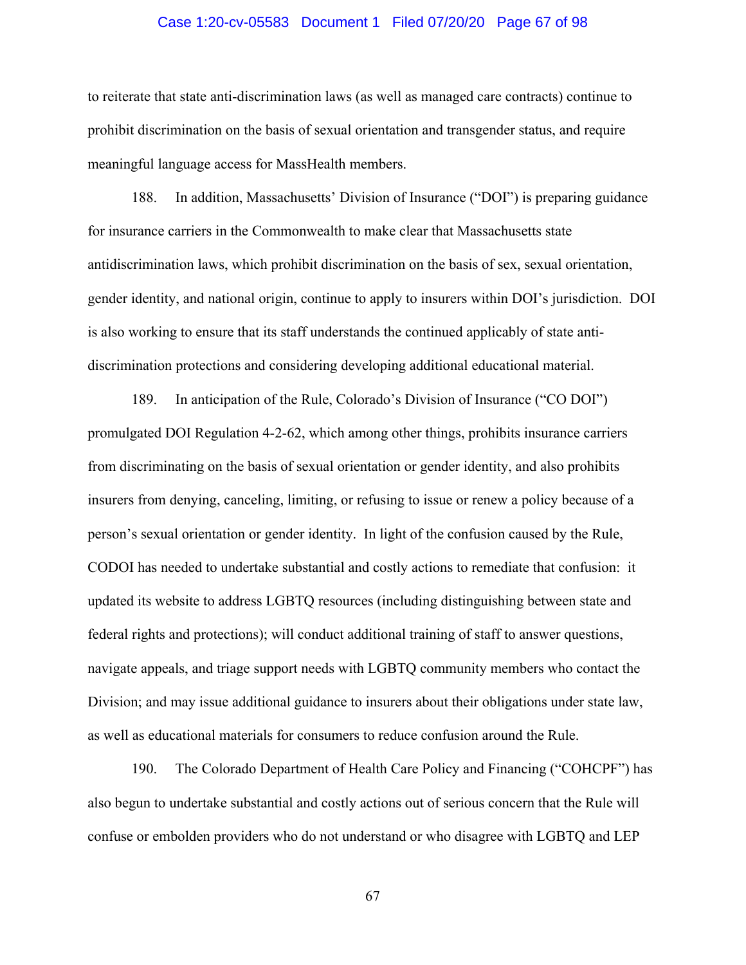#### Case 1:20-cv-05583 Document 1 Filed 07/20/20 Page 67 of 98

to reiterate that state anti-discrimination laws (as well as managed care contracts) continue to prohibit discrimination on the basis of sexual orientation and transgender status, and require meaningful language access for MassHealth members.

188. In addition, Massachusetts' Division of Insurance ("DOI") is preparing guidance for insurance carriers in the Commonwealth to make clear that Massachusetts state antidiscrimination laws, which prohibit discrimination on the basis of sex, sexual orientation, gender identity, and national origin, continue to apply to insurers within DOI's jurisdiction. DOI is also working to ensure that its staff understands the continued applicably of state antidiscrimination protections and considering developing additional educational material.

189. In anticipation of the Rule, Colorado's Division of Insurance ("CO DOI") promulgated DOI Regulation 4-2-62, which among other things, prohibits insurance carriers from discriminating on the basis of sexual orientation or gender identity, and also prohibits insurers from denying, canceling, limiting, or refusing to issue or renew a policy because of a person's sexual orientation or gender identity. In light of the confusion caused by the Rule, CODOI has needed to undertake substantial and costly actions to remediate that confusion: it updated its website to address LGBTQ resources (including distinguishing between state and federal rights and protections); will conduct additional training of staff to answer questions, navigate appeals, and triage support needs with LGBTQ community members who contact the Division; and may issue additional guidance to insurers about their obligations under state law, as well as educational materials for consumers to reduce confusion around the Rule.

190. The Colorado Department of Health Care Policy and Financing ("COHCPF") has also begun to undertake substantial and costly actions out of serious concern that the Rule will confuse or embolden providers who do not understand or who disagree with LGBTQ and LEP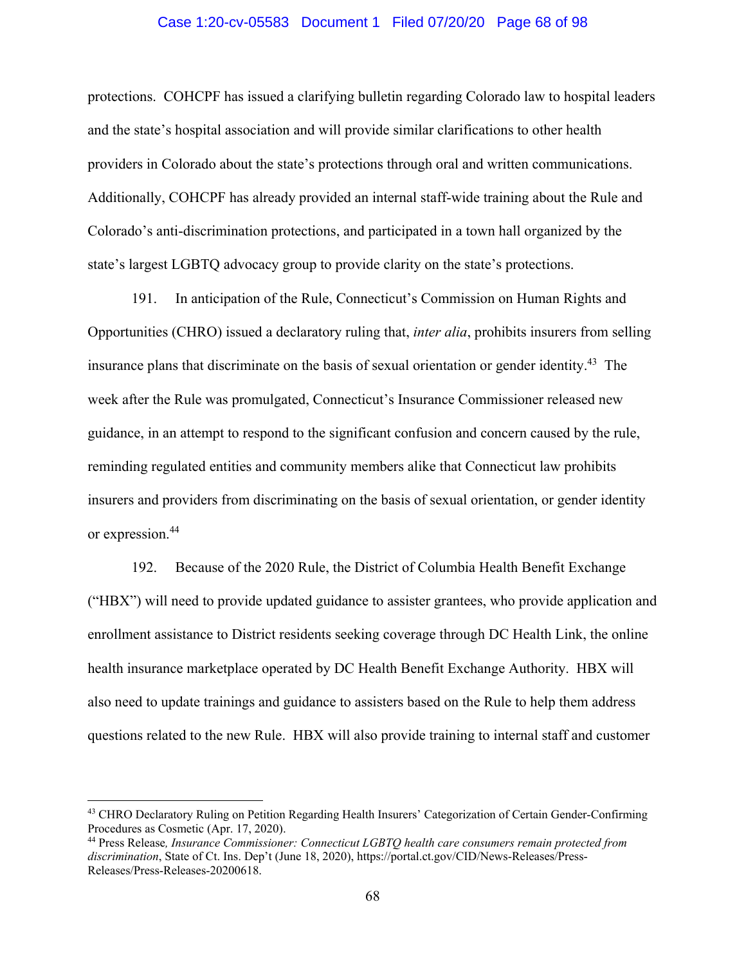#### Case 1:20-cv-05583 Document 1 Filed 07/20/20 Page 68 of 98

protections. COHCPF has issued a clarifying bulletin regarding Colorado law to hospital leaders and the state's hospital association and will provide similar clarifications to other health providers in Colorado about the state's protections through oral and written communications. Additionally, COHCPF has already provided an internal staff-wide training about the Rule and Colorado's anti-discrimination protections, and participated in a town hall organized by the state's largest LGBTQ advocacy group to provide clarity on the state's protections.

191. In anticipation of the Rule, Connecticut's Commission on Human Rights and Opportunities (CHRO) issued a declaratory ruling that, *inter alia*, prohibits insurers from selling insurance plans that discriminate on the basis of sexual orientation or gender identity.<sup>43</sup> The week after the Rule was promulgated, Connecticut's Insurance Commissioner released new guidance, in an attempt to respond to the significant confusion and concern caused by the rule, reminding regulated entities and community members alike that Connecticut law prohibits insurers and providers from discriminating on the basis of sexual orientation, or gender identity or expression.44

192. Because of the 2020 Rule, the District of Columbia Health Benefit Exchange ("HBX") will need to provide updated guidance to assister grantees, who provide application and enrollment assistance to District residents seeking coverage through DC Health Link, the online health insurance marketplace operated by DC Health Benefit Exchange Authority. HBX will also need to update trainings and guidance to assisters based on the Rule to help them address questions related to the new Rule. HBX will also provide training to internal staff and customer

<sup>&</sup>lt;sup>43</sup> CHRO Declaratory Ruling on Petition Regarding Health Insurers' Categorization of Certain Gender-Confirming Procedures as Cosmetic (Apr. 17, 2020).

<sup>44</sup> Press Release*, Insurance Commissioner: Connecticut LGBTQ health care consumers remain protected from discrimination*, State of Ct. Ins. Dep't (June 18, 2020), https://portal.ct.gov/CID/News-Releases/Press-Releases/Press-Releases-20200618.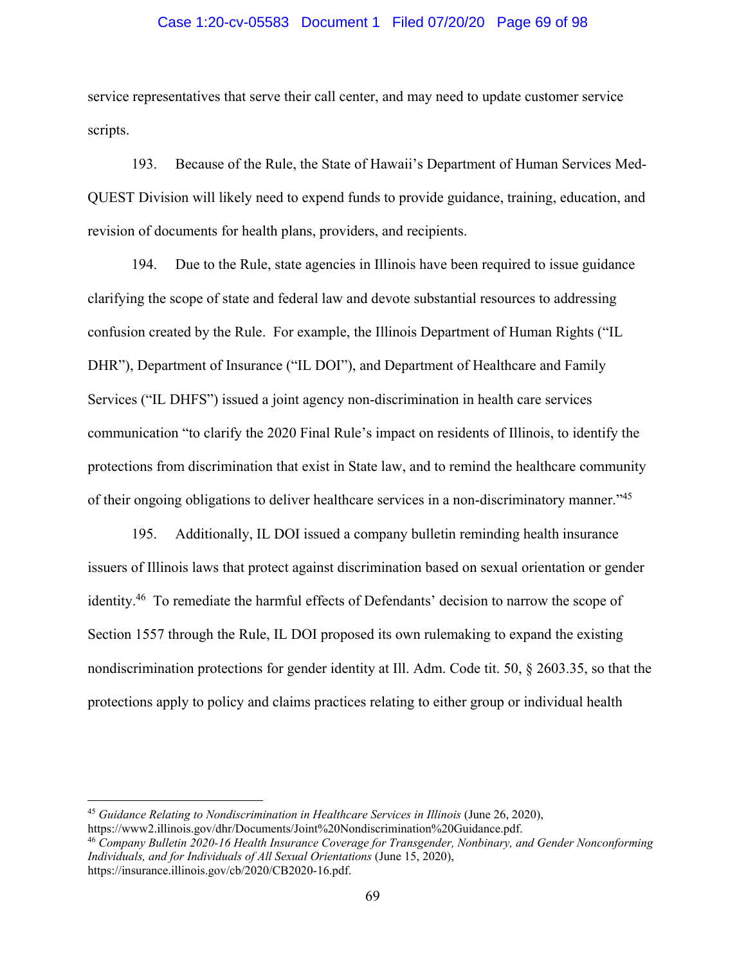#### Case 1:20-cv-05583 Document 1 Filed 07/20/20 Page 69 of 98

service representatives that serve their call center, and may need to update customer service scripts.

193. Because of the Rule, the State of Hawaii's Department of Human Services Med-QUEST Division will likely need to expend funds to provide guidance, training, education, and revision of documents for health plans, providers, and recipients.

194. Due to the Rule, state agencies in Illinois have been required to issue guidance clarifying the scope of state and federal law and devote substantial resources to addressing confusion created by the Rule. For example, the Illinois Department of Human Rights ("IL DHR"), Department of Insurance ("IL DOI"), and Department of Healthcare and Family Services ("IL DHFS") issued a joint agency non-discrimination in health care services communication "to clarify the 2020 Final Rule's impact on residents of Illinois, to identify the protections from discrimination that exist in State law, and to remind the healthcare community of their ongoing obligations to deliver healthcare services in a non-discriminatory manner."45

195. Additionally, IL DOI issued a company bulletin reminding health insurance issuers of Illinois laws that protect against discrimination based on sexual orientation or gender identity.46 To remediate the harmful effects of Defendants' decision to narrow the scope of Section 1557 through the Rule, IL DOI proposed its own rulemaking to expand the existing nondiscrimination protections for gender identity at Ill. Adm. Code tit. 50, § 2603.35, so that the protections apply to policy and claims practices relating to either group or individual health

<sup>45</sup> *Guidance Relating to Nondiscrimination in Healthcare Services in Illinois* (June 26, 2020), https://www2.illinois.gov/dhr/Documents/Joint%20Nondiscrimination%20Guidance.pdf.

<sup>46</sup> *Company Bulletin 2020-16 Health Insurance Coverage for Transgender, Nonbinary, and Gender Nonconforming Individuals, and for Individuals of All Sexual Orientations* (June 15, 2020), https://insurance.illinois.gov/cb/2020/CB2020-16.pdf.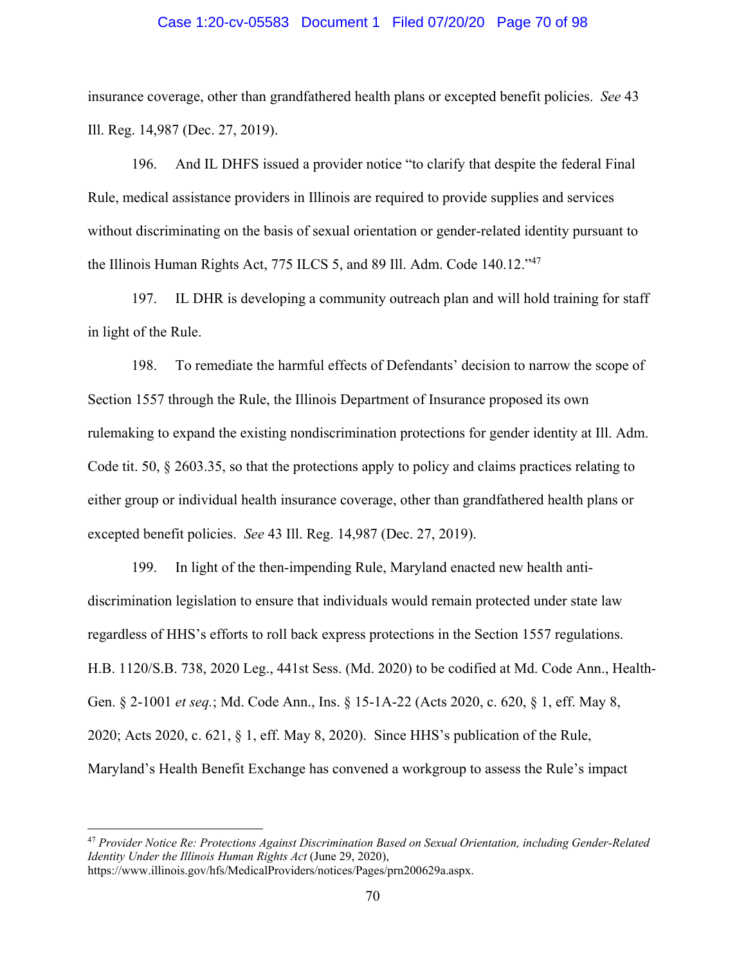#### Case 1:20-cv-05583 Document 1 Filed 07/20/20 Page 70 of 98

insurance coverage, other than grandfathered health plans or excepted benefit policies. *See* 43 Ill. Reg. 14,987 (Dec. 27, 2019).

196. And IL DHFS issued a provider notice "to clarify that despite the federal Final Rule, medical assistance providers in Illinois are required to provide supplies and services without discriminating on the basis of sexual orientation or gender-related identity pursuant to the Illinois Human Rights Act, 775 ILCS 5, and 89 Ill. Adm. Code 140.12."<sup>47</sup>

197. IL DHR is developing a community outreach plan and will hold training for staff in light of the Rule.

198. To remediate the harmful effects of Defendants' decision to narrow the scope of Section 1557 through the Rule, the Illinois Department of Insurance proposed its own rulemaking to expand the existing nondiscrimination protections for gender identity at Ill. Adm. Code tit. 50, § 2603.35, so that the protections apply to policy and claims practices relating to either group or individual health insurance coverage, other than grandfathered health plans or excepted benefit policies. *See* 43 Ill. Reg. 14,987 (Dec. 27, 2019).

199. In light of the then-impending Rule, Maryland enacted new health antidiscrimination legislation to ensure that individuals would remain protected under state law regardless of HHS's efforts to roll back express protections in the Section 1557 regulations. H.B. 1120/S.B. 738, 2020 Leg., 441st Sess. (Md. 2020) to be codified at Md. Code Ann., Health-Gen. § 2-1001 *et seq.*; Md. Code Ann., Ins. § 15-1A-22 (Acts 2020, c. 620, § 1, eff. May 8, 2020; Acts 2020, c. 621, § 1, eff. May 8, 2020). Since HHS's publication of the Rule, Maryland's Health Benefit Exchange has convened a workgroup to assess the Rule's impact

<sup>47</sup> *Provider Notice Re: Protections Against Discrimination Based on Sexual Orientation, including Gender-Related Identity Under the Illinois Human Rights Act* (June 29, 2020), https://www.illinois.gov/hfs/MedicalProviders/notices/Pages/prn200629a.aspx.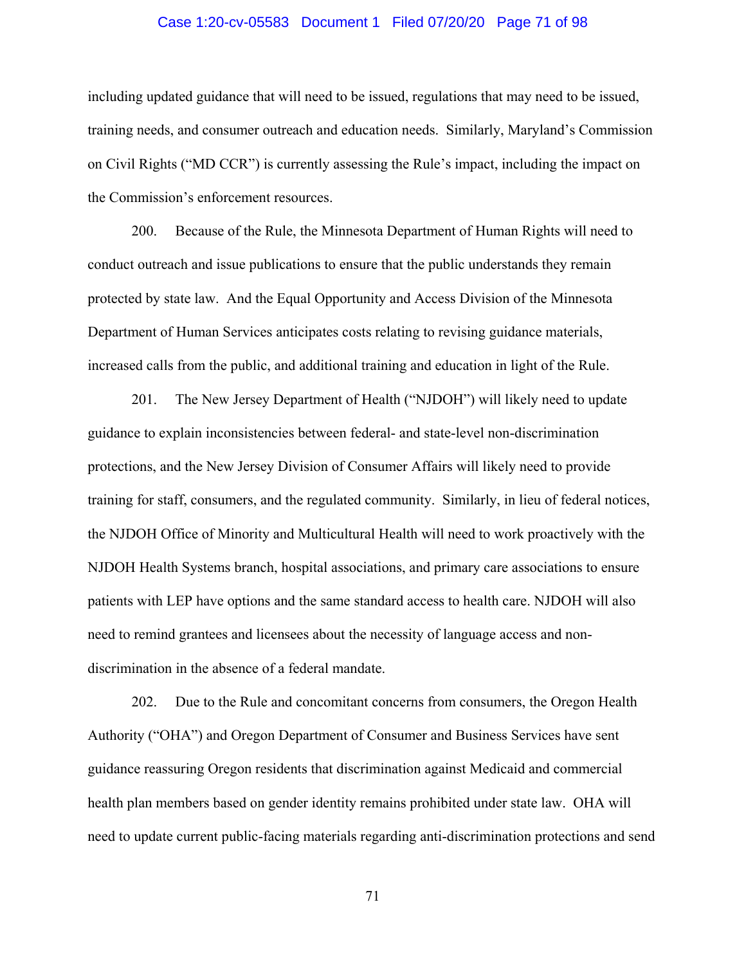#### Case 1:20-cv-05583 Document 1 Filed 07/20/20 Page 71 of 98

including updated guidance that will need to be issued, regulations that may need to be issued, training needs, and consumer outreach and education needs. Similarly, Maryland's Commission on Civil Rights ("MD CCR") is currently assessing the Rule's impact, including the impact on the Commission's enforcement resources.

200. Because of the Rule, the Minnesota Department of Human Rights will need to conduct outreach and issue publications to ensure that the public understands they remain protected by state law. And the Equal Opportunity and Access Division of the Minnesota Department of Human Services anticipates costs relating to revising guidance materials, increased calls from the public, and additional training and education in light of the Rule.

201. The New Jersey Department of Health ("NJDOH") will likely need to update guidance to explain inconsistencies between federal- and state-level non-discrimination protections, and the New Jersey Division of Consumer Affairs will likely need to provide training for staff, consumers, and the regulated community. Similarly, in lieu of federal notices, the NJDOH Office of Minority and Multicultural Health will need to work proactively with the NJDOH Health Systems branch, hospital associations, and primary care associations to ensure patients with LEP have options and the same standard access to health care. NJDOH will also need to remind grantees and licensees about the necessity of language access and nondiscrimination in the absence of a federal mandate.

202. Due to the Rule and concomitant concerns from consumers, the Oregon Health Authority ("OHA") and Oregon Department of Consumer and Business Services have sent guidance reassuring Oregon residents that discrimination against Medicaid and commercial health plan members based on gender identity remains prohibited under state law. OHA will need to update current public-facing materials regarding anti-discrimination protections and send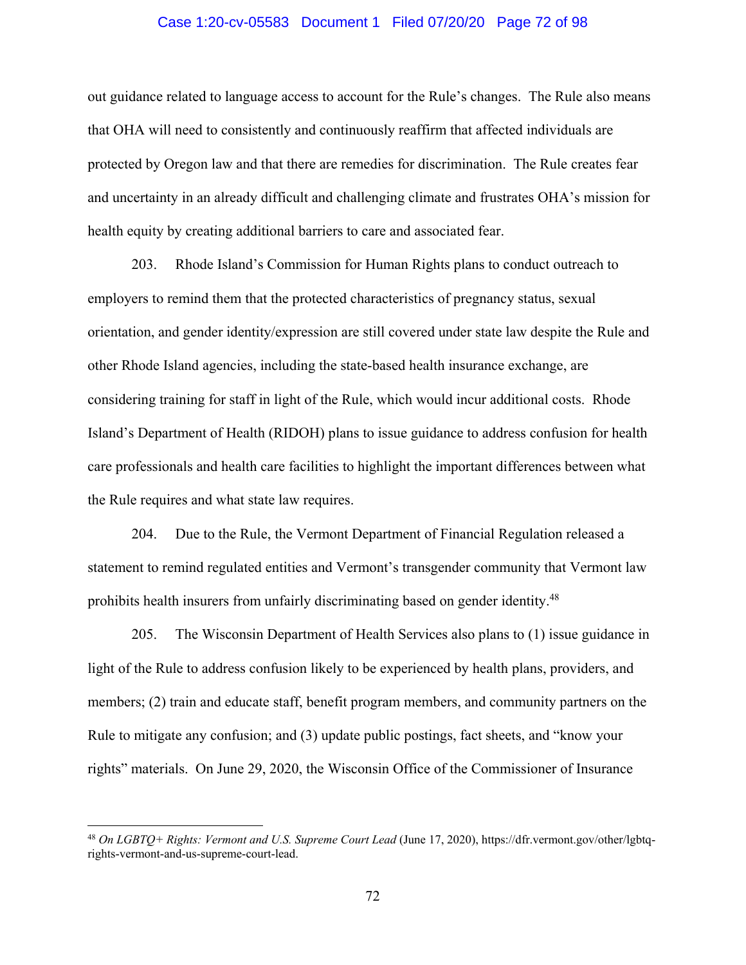#### Case 1:20-cv-05583 Document 1 Filed 07/20/20 Page 72 of 98

out guidance related to language access to account for the Rule's changes. The Rule also means that OHA will need to consistently and continuously reaffirm that affected individuals are protected by Oregon law and that there are remedies for discrimination. The Rule creates fear and uncertainty in an already difficult and challenging climate and frustrates OHA's mission for health equity by creating additional barriers to care and associated fear.

203. Rhode Island's Commission for Human Rights plans to conduct outreach to employers to remind them that the protected characteristics of pregnancy status, sexual orientation, and gender identity/expression are still covered under state law despite the Rule and other Rhode Island agencies, including the state-based health insurance exchange, are considering training for staff in light of the Rule, which would incur additional costs. Rhode Island's Department of Health (RIDOH) plans to issue guidance to address confusion for health care professionals and health care facilities to highlight the important differences between what the Rule requires and what state law requires.

204. Due to the Rule, the Vermont Department of Financial Regulation released a statement to remind regulated entities and Vermont's transgender community that Vermont law prohibits health insurers from unfairly discriminating based on gender identity.48

205. The Wisconsin Department of Health Services also plans to (1) issue guidance in light of the Rule to address confusion likely to be experienced by health plans, providers, and members; (2) train and educate staff, benefit program members, and community partners on the Rule to mitigate any confusion; and (3) update public postings, fact sheets, and "know your rights" materials. On June 29, 2020, the Wisconsin Office of the Commissioner of Insurance

<sup>48</sup> *On LGBTQ+ Rights: Vermont and U.S. Supreme Court Lead* (June 17, 2020), https://dfr.vermont.gov/other/lgbtqrights-vermont-and-us-supreme-court-lead.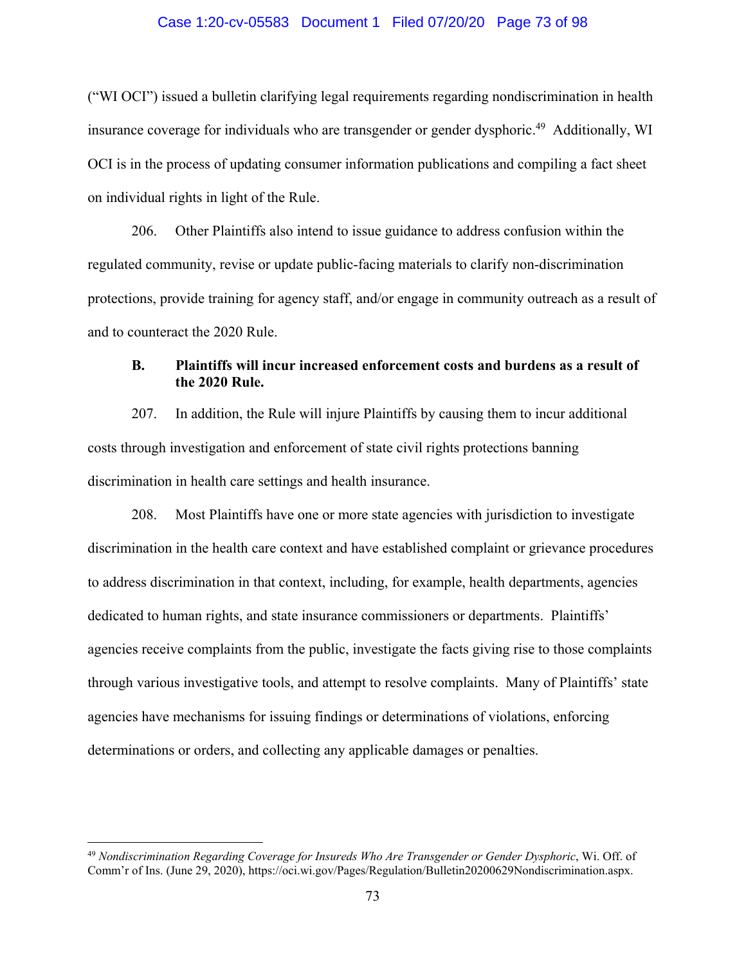### Case 1:20-cv-05583 Document 1 Filed 07/20/20 Page 73 of 98

("WI OCI") issued a bulletin clarifying legal requirements regarding nondiscrimination in health insurance coverage for individuals who are transgender or gender dysphoric.<sup>49</sup> Additionally, WI OCI is in the process of updating consumer information publications and compiling a fact sheet on individual rights in light of the Rule.

206. Other Plaintiffs also intend to issue guidance to address confusion within the regulated community, revise or update public-facing materials to clarify non-discrimination protections, provide training for agency staff, and/or engage in community outreach as a result of and to counteract the 2020 Rule.

# **B. Plaintiffs will incur increased enforcement costs and burdens as a result of the 2020 Rule.**

207. In addition, the Rule will injure Plaintiffs by causing them to incur additional costs through investigation and enforcement of state civil rights protections banning discrimination in health care settings and health insurance.

208. Most Plaintiffs have one or more state agencies with jurisdiction to investigate discrimination in the health care context and have established complaint or grievance procedures to address discrimination in that context, including, for example, health departments, agencies dedicated to human rights, and state insurance commissioners or departments. Plaintiffs' agencies receive complaints from the public, investigate the facts giving rise to those complaints through various investigative tools, and attempt to resolve complaints. Many of Plaintiffs' state agencies have mechanisms for issuing findings or determinations of violations, enforcing determinations or orders, and collecting any applicable damages or penalties.

<sup>49</sup> *Nondiscrimination Regarding Coverage for Insureds Who Are Transgender or Gender Dysphoric*, Wi. Off. of Comm'r of Ins. (June 29, 2020), https://oci.wi.gov/Pages/Regulation/Bulletin20200629Nondiscrimination.aspx.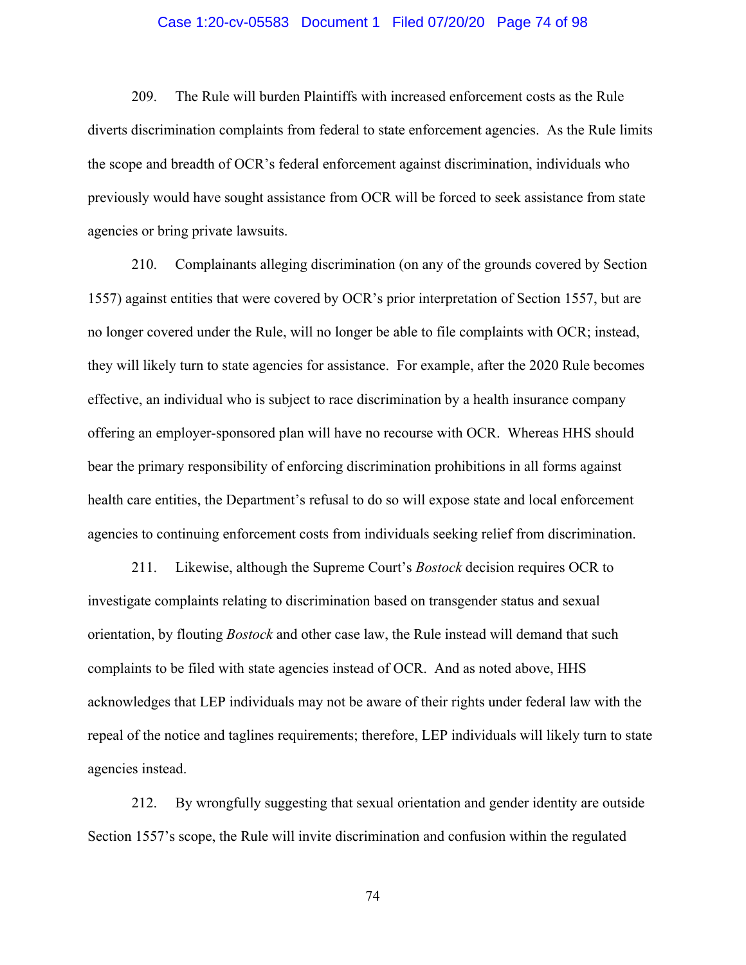### Case 1:20-cv-05583 Document 1 Filed 07/20/20 Page 74 of 98

209. The Rule will burden Plaintiffs with increased enforcement costs as the Rule diverts discrimination complaints from federal to state enforcement agencies. As the Rule limits the scope and breadth of OCR's federal enforcement against discrimination, individuals who previously would have sought assistance from OCR will be forced to seek assistance from state agencies or bring private lawsuits.

210. Complainants alleging discrimination (on any of the grounds covered by Section 1557) against entities that were covered by OCR's prior interpretation of Section 1557, but are no longer covered under the Rule, will no longer be able to file complaints with OCR; instead, they will likely turn to state agencies for assistance. For example, after the 2020 Rule becomes effective, an individual who is subject to race discrimination by a health insurance company offering an employer-sponsored plan will have no recourse with OCR. Whereas HHS should bear the primary responsibility of enforcing discrimination prohibitions in all forms against health care entities, the Department's refusal to do so will expose state and local enforcement agencies to continuing enforcement costs from individuals seeking relief from discrimination.

211. Likewise, although the Supreme Court's *Bostock* decision requires OCR to investigate complaints relating to discrimination based on transgender status and sexual orientation, by flouting *Bostock* and other case law, the Rule instead will demand that such complaints to be filed with state agencies instead of OCR. And as noted above, HHS acknowledges that LEP individuals may not be aware of their rights under federal law with the repeal of the notice and taglines requirements; therefore, LEP individuals will likely turn to state agencies instead.

212. By wrongfully suggesting that sexual orientation and gender identity are outside Section 1557's scope, the Rule will invite discrimination and confusion within the regulated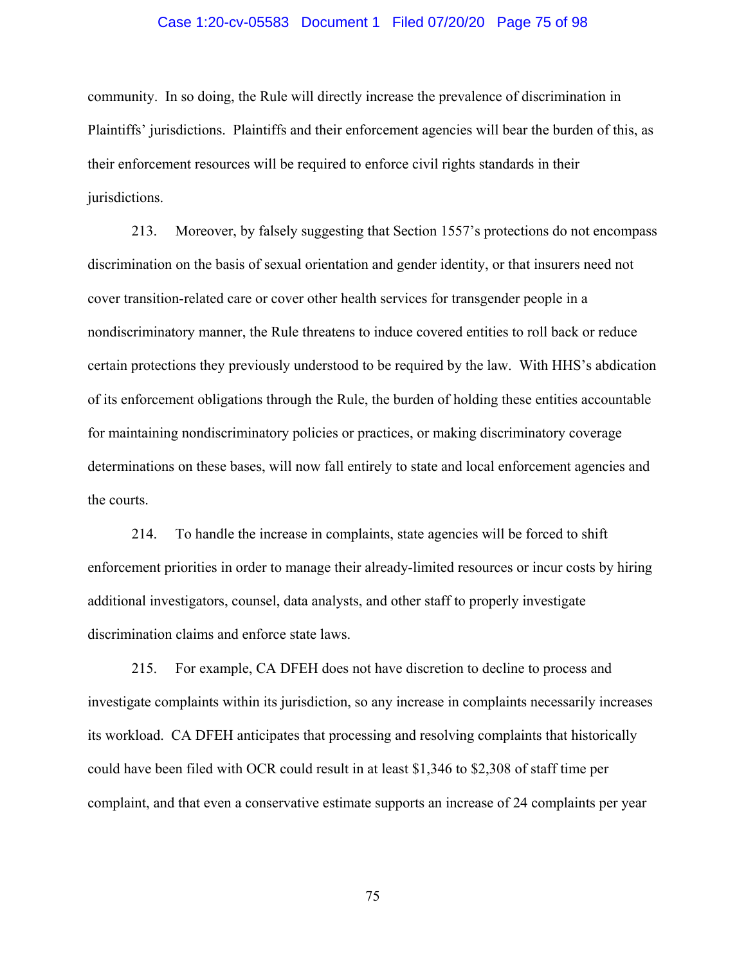### Case 1:20-cv-05583 Document 1 Filed 07/20/20 Page 75 of 98

community. In so doing, the Rule will directly increase the prevalence of discrimination in Plaintiffs' jurisdictions. Plaintiffs and their enforcement agencies will bear the burden of this, as their enforcement resources will be required to enforce civil rights standards in their jurisdictions.

213. Moreover, by falsely suggesting that Section 1557's protections do not encompass discrimination on the basis of sexual orientation and gender identity, or that insurers need not cover transition-related care or cover other health services for transgender people in a nondiscriminatory manner, the Rule threatens to induce covered entities to roll back or reduce certain protections they previously understood to be required by the law. With HHS's abdication of its enforcement obligations through the Rule, the burden of holding these entities accountable for maintaining nondiscriminatory policies or practices, or making discriminatory coverage determinations on these bases, will now fall entirely to state and local enforcement agencies and the courts.

214. To handle the increase in complaints, state agencies will be forced to shift enforcement priorities in order to manage their already-limited resources or incur costs by hiring additional investigators, counsel, data analysts, and other staff to properly investigate discrimination claims and enforce state laws.

215. For example, CA DFEH does not have discretion to decline to process and investigate complaints within its jurisdiction, so any increase in complaints necessarily increases its workload. CA DFEH anticipates that processing and resolving complaints that historically could have been filed with OCR could result in at least \$1,346 to \$2,308 of staff time per complaint, and that even a conservative estimate supports an increase of 24 complaints per year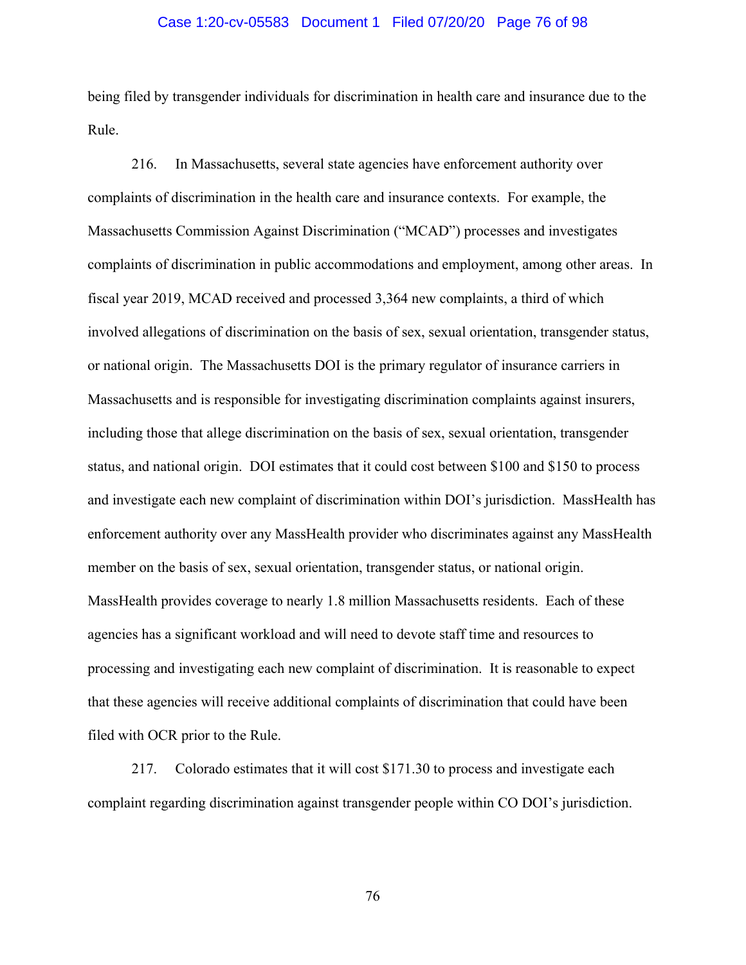### Case 1:20-cv-05583 Document 1 Filed 07/20/20 Page 76 of 98

being filed by transgender individuals for discrimination in health care and insurance due to the Rule.

216. In Massachusetts, several state agencies have enforcement authority over complaints of discrimination in the health care and insurance contexts. For example, the Massachusetts Commission Against Discrimination ("MCAD") processes and investigates complaints of discrimination in public accommodations and employment, among other areas. In fiscal year 2019, MCAD received and processed 3,364 new complaints, a third of which involved allegations of discrimination on the basis of sex, sexual orientation, transgender status, or national origin. The Massachusetts DOI is the primary regulator of insurance carriers in Massachusetts and is responsible for investigating discrimination complaints against insurers, including those that allege discrimination on the basis of sex, sexual orientation, transgender status, and national origin. DOI estimates that it could cost between \$100 and \$150 to process and investigate each new complaint of discrimination within DOI's jurisdiction. MassHealth has enforcement authority over any MassHealth provider who discriminates against any MassHealth member on the basis of sex, sexual orientation, transgender status, or national origin. MassHealth provides coverage to nearly 1.8 million Massachusetts residents. Each of these agencies has a significant workload and will need to devote staff time and resources to processing and investigating each new complaint of discrimination. It is reasonable to expect that these agencies will receive additional complaints of discrimination that could have been filed with OCR prior to the Rule.

217. Colorado estimates that it will cost \$171.30 to process and investigate each complaint regarding discrimination against transgender people within CO DOI's jurisdiction.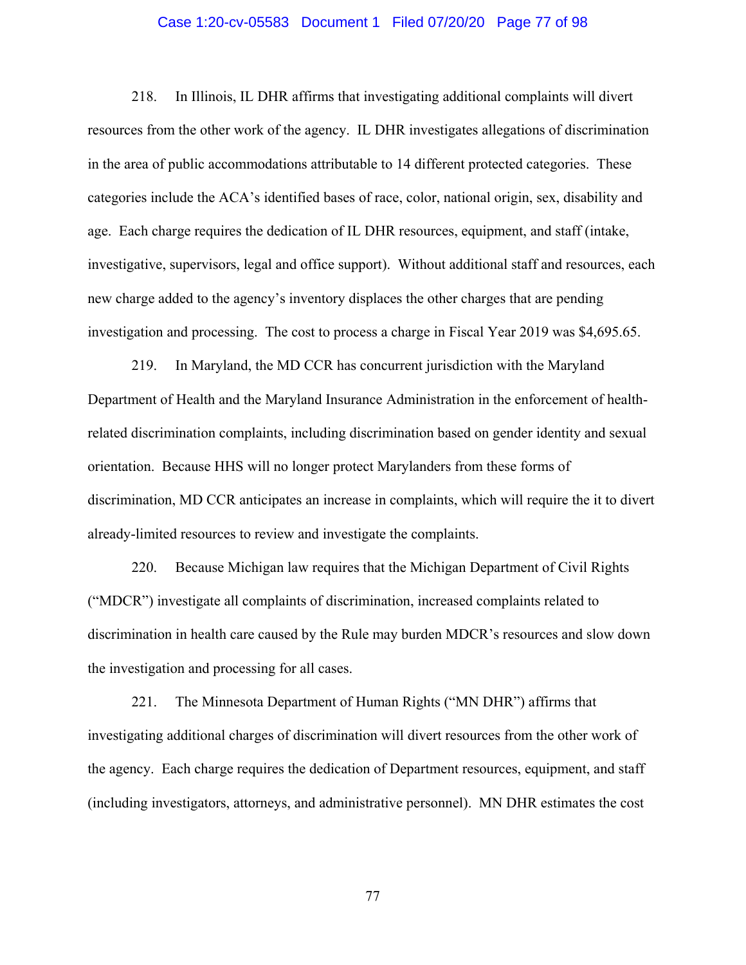### Case 1:20-cv-05583 Document 1 Filed 07/20/20 Page 77 of 98

218. In Illinois, IL DHR affirms that investigating additional complaints will divert resources from the other work of the agency. IL DHR investigates allegations of discrimination in the area of public accommodations attributable to 14 different protected categories. These categories include the ACA's identified bases of race, color, national origin, sex, disability and age. Each charge requires the dedication of IL DHR resources, equipment, and staff (intake, investigative, supervisors, legal and office support). Without additional staff and resources, each new charge added to the agency's inventory displaces the other charges that are pending investigation and processing. The cost to process a charge in Fiscal Year 2019 was \$4,695.65.

219. In Maryland, the MD CCR has concurrent jurisdiction with the Maryland Department of Health and the Maryland Insurance Administration in the enforcement of healthrelated discrimination complaints, including discrimination based on gender identity and sexual orientation. Because HHS will no longer protect Marylanders from these forms of discrimination, MD CCR anticipates an increase in complaints, which will require the it to divert already-limited resources to review and investigate the complaints.

220. Because Michigan law requires that the Michigan Department of Civil Rights ("MDCR") investigate all complaints of discrimination, increased complaints related to discrimination in health care caused by the Rule may burden MDCR's resources and slow down the investigation and processing for all cases.

221. The Minnesota Department of Human Rights ("MN DHR") affirms that investigating additional charges of discrimination will divert resources from the other work of the agency. Each charge requires the dedication of Department resources, equipment, and staff (including investigators, attorneys, and administrative personnel). MN DHR estimates the cost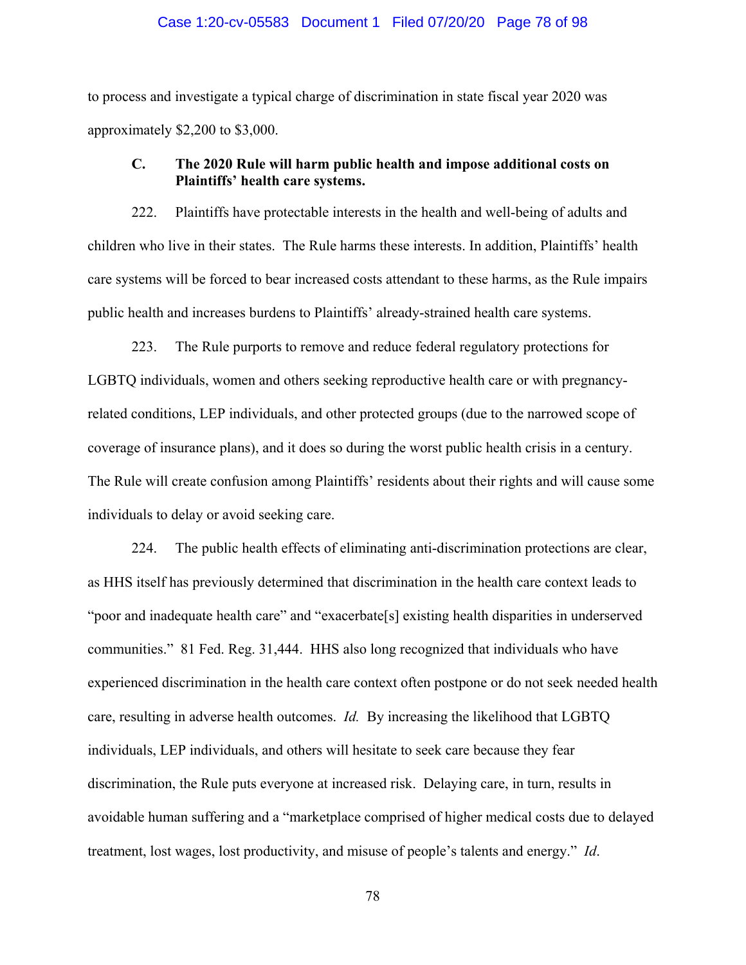### Case 1:20-cv-05583 Document 1 Filed 07/20/20 Page 78 of 98

to process and investigate a typical charge of discrimination in state fiscal year 2020 was approximately \$2,200 to \$3,000.

## **C. The 2020 Rule will harm public health and impose additional costs on Plaintiffs' health care systems.**

222. Plaintiffs have protectable interests in the health and well-being of adults and children who live in their states. The Rule harms these interests. In addition, Plaintiffs' health care systems will be forced to bear increased costs attendant to these harms, as the Rule impairs public health and increases burdens to Plaintiffs' already-strained health care systems.

223. The Rule purports to remove and reduce federal regulatory protections for LGBTQ individuals, women and others seeking reproductive health care or with pregnancyrelated conditions, LEP individuals, and other protected groups (due to the narrowed scope of coverage of insurance plans), and it does so during the worst public health crisis in a century. The Rule will create confusion among Plaintiffs' residents about their rights and will cause some individuals to delay or avoid seeking care.

224. The public health effects of eliminating anti-discrimination protections are clear, as HHS itself has previously determined that discrimination in the health care context leads to "poor and inadequate health care" and "exacerbate<sup>[5]</sup> existing health disparities in underserved communities." 81 Fed. Reg. 31,444. HHS also long recognized that individuals who have experienced discrimination in the health care context often postpone or do not seek needed health care, resulting in adverse health outcomes. *Id.* By increasing the likelihood that LGBTQ individuals, LEP individuals, and others will hesitate to seek care because they fear discrimination, the Rule puts everyone at increased risk. Delaying care, in turn, results in avoidable human suffering and a "marketplace comprised of higher medical costs due to delayed treatment, lost wages, lost productivity, and misuse of people's talents and energy." *Id*.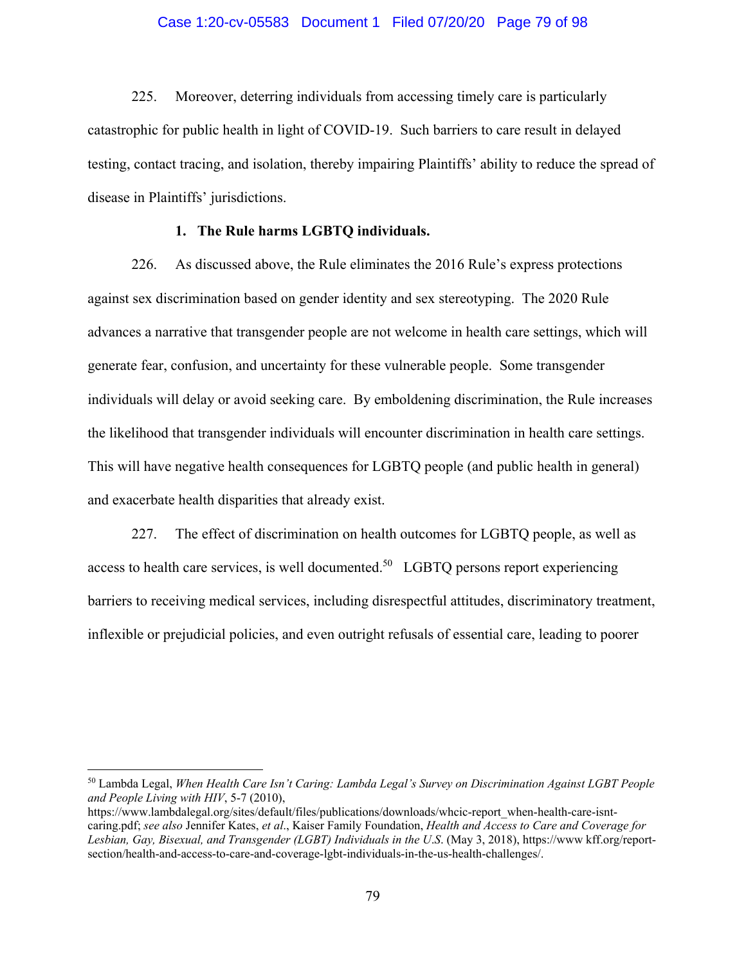### Case 1:20-cv-05583 Document 1 Filed 07/20/20 Page 79 of 98

225. Moreover, deterring individuals from accessing timely care is particularly catastrophic for public health in light of COVID-19. Such barriers to care result in delayed testing, contact tracing, and isolation, thereby impairing Plaintiffs' ability to reduce the spread of disease in Plaintiffs' jurisdictions.

## **1. The Rule harms LGBTQ individuals.**

226. As discussed above, the Rule eliminates the 2016 Rule's express protections against sex discrimination based on gender identity and sex stereotyping. The 2020 Rule advances a narrative that transgender people are not welcome in health care settings, which will generate fear, confusion, and uncertainty for these vulnerable people. Some transgender individuals will delay or avoid seeking care. By emboldening discrimination, the Rule increases the likelihood that transgender individuals will encounter discrimination in health care settings. This will have negative health consequences for LGBTQ people (and public health in general) and exacerbate health disparities that already exist.

227. The effect of discrimination on health outcomes for LGBTQ people, as well as access to health care services, is well documented. $50$  LGBTQ persons report experiencing barriers to receiving medical services, including disrespectful attitudes, discriminatory treatment, inflexible or prejudicial policies, and even outright refusals of essential care, leading to poorer

<sup>50</sup> Lambda Legal, *When Health Care Isn't Caring: Lambda Legal's Survey on Discrimination Against LGBT People and People Living with HIV*, 5-7 (2010),

https://www.lambdalegal.org/sites/default/files/publications/downloads/whcic-report\_when-health-care-isntcaring.pdf; *see also* Jennifer Kates, *et al*., Kaiser Family Foundation, *Health and Access to Care and Coverage for Lesbian, Gay, Bisexual, and Transgender (LGBT) Individuals in the U*.*S*. (May 3, 2018), https://www kff.org/reportsection/health-and-access-to-care-and-coverage-lgbt-individuals-in-the-us-health-challenges/.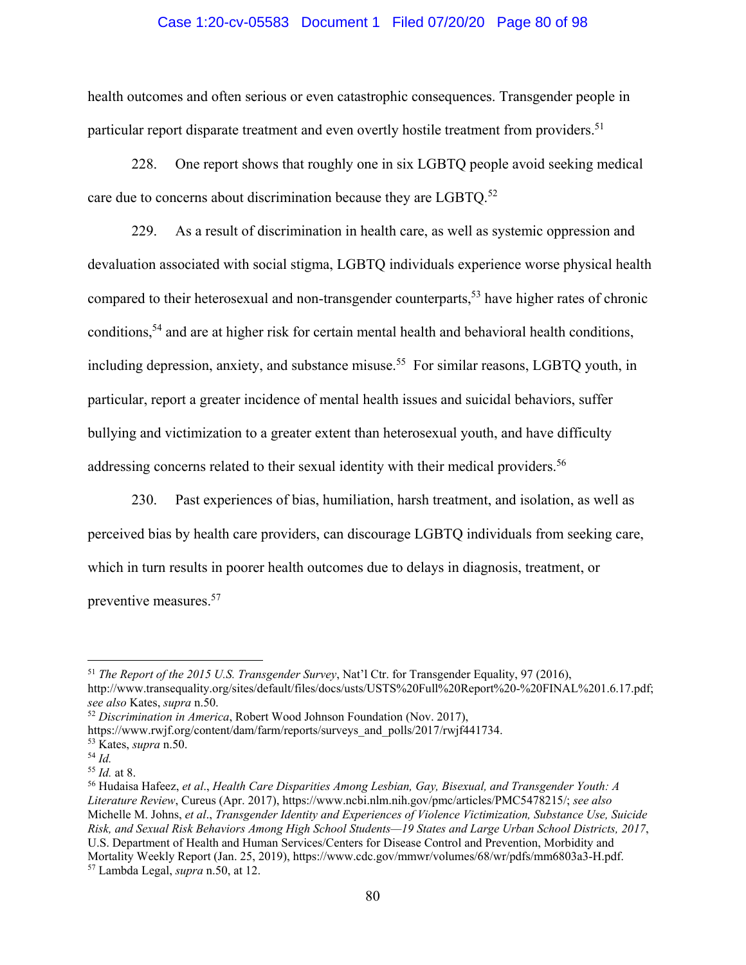### Case 1:20-cv-05583 Document 1 Filed 07/20/20 Page 80 of 98

health outcomes and often serious or even catastrophic consequences. Transgender people in particular report disparate treatment and even overtly hostile treatment from providers.<sup>51</sup>

228. One report shows that roughly one in six LGBTQ people avoid seeking medical care due to concerns about discrimination because they are LGBTQ.<sup>52</sup>

229. As a result of discrimination in health care, as well as systemic oppression and devaluation associated with social stigma, LGBTQ individuals experience worse physical health compared to their heterosexual and non-transgender counterparts,<sup>53</sup> have higher rates of chronic conditions,<sup>54</sup> and are at higher risk for certain mental health and behavioral health conditions, including depression, anxiety, and substance misuse.<sup>55</sup> For similar reasons, LGBTO youth, in particular, report a greater incidence of mental health issues and suicidal behaviors, suffer bullying and victimization to a greater extent than heterosexual youth, and have difficulty addressing concerns related to their sexual identity with their medical providers.<sup>56</sup>

230. Past experiences of bias, humiliation, harsh treatment, and isolation, as well as perceived bias by health care providers, can discourage LGBTQ individuals from seeking care, which in turn results in poorer health outcomes due to delays in diagnosis, treatment, or preventive measures.57

 $\overline{a}$ <sup>51</sup> *The Report of the 2015 U.S. Transgender Survey*, Nat'l Ctr. for Transgender Equality, 97 (2016), http://www.transequality.org/sites/default/files/docs/usts/USTS%20Full%20Report%20-%20FINAL%201.6.17.pdf; *see also* Kates, *supra* n.50.

<sup>52</sup> *Discrimination in America*, Robert Wood Johnson Foundation (Nov. 2017),

https://www.rwjf.org/content/dam/farm/reports/surveys\_and\_polls/2017/rwjf441734.

<sup>53</sup> Kates, *supra* n.50.

<sup>54</sup> *Id.* 

<sup>55</sup> *Id.* at 8.

<sup>56</sup> Hudaisa Hafeez, *et al*., *Health Care Disparities Among Lesbian, Gay, Bisexual, and Transgender Youth: A Literature Review*, Cureus (Apr. 2017), https://www.ncbi.nlm.nih.gov/pmc/articles/PMC5478215/; *see also*  Michelle M. Johns, *et al*., *Transgender Identity and Experiences of Violence Victimization, Substance Use, Suicide Risk, and Sexual Risk Behaviors Among High School Students—19 States and Large Urban School Districts, 2017*, U.S. Department of Health and Human Services/Centers for Disease Control and Prevention, Morbidity and Mortality Weekly Report (Jan. 25, 2019), https://www.cdc.gov/mmwr/volumes/68/wr/pdfs/mm6803a3-H.pdf. 57 Lambda Legal, *supra* n.50, at 12.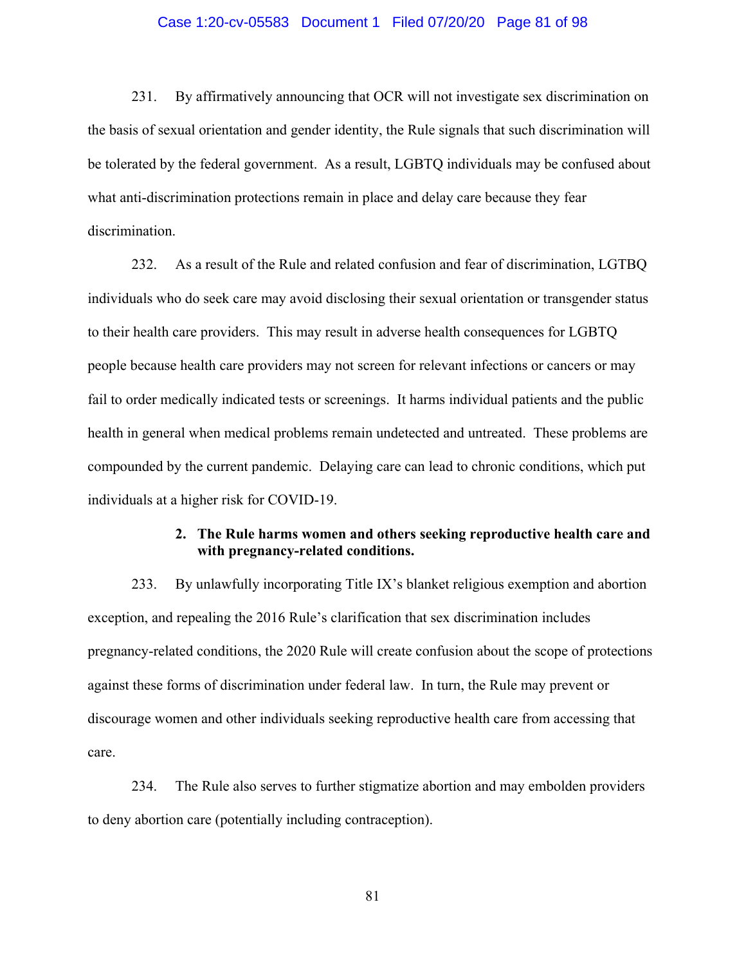### Case 1:20-cv-05583 Document 1 Filed 07/20/20 Page 81 of 98

231. By affirmatively announcing that OCR will not investigate sex discrimination on the basis of sexual orientation and gender identity, the Rule signals that such discrimination will be tolerated by the federal government. As a result, LGBTQ individuals may be confused about what anti-discrimination protections remain in place and delay care because they fear discrimination.

232. As a result of the Rule and related confusion and fear of discrimination, LGTBQ individuals who do seek care may avoid disclosing their sexual orientation or transgender status to their health care providers. This may result in adverse health consequences for LGBTQ people because health care providers may not screen for relevant infections or cancers or may fail to order medically indicated tests or screenings. It harms individual patients and the public health in general when medical problems remain undetected and untreated. These problems are compounded by the current pandemic. Delaying care can lead to chronic conditions, which put individuals at a higher risk for COVID-19.

# **2. The Rule harms women and others seeking reproductive health care and with pregnancy-related conditions.**

233. By unlawfully incorporating Title IX's blanket religious exemption and abortion exception, and repealing the 2016 Rule's clarification that sex discrimination includes pregnancy-related conditions, the 2020 Rule will create confusion about the scope of protections against these forms of discrimination under federal law. In turn, the Rule may prevent or discourage women and other individuals seeking reproductive health care from accessing that care.

234. The Rule also serves to further stigmatize abortion and may embolden providers to deny abortion care (potentially including contraception).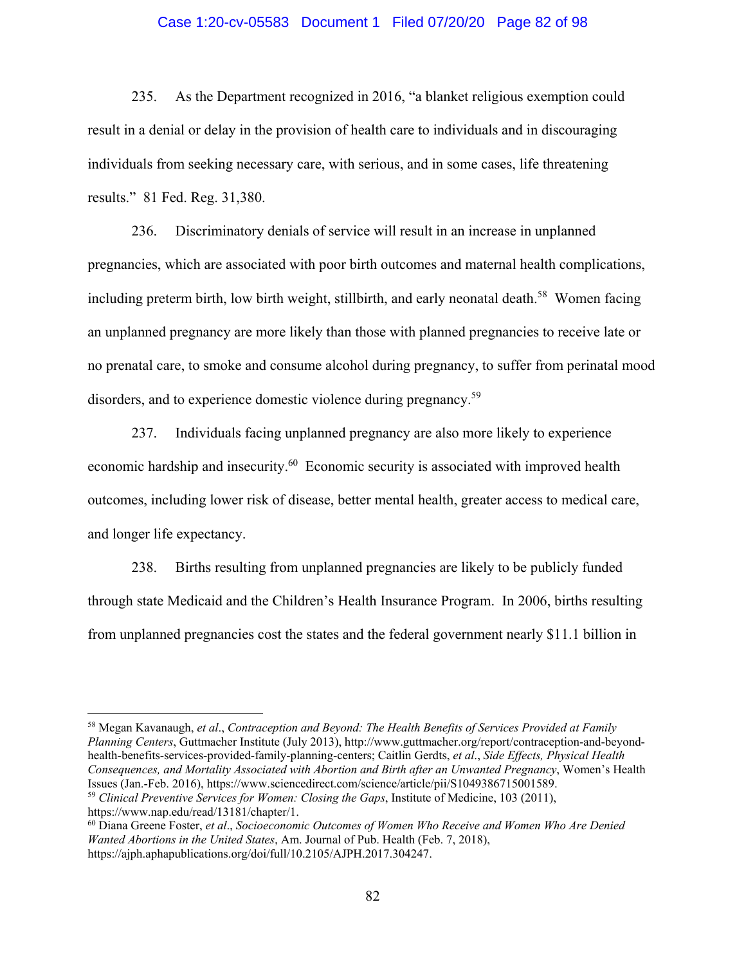### Case 1:20-cv-05583 Document 1 Filed 07/20/20 Page 82 of 98

235. As the Department recognized in 2016, "a blanket religious exemption could result in a denial or delay in the provision of health care to individuals and in discouraging individuals from seeking necessary care, with serious, and in some cases, life threatening results." 81 Fed. Reg. 31,380.

236. Discriminatory denials of service will result in an increase in unplanned pregnancies, which are associated with poor birth outcomes and maternal health complications, including preterm birth, low birth weight, stillbirth, and early neonatal death.<sup>58</sup> Women facing an unplanned pregnancy are more likely than those with planned pregnancies to receive late or no prenatal care, to smoke and consume alcohol during pregnancy, to suffer from perinatal mood disorders, and to experience domestic violence during pregnancy.<sup>59</sup>

237. Individuals facing unplanned pregnancy are also more likely to experience economic hardship and insecurity.<sup>60</sup> Economic security is associated with improved health outcomes, including lower risk of disease, better mental health, greater access to medical care, and longer life expectancy.

238. Births resulting from unplanned pregnancies are likely to be publicly funded through state Medicaid and the Children's Health Insurance Program. In 2006, births resulting from unplanned pregnancies cost the states and the federal government nearly \$11.1 billion in

58 Megan Kavanaugh, *et al*., *Contraception and Beyond: The Health Benefits of Services Provided at Family Planning Centers*, Guttmacher Institute (July 2013), http://www.guttmacher.org/report/contraception-and-beyondhealth-benefits-services-provided-family-planning-centers; Caitlin Gerdts, *et al*., *Side Effects, Physical Health Consequences, and Mortality Associated with Abortion and Birth after an Unwanted Pregnancy*, Women's Health Issues (Jan.-Feb. 2016), https://www.sciencedirect.com/science/article/pii/S1049386715001589. <sup>59</sup> *Clinical Preventive Services for Women: Closing the Gaps*, Institute of Medicine, 103 (2011),

https://www.nap.edu/read/13181/chapter/1.

 $\overline{a}$ 

60 Diana Greene Foster, *et al*., *Socioeconomic Outcomes of Women Who Receive and Women Who Are Denied Wanted Abortions in the United States*, Am. Journal of Pub. Health (Feb. 7, 2018), https://ajph.aphapublications.org/doi/full/10.2105/AJPH.2017.304247.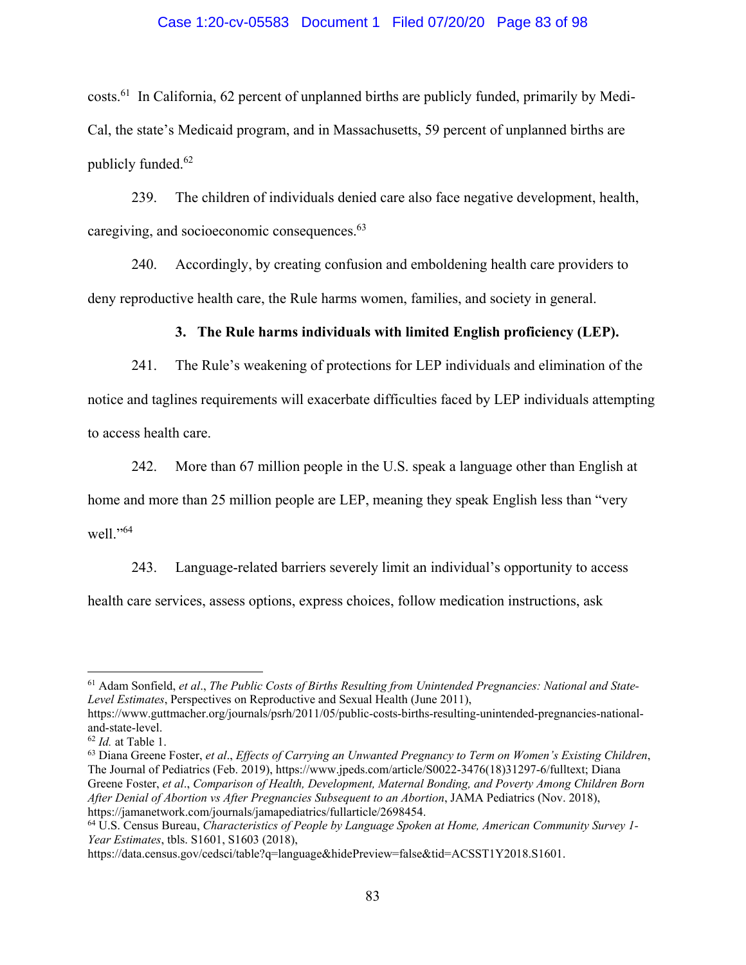### Case 1:20-cv-05583 Document 1 Filed 07/20/20 Page 83 of 98

costs.61 In California, 62 percent of unplanned births are publicly funded, primarily by Medi-Cal, the state's Medicaid program, and in Massachusetts, 59 percent of unplanned births are publicly funded.<sup>62</sup>

239. The children of individuals denied care also face negative development, health, caregiving, and socioeconomic consequences.<sup>63</sup>

240. Accordingly, by creating confusion and emboldening health care providers to deny reproductive health care, the Rule harms women, families, and society in general.

## **3. The Rule harms individuals with limited English proficiency (LEP).**

241. The Rule's weakening of protections for LEP individuals and elimination of the notice and taglines requirements will exacerbate difficulties faced by LEP individuals attempting to access health care.

242. More than 67 million people in the U.S. speak a language other than English at

home and more than 25 million people are LEP, meaning they speak English less than "very well."<sup>64</sup>

243. Language-related barriers severely limit an individual's opportunity to access health care services, assess options, express choices, follow medication instructions, ask

<u>.</u>

<sup>61</sup> Adam Sonfield, *et al*., *The Public Costs of Births Resulting from Unintended Pregnancies: National and State-Level Estimates*, Perspectives on Reproductive and Sexual Health (June 2011),

https://www.guttmacher.org/journals/psrh/2011/05/public-costs-births-resulting-unintended-pregnancies-nationaland-state-level.

<sup>62</sup> *Id.* at Table 1.

<sup>63</sup> Diana Greene Foster, *et al*., *Effects of Carrying an Unwanted Pregnancy to Term on Women's Existing Children*, The Journal of Pediatrics (Feb. 2019), https://www.jpeds.com/article/S0022-3476(18)31297-6/fulltext; Diana Greene Foster, *et al*., *Comparison of Health, Development, Maternal Bonding, and Poverty Among Children Born After Denial of Abortion vs After Pregnancies Subsequent to an Abortion*, JAMA Pediatrics (Nov. 2018), https://jamanetwork.com/journals/jamapediatrics/fullarticle/2698454.

<sup>64</sup> U.S. Census Bureau, *Characteristics of People by Language Spoken at Home, American Community Survey 1- Year Estimates*, tbls. S1601, S1603 (2018),

https://data.census.gov/cedsci/table?q=language&hidePreview=false&tid=ACSST1Y2018.S1601.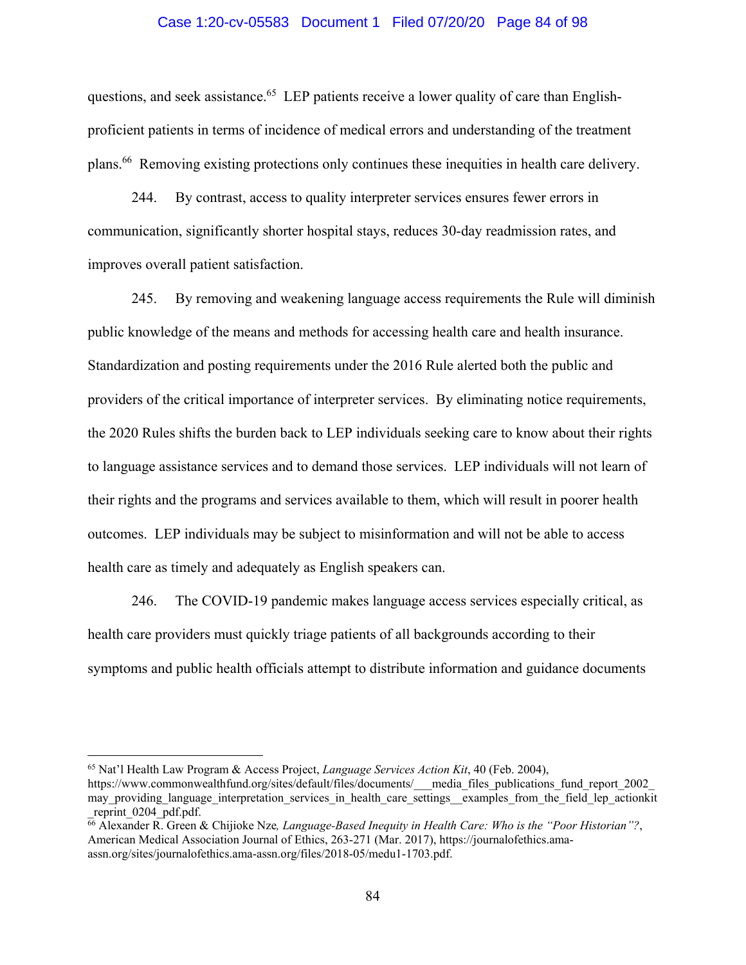### Case 1:20-cv-05583 Document 1 Filed 07/20/20 Page 84 of 98

questions, and seek assistance.<sup>65</sup> LEP patients receive a lower quality of care than Englishproficient patients in terms of incidence of medical errors and understanding of the treatment plans.66 Removing existing protections only continues these inequities in health care delivery.

244. By contrast, access to quality interpreter services ensures fewer errors in communication, significantly shorter hospital stays, reduces 30-day readmission rates, and improves overall patient satisfaction.

245. By removing and weakening language access requirements the Rule will diminish public knowledge of the means and methods for accessing health care and health insurance. Standardization and posting requirements under the 2016 Rule alerted both the public and providers of the critical importance of interpreter services. By eliminating notice requirements, the 2020 Rules shifts the burden back to LEP individuals seeking care to know about their rights to language assistance services and to demand those services. LEP individuals will not learn of their rights and the programs and services available to them, which will result in poorer health outcomes. LEP individuals may be subject to misinformation and will not be able to access health care as timely and adequately as English speakers can.

246. The COVID-19 pandemic makes language access services especially critical, as health care providers must quickly triage patients of all backgrounds according to their symptoms and public health officials attempt to distribute information and guidance documents

<sup>65</sup> Nat'l Health Law Program & Access Project, *Language Services Action Kit*, 40 (Feb. 2004),

https://www.commonwealthfund.org/sites/default/files/documents/\_\_\_media\_files\_publications\_fund\_report\_2002\_ may providing language interpretation services in health care settings examples from the field lep actionkit reprint 0204 pdf.pdf.

<sup>66</sup> Alexander R. Green & Chijioke Nze*, Language-Based Inequity in Health Care: Who is the "Poor Historian"?*, American Medical Association Journal of Ethics, 263-271 (Mar. 2017), https://journalofethics.amaassn.org/sites/journalofethics.ama-assn.org/files/2018-05/medu1-1703.pdf.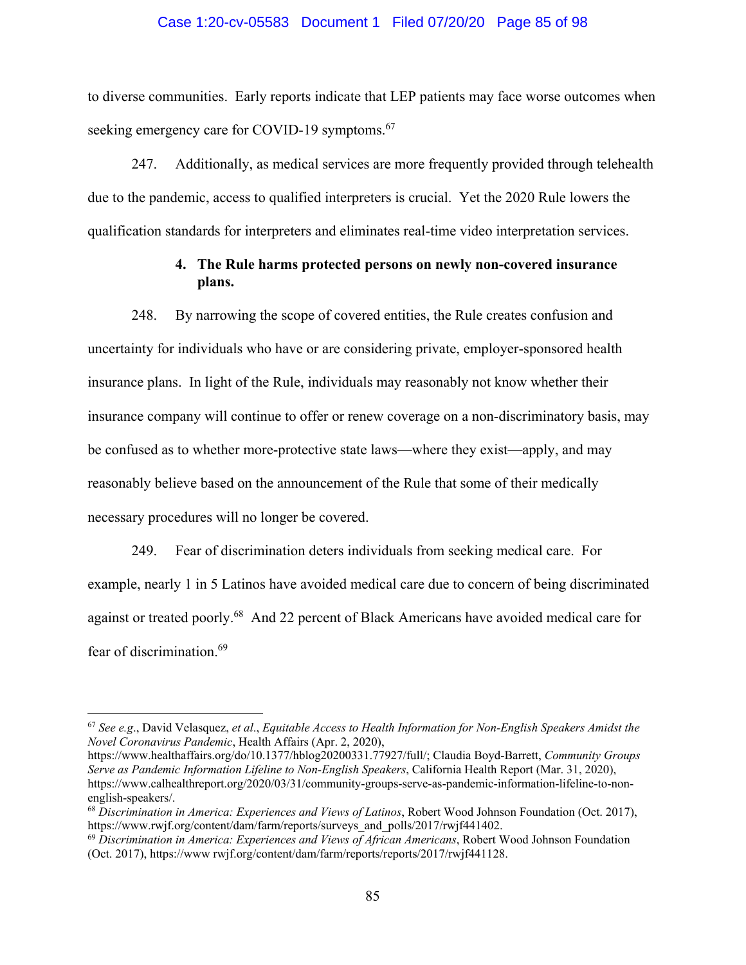### Case 1:20-cv-05583 Document 1 Filed 07/20/20 Page 85 of 98

to diverse communities. Early reports indicate that LEP patients may face worse outcomes when seeking emergency care for COVID-19 symptoms.<sup>67</sup>

247. Additionally, as medical services are more frequently provided through telehealth due to the pandemic, access to qualified interpreters is crucial. Yet the 2020 Rule lowers the qualification standards for interpreters and eliminates real-time video interpretation services.

# **4. The Rule harms protected persons on newly non-covered insurance plans.**

248. By narrowing the scope of covered entities, the Rule creates confusion and uncertainty for individuals who have or are considering private, employer-sponsored health insurance plans. In light of the Rule, individuals may reasonably not know whether their insurance company will continue to offer or renew coverage on a non-discriminatory basis, may be confused as to whether more-protective state laws—where they exist—apply, and may reasonably believe based on the announcement of the Rule that some of their medically necessary procedures will no longer be covered.

249. Fear of discrimination deters individuals from seeking medical care. For example, nearly 1 in 5 Latinos have avoided medical care due to concern of being discriminated against or treated poorly.<sup>68</sup> And 22 percent of Black Americans have avoided medical care for fear of discrimination.69

<sup>67</sup> *See e.g*., David Velasquez, *et al*., *Equitable Access to Health Information for Non-English Speakers Amidst the Novel Coronavirus Pandemic*, Health Affairs (Apr. 2, 2020),

https://www.healthaffairs.org/do/10.1377/hblog20200331.77927/full/; Claudia Boyd-Barrett, *Community Groups Serve as Pandemic Information Lifeline to Non-English Speakers*, California Health Report (Mar. 31, 2020), https://www.calhealthreport.org/2020/03/31/community-groups-serve-as-pandemic-information-lifeline-to-nonenglish-speakers/.

<sup>68</sup> *Discrimination in America: Experiences and Views of Latinos*, Robert Wood Johnson Foundation (Oct. 2017), https://www.rwjf.org/content/dam/farm/reports/surveys\_and\_polls/2017/rwjf441402.

<sup>69</sup> *Discrimination in America: Experiences and Views of African Americans*, Robert Wood Johnson Foundation (Oct. 2017), https://www rwjf.org/content/dam/farm/reports/reports/2017/rwjf441128.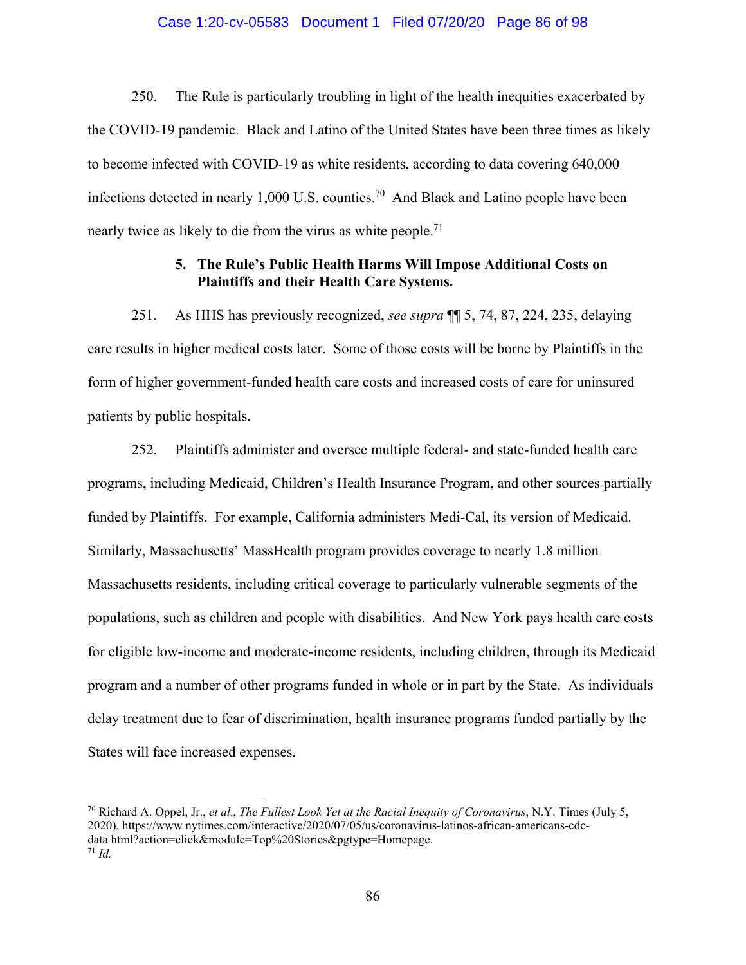### Case 1:20-cv-05583 Document 1 Filed 07/20/20 Page 86 of 98

250. The Rule is particularly troubling in light of the health inequities exacerbated by the COVID-19 pandemic. Black and Latino of the United States have been three times as likely to become infected with COVID-19 as white residents, according to data covering 640,000 infections detected in nearly 1,000 U.S. counties.<sup>70</sup> And Black and Latino people have been nearly twice as likely to die from the virus as white people.<sup>71</sup>

# **5. The Rule's Public Health Harms Will Impose Additional Costs on Plaintiffs and their Health Care Systems.**

251. As HHS has previously recognized, *see supra* ¶¶ 5, 74, 87, 224, 235, delaying care results in higher medical costs later. Some of those costs will be borne by Plaintiffs in the form of higher government-funded health care costs and increased costs of care for uninsured patients by public hospitals.

252. Plaintiffs administer and oversee multiple federal- and state-funded health care programs, including Medicaid, Children's Health Insurance Program, and other sources partially funded by Plaintiffs. For example, California administers Medi-Cal, its version of Medicaid. Similarly, Massachusetts' MassHealth program provides coverage to nearly 1.8 million Massachusetts residents, including critical coverage to particularly vulnerable segments of the populations, such as children and people with disabilities. And New York pays health care costs for eligible low-income and moderate-income residents, including children, through its Medicaid program and a number of other programs funded in whole or in part by the State. As individuals delay treatment due to fear of discrimination, health insurance programs funded partially by the States will face increased expenses.

<sup>70</sup> Richard A. Oppel, Jr., *et al*., *The Fullest Look Yet at the Racial Inequity of Coronavirus*, N.Y. Times (July 5, 2020), https://www nytimes.com/interactive/2020/07/05/us/coronavirus-latinos-african-americans-cdcdata html?action=click&module=Top%20Stories&pgtype=Homepage.  $71$  *Id.*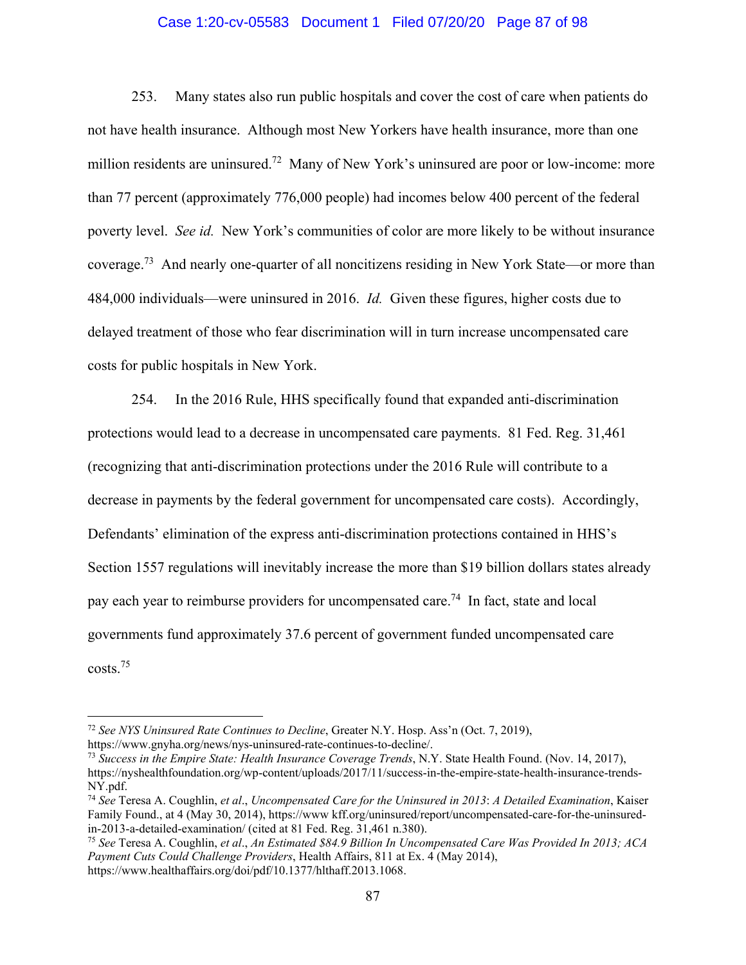### Case 1:20-cv-05583 Document 1 Filed 07/20/20 Page 87 of 98

253. Many states also run public hospitals and cover the cost of care when patients do not have health insurance. Although most New Yorkers have health insurance, more than one million residents are uninsured.<sup>72</sup> Many of New York's uninsured are poor or low-income: more than 77 percent (approximately 776,000 people) had incomes below 400 percent of the federal poverty level. *See id.* New York's communities of color are more likely to be without insurance coverage.73 And nearly one-quarter of all noncitizens residing in New York State—or more than 484,000 individuals—were uninsured in 2016. *Id.* Given these figures, higher costs due to delayed treatment of those who fear discrimination will in turn increase uncompensated care costs for public hospitals in New York.

254. In the 2016 Rule, HHS specifically found that expanded anti-discrimination protections would lead to a decrease in uncompensated care payments. 81 Fed. Reg. 31,461 (recognizing that anti-discrimination protections under the 2016 Rule will contribute to a decrease in payments by the federal government for uncompensated care costs). Accordingly, Defendants' elimination of the express anti-discrimination protections contained in HHS's Section 1557 regulations will inevitably increase the more than \$19 billion dollars states already pay each year to reimburse providers for uncompensated care.<sup>74</sup> In fact, state and local governments fund approximately 37.6 percent of government funded uncompensated care costs.75

<sup>72</sup> *See NYS Uninsured Rate Continues to Decline*, Greater N.Y. Hosp. Ass'n (Oct. 7, 2019),

https://www.gnyha.org/news/nys-uninsured-rate-continues-to-decline/.

<sup>73</sup> *Success in the Empire State: Health Insurance Coverage Trends*, N.Y. State Health Found. (Nov. 14, 2017), https://nyshealthfoundation.org/wp-content/uploads/2017/11/success-in-the-empire-state-health-insurance-trends-NY.pdf.

<sup>74</sup> *See* Teresa A. Coughlin, *et al*., *Uncompensated Care for the Uninsured in 2013*: *A Detailed Examination*, Kaiser Family Found., at 4 (May 30, 2014), https://www kff.org/uninsured/report/uncompensated-care-for-the-uninsuredin-2013-a-detailed-examination/ (cited at 81 Fed. Reg. 31,461 n.380). 75 *See* Teresa A. Coughlin, *et al*., *An Estimated \$84.9 Billion In Uncompensated Care Was Provided In 2013; ACA* 

*Payment Cuts Could Challenge Providers*, Health Affairs, 811 at Ex. 4 (May 2014), https://www.healthaffairs.org/doi/pdf/10.1377/hlthaff.2013.1068.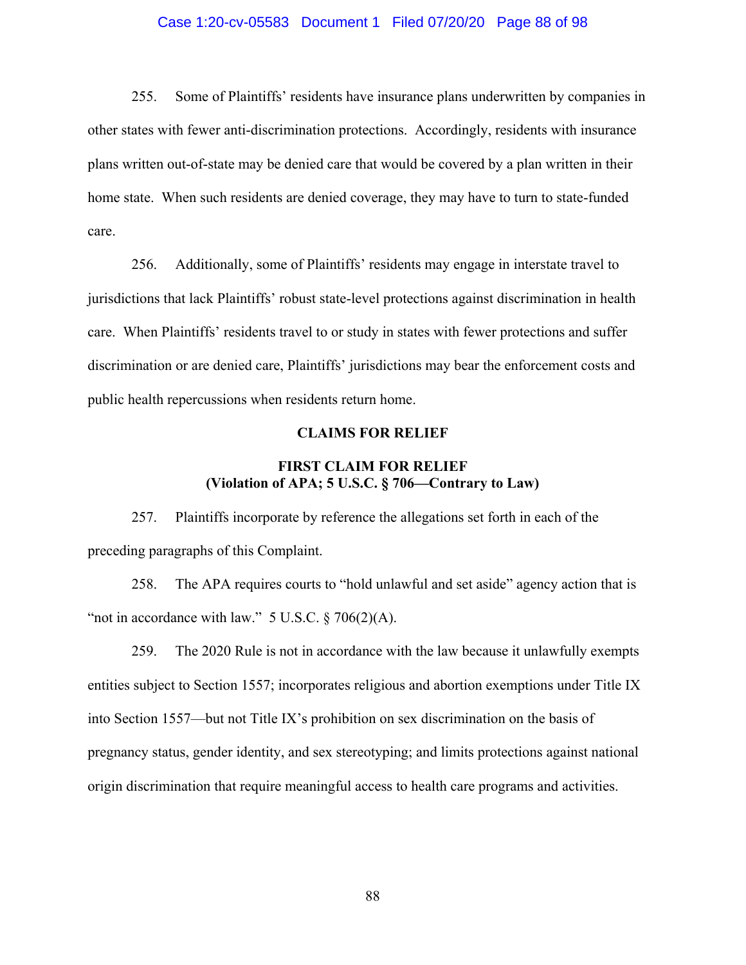### Case 1:20-cv-05583 Document 1 Filed 07/20/20 Page 88 of 98

255. Some of Plaintiffs' residents have insurance plans underwritten by companies in other states with fewer anti-discrimination protections. Accordingly, residents with insurance plans written out-of-state may be denied care that would be covered by a plan written in their home state. When such residents are denied coverage, they may have to turn to state-funded care.

256. Additionally, some of Plaintiffs' residents may engage in interstate travel to jurisdictions that lack Plaintiffs' robust state-level protections against discrimination in health care. When Plaintiffs' residents travel to or study in states with fewer protections and suffer discrimination or are denied care, Plaintiffs' jurisdictions may bear the enforcement costs and public health repercussions when residents return home.

### **CLAIMS FOR RELIEF**

# **FIRST CLAIM FOR RELIEF (Violation of APA; 5 U.S.C. § 706—Contrary to Law)**

257. Plaintiffs incorporate by reference the allegations set forth in each of the preceding paragraphs of this Complaint.

258. The APA requires courts to "hold unlawful and set aside" agency action that is "not in accordance with law."  $5$  U.S.C.  $§$  706(2)(A).

259. The 2020 Rule is not in accordance with the law because it unlawfully exempts entities subject to Section 1557; incorporates religious and abortion exemptions under Title IX into Section 1557—but not Title IX's prohibition on sex discrimination on the basis of pregnancy status, gender identity, and sex stereotyping; and limits protections against national origin discrimination that require meaningful access to health care programs and activities.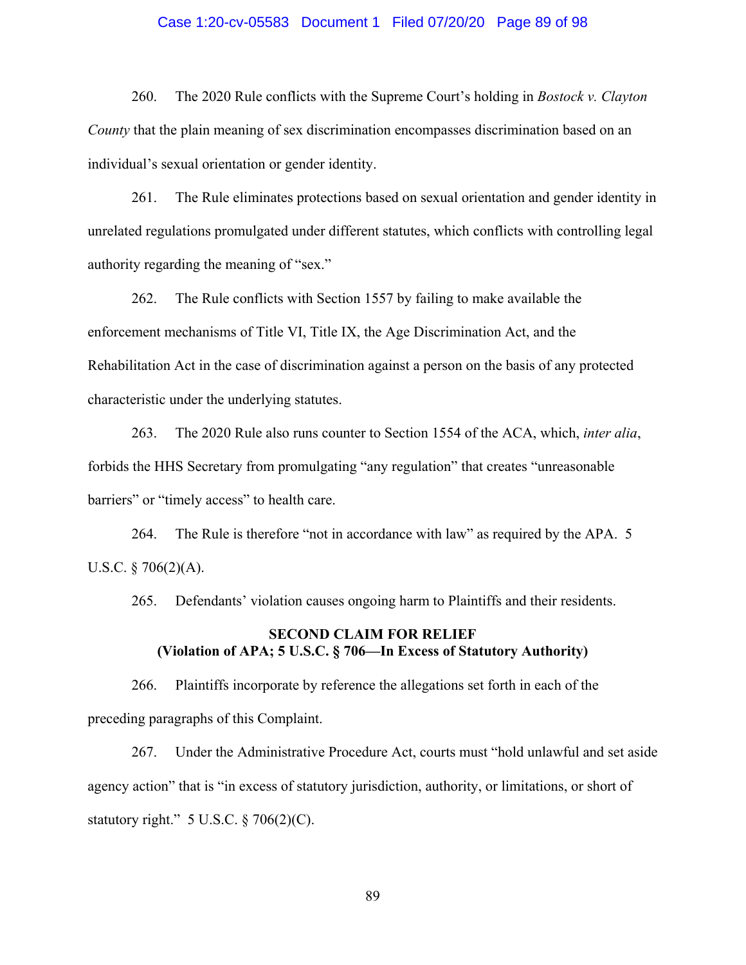### Case 1:20-cv-05583 Document 1 Filed 07/20/20 Page 89 of 98

260. The 2020 Rule conflicts with the Supreme Court's holding in *Bostock v. Clayton County* that the plain meaning of sex discrimination encompasses discrimination based on an individual's sexual orientation or gender identity.

261. The Rule eliminates protections based on sexual orientation and gender identity in unrelated regulations promulgated under different statutes, which conflicts with controlling legal authority regarding the meaning of "sex."

262. The Rule conflicts with Section 1557 by failing to make available the enforcement mechanisms of Title VI, Title IX, the Age Discrimination Act, and the Rehabilitation Act in the case of discrimination against a person on the basis of any protected characteristic under the underlying statutes.

263. The 2020 Rule also runs counter to Section 1554 of the ACA, which, *inter alia*, forbids the HHS Secretary from promulgating "any regulation" that creates "unreasonable barriers" or "timely access" to health care.

264. The Rule is therefore "not in accordance with law" as required by the APA. 5 U.S.C.  $\S 706(2)(A)$ .

265. Defendants' violation causes ongoing harm to Plaintiffs and their residents.

## **SECOND CLAIM FOR RELIEF (Violation of APA; 5 U.S.C. § 706—In Excess of Statutory Authority)**

266. Plaintiffs incorporate by reference the allegations set forth in each of the preceding paragraphs of this Complaint.

267. Under the Administrative Procedure Act, courts must "hold unlawful and set aside agency action" that is "in excess of statutory jurisdiction, authority, or limitations, or short of statutory right."  $5$  U.S.C.  $\S$  706(2)(C).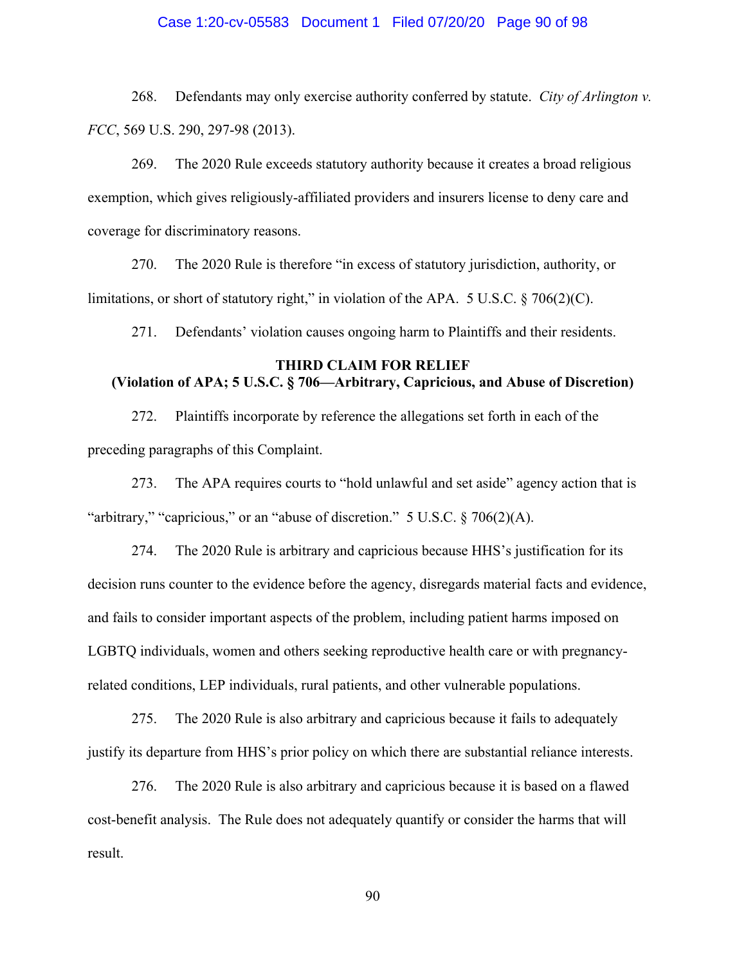### Case 1:20-cv-05583 Document 1 Filed 07/20/20 Page 90 of 98

268. Defendants may only exercise authority conferred by statute. *City of Arlington v. FCC*, 569 U.S. 290, 297-98 (2013).

269. The 2020 Rule exceeds statutory authority because it creates a broad religious exemption, which gives religiously-affiliated providers and insurers license to deny care and coverage for discriminatory reasons.

270. The 2020 Rule is therefore "in excess of statutory jurisdiction, authority, or limitations, or short of statutory right," in violation of the APA. 5 U.S.C.  $\S$  706(2)(C).

271. Defendants' violation causes ongoing harm to Plaintiffs and their residents.

# **THIRD CLAIM FOR RELIEF (Violation of APA; 5 U.S.C. § 706—Arbitrary, Capricious, and Abuse of Discretion)**

272. Plaintiffs incorporate by reference the allegations set forth in each of the preceding paragraphs of this Complaint.

273. The APA requires courts to "hold unlawful and set aside" agency action that is "arbitrary," "capricious," or an "abuse of discretion."  $5 \text{ U.S.C.} \$   $706(2)(\text{A})$ .

274. The 2020 Rule is arbitrary and capricious because HHS's justification for its decision runs counter to the evidence before the agency, disregards material facts and evidence, and fails to consider important aspects of the problem, including patient harms imposed on LGBTQ individuals, women and others seeking reproductive health care or with pregnancyrelated conditions, LEP individuals, rural patients, and other vulnerable populations.

275. The 2020 Rule is also arbitrary and capricious because it fails to adequately justify its departure from HHS's prior policy on which there are substantial reliance interests.

276. The 2020 Rule is also arbitrary and capricious because it is based on a flawed cost-benefit analysis. The Rule does not adequately quantify or consider the harms that will result.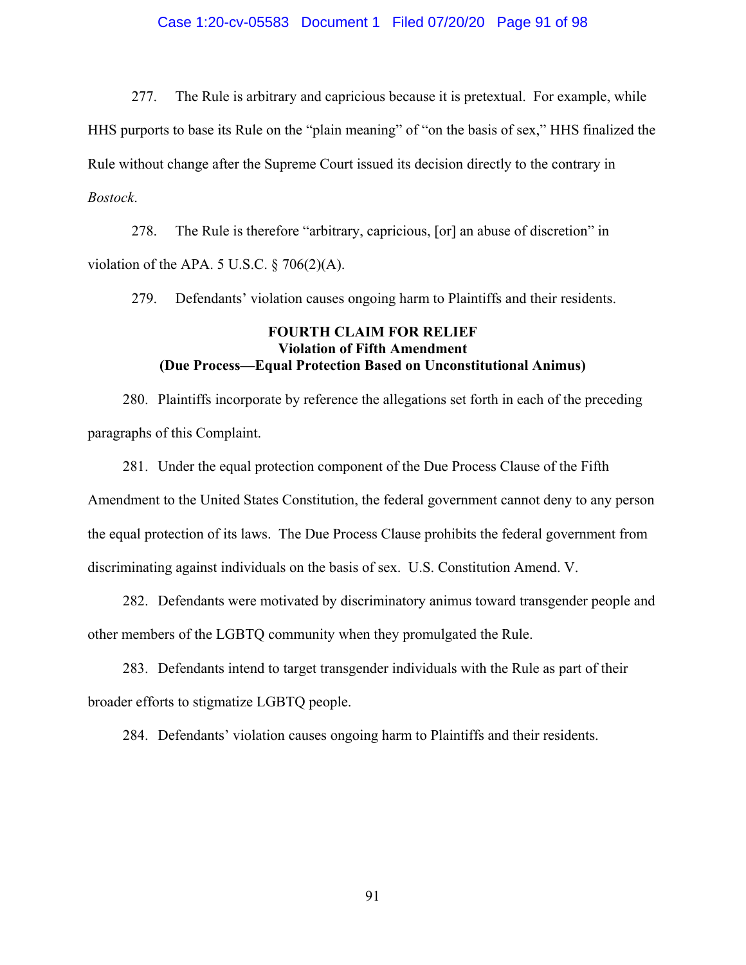### Case 1:20-cv-05583 Document 1 Filed 07/20/20 Page 91 of 98

277. The Rule is arbitrary and capricious because it is pretextual. For example, while HHS purports to base its Rule on the "plain meaning" of "on the basis of sex," HHS finalized the Rule without change after the Supreme Court issued its decision directly to the contrary in *Bostock*.

278. The Rule is therefore "arbitrary, capricious, [or] an abuse of discretion" in violation of the APA. 5 U.S.C.  $\S$  706(2)(A).

279. Defendants' violation causes ongoing harm to Plaintiffs and their residents.

## **FOURTH CLAIM FOR RELIEF Violation of Fifth Amendment (Due Process—Equal Protection Based on Unconstitutional Animus)**

280. Plaintiffs incorporate by reference the allegations set forth in each of the preceding paragraphs of this Complaint.

281. Under the equal protection component of the Due Process Clause of the Fifth Amendment to the United States Constitution, the federal government cannot deny to any person the equal protection of its laws. The Due Process Clause prohibits the federal government from discriminating against individuals on the basis of sex. U.S. Constitution Amend. V.

282. Defendants were motivated by discriminatory animus toward transgender people and other members of the LGBTQ community when they promulgated the Rule.

283. Defendants intend to target transgender individuals with the Rule as part of their broader efforts to stigmatize LGBTQ people.

284. Defendants' violation causes ongoing harm to Plaintiffs and their residents.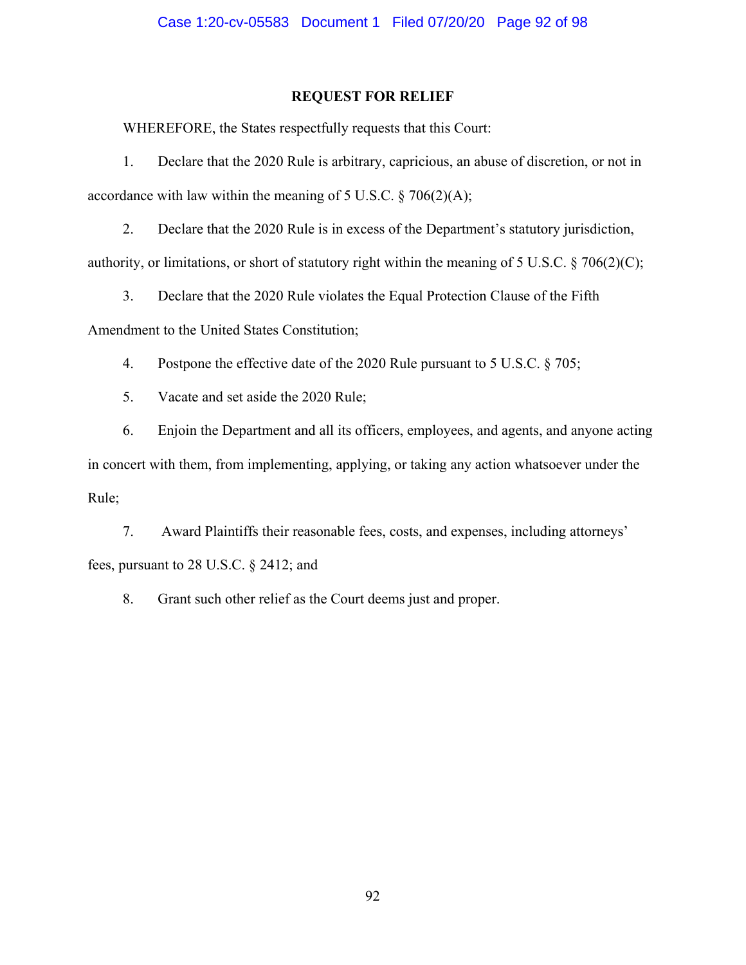## **REQUEST FOR RELIEF**

WHEREFORE, the States respectfully requests that this Court:

1. Declare that the 2020 Rule is arbitrary, capricious, an abuse of discretion, or not in accordance with law within the meaning of 5 U.S.C.  $\S$  706(2)(A);

2. Declare that the 2020 Rule is in excess of the Department's statutory jurisdiction, authority, or limitations, or short of statutory right within the meaning of 5 U.S.C. § 706(2)(C);

3. Declare that the 2020 Rule violates the Equal Protection Clause of the Fifth

Amendment to the United States Constitution;

4. Postpone the effective date of the 2020 Rule pursuant to 5 U.S.C. § 705;

5. Vacate and set aside the 2020 Rule;

6. Enjoin the Department and all its officers, employees, and agents, and anyone acting in concert with them, from implementing, applying, or taking any action whatsoever under the Rule;

7. Award Plaintiffs their reasonable fees, costs, and expenses, including attorneys' fees, pursuant to 28 U.S.C. § 2412; and

8. Grant such other relief as the Court deems just and proper.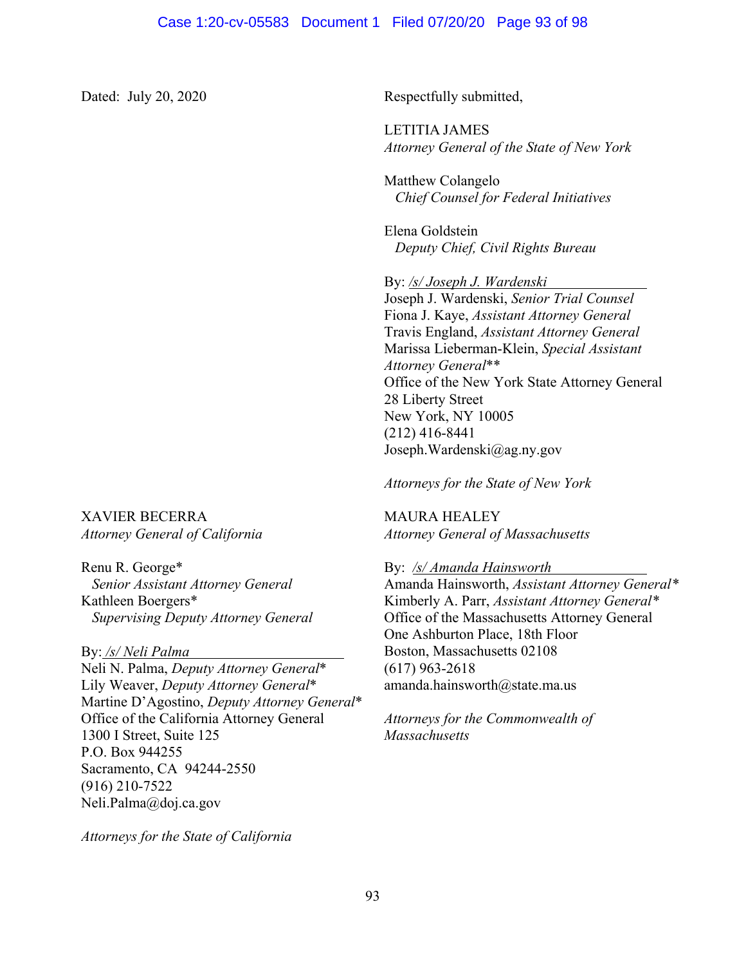Dated: July 20, 2020 Respectfully submitted,

 LETITIA JAMES *Attorney General of the State of New York*

Matthew Colangelo  *Chief Counsel for Federal Initiatives* 

Elena Goldstein *Deputy Chief, Civil Rights Bureau* 

By: */s/ Joseph J. Wardenski*

Joseph J. Wardenski, *Senior Trial Counsel*  Fiona J. Kaye, *Assistant Attorney General*  Travis England, *Assistant Attorney General*  Marissa Lieberman-Klein, *Special Assistant Attorney General*\*\* Office of the New York State Attorney General 28 Liberty Street New York, NY 10005 (212) 416-8441 Joseph.Wardenski@ag.ny.gov

*Attorneys for the State of New York* 

MAURA HEALEY *Attorney General of Massachusetts* 

By: */s/ Amanda Hainsworth* 

Amanda Hainsworth, *Assistant Attorney General\** Kimberly A. Parr, *Assistant Attorney General\** Office of the Massachusetts Attorney General One Ashburton Place, 18th Floor Boston, Massachusetts 02108 (617) 963-2618 amanda.hainsworth@state.ma.us

*Attorneys for the Commonwealth of Massachusetts* 

XAVIER BECERRA *Attorney General of California* 

Renu R. George\*  *Senior Assistant Attorney General*  Kathleen Boergers\* *Supervising Deputy Attorney General* 

By: */s/ Neli Palma*

Neli N. Palma, *Deputy Attorney General*\* Lily Weaver, *Deputy Attorney General*\* Martine D'Agostino, *Deputy Attorney General*\* Office of the California Attorney General 1300 I Street, Suite 125 P.O. Box 944255 Sacramento, CA 94244-2550 (916) 210-7522 Neli.Palma@doj.ca.gov

*Attorneys for the State of California*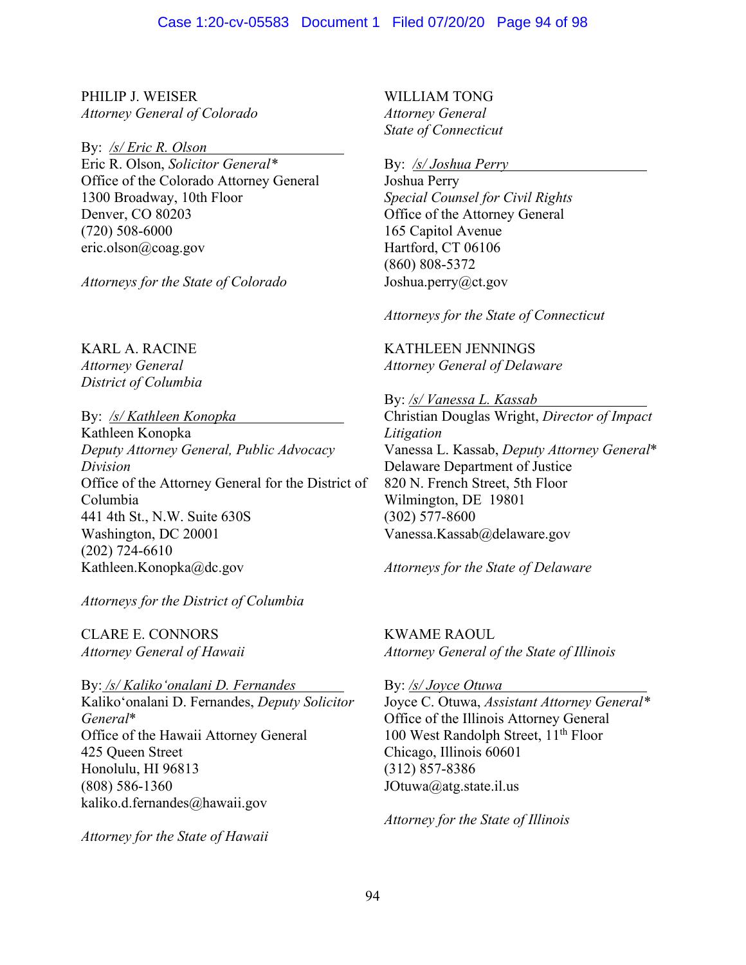PHILIP J. WEISER *Attorney General of Colorado* 

By: */s/ Eric R. Olson*

Eric R. Olson, *Solicitor General\** Office of the Colorado Attorney General 1300 Broadway, 10th Floor Denver, CO 80203 (720) 508-6000 eric.olson@coag.gov

*Attorneys for the State of Colorado* 

KARL A. RACINE *Attorney General District of Columbia*

By: */s/ Kathleen Konopka* 

Kathleen Konopka *Deputy Attorney General, Public Advocacy Division*  Office of the Attorney General for the District of Columbia 441 4th St., N.W. Suite 630S Washington, DC 20001 (202) 724-6610 Kathleen.Konopka@dc.gov

*Attorneys for the District of Columbia* 

CLARE E. CONNORS *Attorney General of Hawaii*

By: */s/ Kalikoʻonalani D. Fernandes*  Kalikoʻonalani D. Fernandes, *Deputy Solicitor General*\* Office of the Hawaii Attorney General 425 Queen Street Honolulu, HI 96813 (808) 586-1360 kaliko.d.fernandes@hawaii.gov

*Attorney for the State of Hawaii*

WILLIAM TONG *Attorney General State of Connecticut*

By: */s/ Joshua Perry* 

Joshua Perry *Special Counsel for Civil Rights*  Office of the Attorney General 165 Capitol Avenue Hartford, CT 06106 (860) 808-5372 Joshua.perry@ct.gov

*Attorneys for the State of Connecticut* 

KATHLEEN JENNINGS *Attorney General of Delaware*

By: */s/ Vanessa L. Kassab* Christian Douglas Wright, *Director of Impact Litigation* Vanessa L. Kassab, *Deputy Attorney General*\* Delaware Department of Justice 820 N. French Street, 5th Floor Wilmington, DE 19801 (302) 577-8600

Vanessa.Kassab@delaware.gov

*Attorneys for the State of Delaware* 

KWAME RAOUL *Attorney General of the State of Illinois* 

By: */s/ Joyce Otuwa*  Joyce C. Otuwa, *Assistant Attorney General\** Office of the Illinois Attorney General 100 West Randolph Street, 11<sup>th</sup> Floor Chicago, Illinois 60601 (312) 857-8386 JOtuwa@atg.state.il.us

*Attorney for the State of Illinois*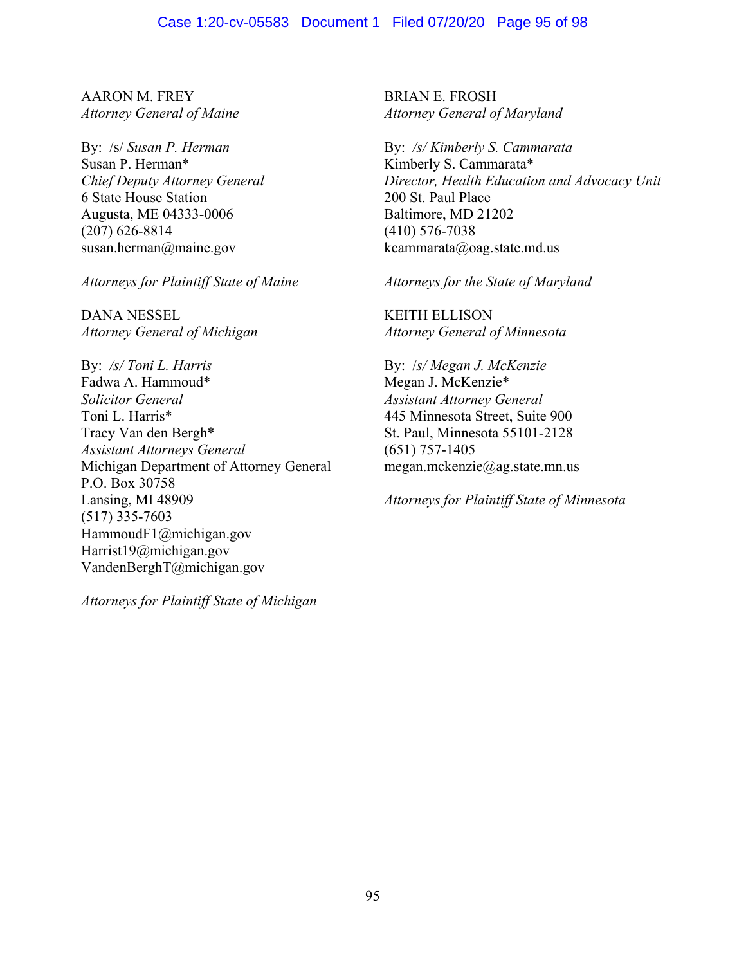AARON M. FREY *Attorney General of Maine* 

By: /s/ *Susan P. Herman* 

Susan P. Herman\* *Chief Deputy Attorney General*  6 State House Station Augusta, ME 04333-0006 (207) 626-8814 susan.herman@maine.gov

*Attorneys for Plaintiff State of Maine* 

DANA NESSEL *Attorney General of Michigan* 

By: */s/ Toni L. Harris*  Fadwa A. Hammoud\* *Solicitor General*  Toni L. Harris\* Tracy Van den Bergh\* *Assistant Attorneys General*  Michigan Department of Attorney General P.O. Box 30758 Lansing, MI 48909 (517) 335-7603 HammoudF1@michigan.gov Harrist19@michigan.gov VandenBerghT@michigan.gov

*Attorneys for Plaintiff State of Michigan*

BRIAN E. FROSH *Attorney General of Maryland* 

By: */s/ Kimberly S. Cammarata* 

Kimberly S. Cammarata\* *Director, Health Education and Advocacy Unit*  200 St. Paul Place Baltimore, MD 21202 (410) 576-7038 kcammarata@oag.state.md.us

*Attorneys for the State of Maryland* 

KEITH ELLISON *Attorney General of Minnesota* 

By: /*s/ Megan J. McKenzie* 

Megan J. McKenzie\* *Assistant Attorney General* 445 Minnesota Street, Suite 900 St. Paul, Minnesota 55101-2128 (651) 757-1405 megan.mckenzie@ag.state.mn.us

*Attorneys for Plaintiff State of Minnesota*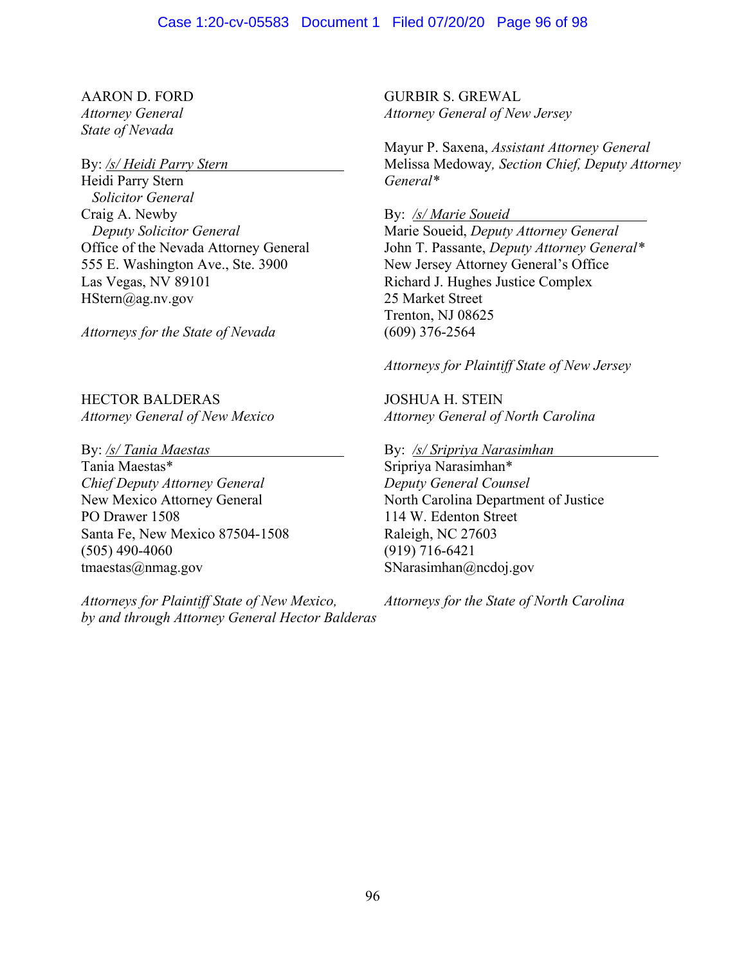## AARON D. FORD

*Attorney General State of Nevada* 

### By: */s/ Heidi Parry Stern*

Heidi Parry Stern *Solicitor General*  Craig A. Newby *Deputy Solicitor General*  Office of the Nevada Attorney General 555 E. Washington Ave., Ste. 3900 Las Vegas, NV 89101 HStern@ag.nv.gov

*Attorneys for the State of Nevada*

HECTOR BALDERAS *Attorney General of New Mexico* 

By: */s/ Tania Maestas* 

Tania Maestas\* *Chief Deputy Attorney General*  New Mexico Attorney General PO Drawer 1508 Santa Fe, New Mexico 87504-1508 (505) 490-4060 tmaestas@nmag.gov

*Attorneys for Plaintiff State of New Mexico, by and through Attorney General Hector Balderas*

GURBIR S. GREWAL *Attorney General of New Jersey*

Mayur P. Saxena, *Assistant Attorney General* Melissa Medoway*, Section Chief, Deputy Attorney General\**

By: */s/ Marie Soueid* 

Marie Soueid, *Deputy Attorney General* John T. Passante, *Deputy Attorney General\** New Jersey Attorney General's Office Richard J. Hughes Justice Complex 25 Market Street Trenton, NJ 08625 (609) 376-2564

*Attorneys for Plaintiff State of New Jersey*

JOSHUA H. STEIN *Attorney General of North Carolina* 

By: */s/ Sripriya Narasimhan* 

Sripriya Narasimhan\* *Deputy General Counsel*  North Carolina Department of Justice 114 W. Edenton Street Raleigh, NC 27603 (919) 716-6421 SNarasimhan@ncdoj.gov

*Attorneys for the State of North Carolina*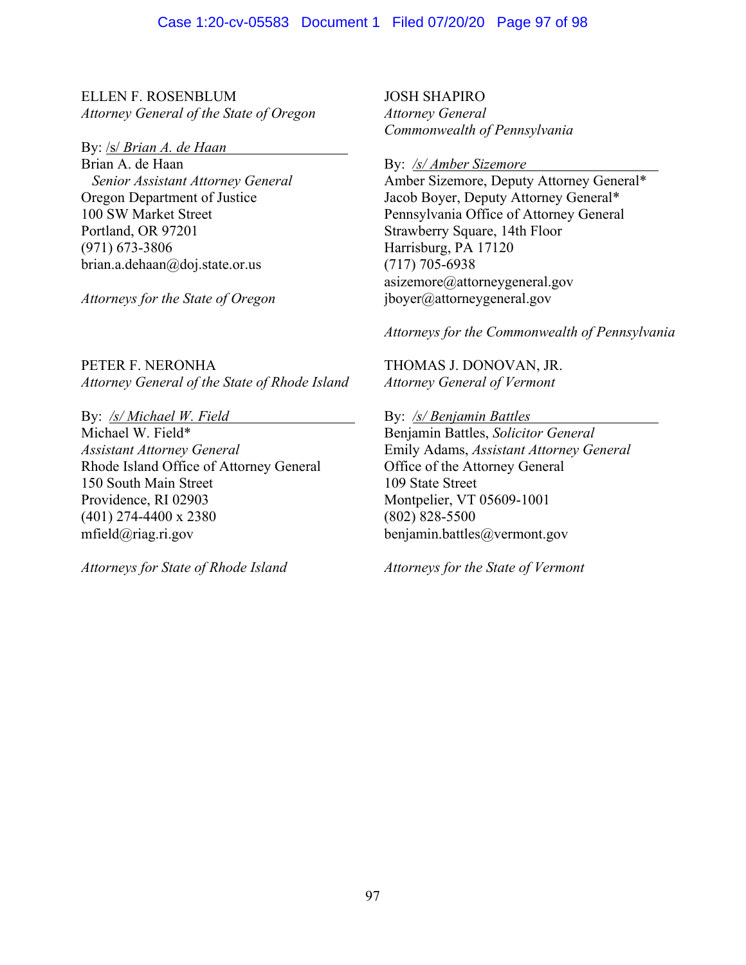ELLEN F. ROSENBLUM *Attorney General of the State of Oregon*

By: /s/ *Brian A. de Haan* 

Brian A. de Haan  *Senior Assistant Attorney General* Oregon Department of Justice 100 SW Market Street Portland, OR 97201 (971) 673-3806 brian.a.dehaan@doj.state.or.us

*Attorneys for the State of Oregon*

PETER F. NERONHA *Attorney General of the State of Rhode Island* 

By: */s/ Michael W. Field*  Michael W. Field\* *Assistant Attorney General*  Rhode Island Office of Attorney General 150 South Main Street Providence, RI 02903 (401) 274-4400 x 2380 mfield@riag.ri.gov

*Attorneys for State of Rhode Island*

JOSH SHAPIRO *Attorney General Commonwealth of Pennsylvania* 

By: */s/ Amber Sizemore* 

Amber Sizemore, Deputy Attorney General\* Jacob Boyer, Deputy Attorney General\* Pennsylvania Office of Attorney General Strawberry Square, 14th Floor Harrisburg, PA 17120 (717) 705-6938 asizemore@attorneygeneral.gov jboyer@attorneygeneral.gov

*Attorneys for the Commonwealth of Pennsylvania* 

THOMAS J. DONOVAN, JR. *Attorney General of Vermont* 

By: */s/ Benjamin Battles*  Benjamin Battles, *Solicitor General*  Emily Adams, *Assistant Attorney General*  Office of the Attorney General 109 State Street Montpelier, VT 05609-1001 (802) 828-5500 benjamin.battles@vermont.gov

*Attorneys for the State of Vermont*